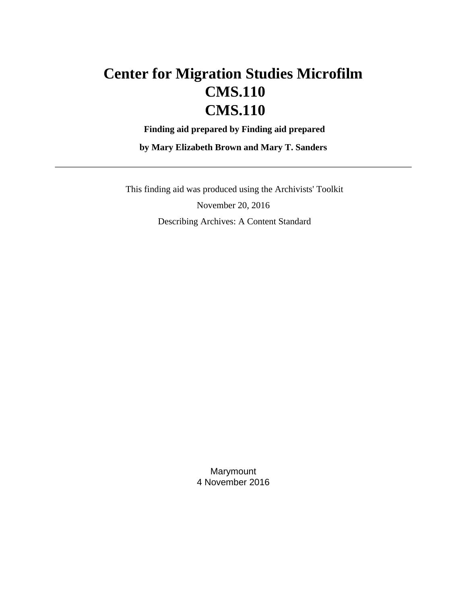# **Center for Migration Studies Microfilm CMS.110 CMS.110**

 **Finding aid prepared by Finding aid prepared**

**by Mary Elizabeth Brown and Mary T. Sanders**

 This finding aid was produced using the Archivists' Toolkit November 20, 2016 Describing Archives: A Content Standard

> Marymount 4 November 2016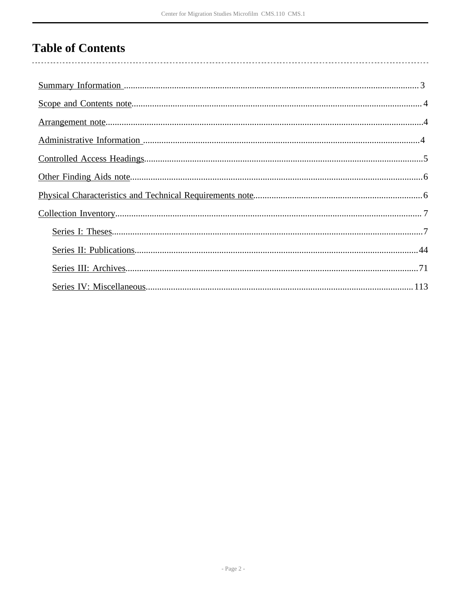# **Table of Contents**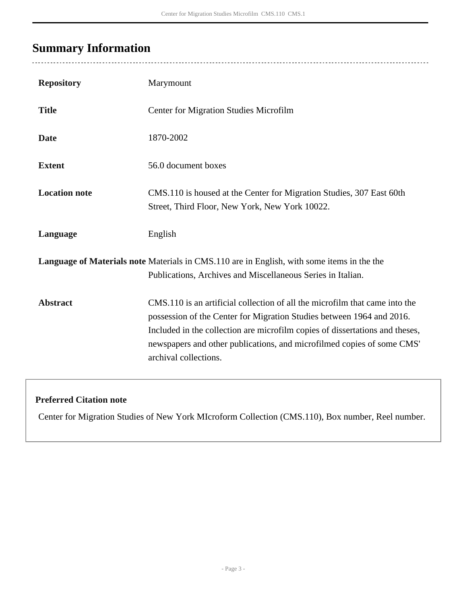## <span id="page-2-0"></span>**Summary Information**

 $\overline{a}$ 

| <b>Repository</b>    | Marymount                                                                                                                                                                                                                                                                                                                               |
|----------------------|-----------------------------------------------------------------------------------------------------------------------------------------------------------------------------------------------------------------------------------------------------------------------------------------------------------------------------------------|
| <b>Title</b>         | <b>Center for Migration Studies Microfilm</b>                                                                                                                                                                                                                                                                                           |
| <b>Date</b>          | 1870-2002                                                                                                                                                                                                                                                                                                                               |
| <b>Extent</b>        | 56.0 document boxes                                                                                                                                                                                                                                                                                                                     |
| <b>Location note</b> | CMS.110 is housed at the Center for Migration Studies, 307 East 60th<br>Street, Third Floor, New York, New York 10022.                                                                                                                                                                                                                  |
| Language             | English                                                                                                                                                                                                                                                                                                                                 |
|                      | Language of Materials note Materials in CMS.110 are in English, with some items in the the<br>Publications, Archives and Miscellaneous Series in Italian.                                                                                                                                                                               |
| <b>Abstract</b>      | CMS.110 is an artificial collection of all the microfilm that came into the<br>possession of the Center for Migration Studies between 1964 and 2016.<br>Included in the collection are microfilm copies of dissertations and theses,<br>newspapers and other publications, and microfilmed copies of some CMS'<br>archival collections. |

### **Preferred Citation note**

Center for Migration Studies of New York MIcroform Collection (CMS.110), Box number, Reel number.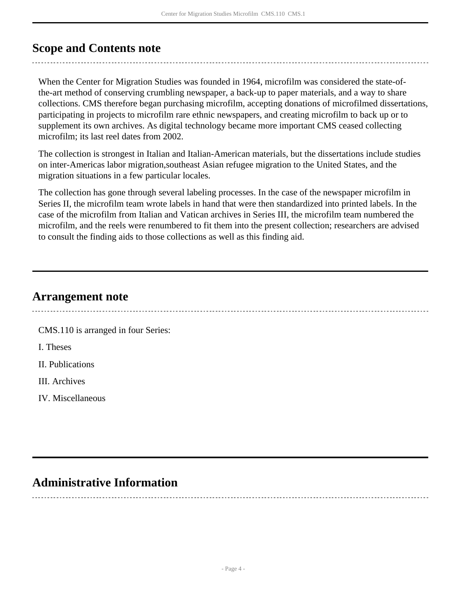## <span id="page-3-0"></span>**Scope and Contents note**

When the Center for Migration Studies was founded in 1964, microfilm was considered the state-ofthe-art method of conserving crumbling newspaper, a back-up to paper materials, and a way to share collections. CMS therefore began purchasing microfilm, accepting donations of microfilmed dissertations, participating in projects to microfilm rare ethnic newspapers, and creating microfilm to back up or to supplement its own archives. As digital technology became more important CMS ceased collecting microfilm; its last reel dates from 2002.

The collection is strongest in Italian and Italian-American materials, but the dissertations include studies on inter-Americas labor migration,southeast Asian refugee migration to the United States, and the migration situations in a few particular locales.

The collection has gone through several labeling processes. In the case of the newspaper microfilm in Series II, the microfilm team wrote labels in hand that were then standardized into printed labels. In the case of the microfilm from Italian and Vatican archives in Series III, the microfilm team numbered the microfilm, and the reels were renumbered to fit them into the present collection; researchers are advised to consult the finding aids to those collections as well as this finding aid.

## <span id="page-3-1"></span>**Arrangement note**

CMS.110 is arranged in four Series: I. Theses II. Publications III. Archives IV. Miscellaneous

## <span id="page-3-2"></span>**Administrative Information**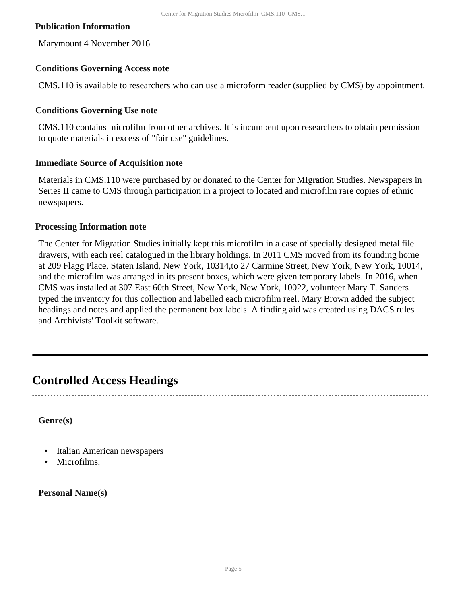#### **Publication Information**

Marymount 4 November 2016

#### **Conditions Governing Access note**

CMS.110 is available to researchers who can use a microform reader (supplied by CMS) by appointment.

#### **Conditions Governing Use note**

CMS.110 contains microfilm from other archives. It is incumbent upon researchers to obtain permission to quote materials in excess of "fair use" guidelines.

#### **Immediate Source of Acquisition note**

Materials in CMS.110 were purchased by or donated to the Center for MIgration Studies. Newspapers in Series II came to CMS through participation in a project to located and microfilm rare copies of ethnic newspapers.

#### **Processing Information note**

The Center for Migration Studies initially kept this microfilm in a case of specially designed metal file drawers, with each reel catalogued in the library holdings. In 2011 CMS moved from its founding home at 209 Flagg Place, Staten Island, New York, 10314,to 27 Carmine Street, New York, New York, 10014, and the microfilm was arranged in its present boxes, which were given temporary labels. In 2016, when CMS was installed at 307 East 60th Street, New York, New York, 10022, volunteer Mary T. Sanders typed the inventory for this collection and labelled each microfilm reel. Mary Brown added the subject headings and notes and applied the permanent box labels. A finding aid was created using DACS rules and Archivists' Toolkit software.

### <span id="page-4-0"></span>**Controlled Access Headings**

**Genre(s)**

- Italian American newspapers
- Microfilms.

**Personal Name(s)**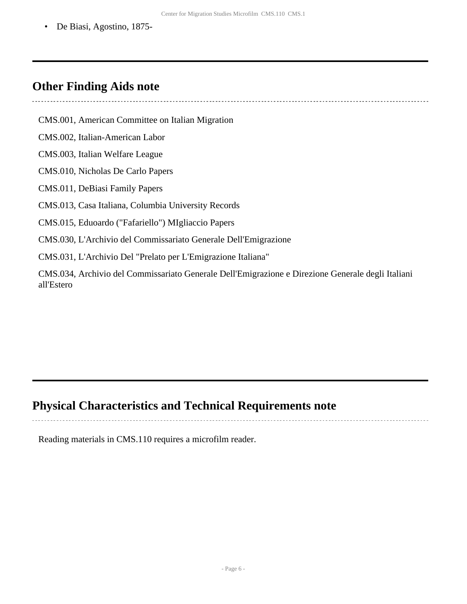• De Biasi, Agostino, 1875-

### <span id="page-5-0"></span>**Other Finding Aids note**

CMS.001, American Committee on Italian Migration CMS.002, Italian-American Labor CMS.003, Italian Welfare League CMS.010, Nicholas De Carlo Papers CMS.011, DeBiasi Family Papers CMS.013, Casa Italiana, Columbia University Records CMS.015, Eduoardo ("Fafariello") MIgliaccio Papers CMS.030, L'Archivio del Commissariato Generale Dell'Emigrazione CMS.031, L'Archivio Del "Prelato per L'Emigrazione Italiana" CMS.034, Archivio del Commissariato Generale Dell'Emigrazione e Direzione Generale degli Italiani all'Estero

### <span id="page-5-1"></span>**Physical Characteristics and Technical Requirements note**

Reading materials in CMS.110 requires a microfilm reader.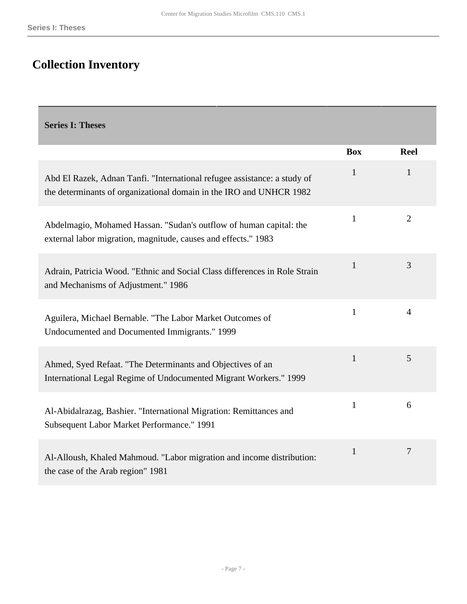# <span id="page-6-0"></span>**Collection Inventory**

<span id="page-6-1"></span>**Series I: Theses** 

|                                                                                                                                                 | <b>Box</b>   | <b>Reel</b>    |
|-------------------------------------------------------------------------------------------------------------------------------------------------|--------------|----------------|
| Abd El Razek, Adnan Tanfi. "International refugee assistance: a study of<br>the determinants of organizational domain in the IRO and UNHCR 1982 | 1            | 1              |
| Abdelmagio, Mohamed Hassan. "Sudan's outflow of human capital: the<br>external labor migration, magnitude, causes and effects." 1983            | 1            | $\overline{2}$ |
| Adrain, Patricia Wood. "Ethnic and Social Class differences in Role Strain<br>and Mechanisms of Adjustment." 1986                               | $\mathbf{1}$ | 3              |
| Aguilera, Michael Bernable. "The Labor Market Outcomes of<br>Undocumented and Documented Immigrants." 1999                                      | $\mathbf{1}$ | 4              |
| Ahmed, Syed Refaat. "The Determinants and Objectives of an<br>International Legal Regime of Undocumented Migrant Workers." 1999                 | $\mathbf{1}$ | 5              |
| Al-Abidalrazag, Bashier. "International Migration: Remittances and<br>Subsequent Labor Market Performance." 1991                                | $\mathbf{1}$ | 6              |
| Al-Alloush, Khaled Mahmoud. "Labor migration and income distribution:<br>the case of the Arab region" 1981                                      | $\mathbf{1}$ | 7              |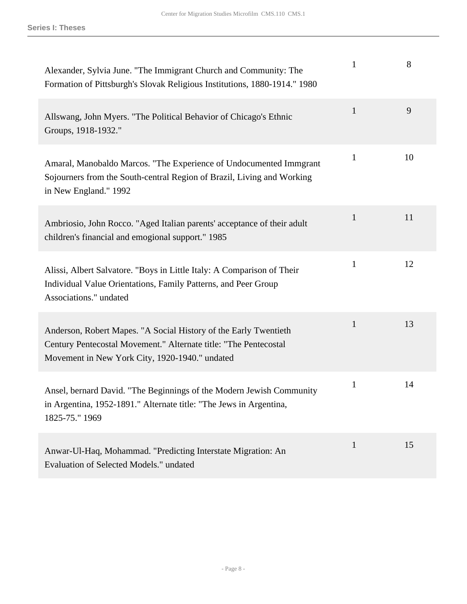| Alexander, Sylvia June. "The Immigrant Church and Community: The<br>Formation of Pittsburgh's Slovak Religious Institutions, 1880-1914." 1980                                          | $\mathbf{1}$ | 8  |
|----------------------------------------------------------------------------------------------------------------------------------------------------------------------------------------|--------------|----|
| Allswang, John Myers. "The Political Behavior of Chicago's Ethnic<br>Groups, 1918-1932."                                                                                               | $\mathbf{1}$ | 9  |
| Amaral, Manobaldo Marcos. "The Experience of Undocumented Immgrant<br>Sojourners from the South-central Region of Brazil, Living and Working<br>in New England." 1992                  | 1            | 10 |
| Ambriosio, John Rocco. "Aged Italian parents' acceptance of their adult<br>children's financial and emogional support." 1985                                                           | 1            | 11 |
| Alissi, Albert Salvatore. "Boys in Little Italy: A Comparison of Their<br>Individual Value Orientations, Family Patterns, and Peer Group<br>Associations." undated                     | $\mathbf{1}$ | 12 |
| Anderson, Robert Mapes. "A Social History of the Early Twentieth<br>Century Pentecostal Movement." Alternate title: "The Pentecostal<br>Movement in New York City, 1920-1940." undated | $\mathbf{1}$ | 13 |
| Ansel, bernard David. "The Beginnings of the Modern Jewish Community<br>in Argentina, 1952-1891." Alternate title: "The Jews in Argentina,<br>1825-75." 1969                           | $\mathbf{1}$ | 14 |
| Anwar-Ul-Haq, Mohammad. "Predicting Interstate Migration: An<br>Evaluation of Selected Models." undated                                                                                | $\mathbf{1}$ | 15 |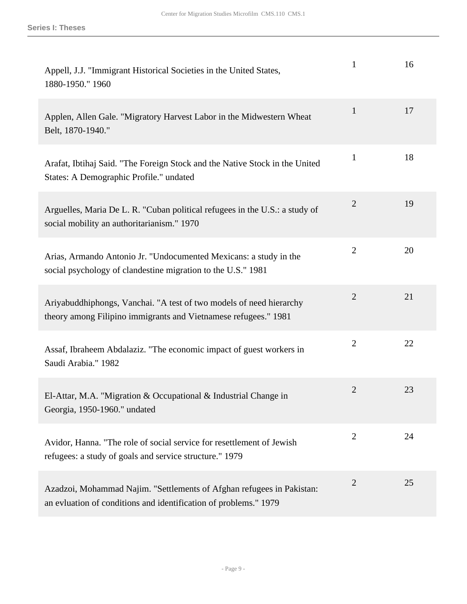| Appell, J.J. "Immigrant Historical Societies in the United States,<br>1880-1950." 1960                                                    | $\mathbf{1}$   | 16 |
|-------------------------------------------------------------------------------------------------------------------------------------------|----------------|----|
| Applen, Allen Gale. "Migratory Harvest Labor in the Midwestern Wheat<br>Belt, 1870-1940."                                                 | $\mathbf{1}$   | 17 |
| Arafat, Ibtihaj Said. "The Foreign Stock and the Native Stock in the United<br>States: A Demographic Profile." undated                    | $\mathbf{1}$   | 18 |
| Arguelles, Maria De L. R. "Cuban political refugees in the U.S.: a study of<br>social mobility an authoritarianism." 1970                 | $\overline{2}$ | 19 |
| Arias, Armando Antonio Jr. "Undocumented Mexicans: a study in the<br>social psychology of clandestine migration to the U.S." 1981         | $\overline{2}$ | 20 |
| Ariyabuddhiphongs, Vanchai. "A test of two models of need hierarchy<br>theory among Filipino immigrants and Vietnamese refugees." 1981    | $\mathbf{2}$   | 21 |
| Assaf, Ibraheem Abdalaziz. "The economic impact of guest workers in<br>Saudi Arabia." 1982                                                | $\overline{2}$ | 22 |
| El-Attar, M.A. "Migration & Occupational & Industrial Change in<br>Georgia, 1950-1960." undated                                           | $\overline{2}$ | 23 |
| Avidor, Hanna. "The role of social service for resettlement of Jewish<br>refugees: a study of goals and service structure." 1979          | $\mathbf{2}$   | 24 |
| Azadzoi, Mohammad Najim. "Settlements of Afghan refugees in Pakistan:<br>an evluation of conditions and identification of problems." 1979 | $\overline{2}$ | 25 |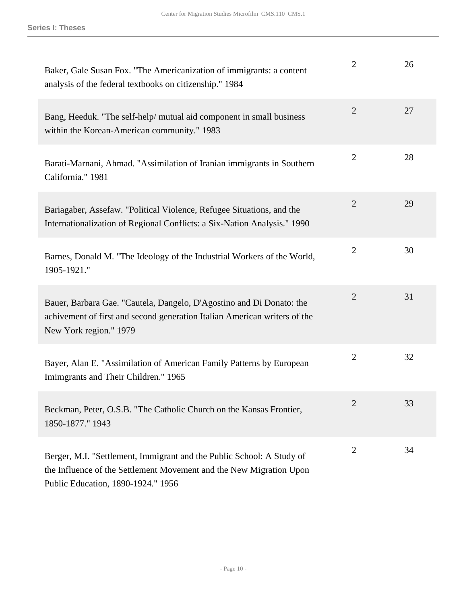| Baker, Gale Susan Fox. "The Americanization of immigrants: a content<br>analysis of the federal textbooks on citizenship." 1984                                                    | $\overline{2}$ | 26 |
|------------------------------------------------------------------------------------------------------------------------------------------------------------------------------------|----------------|----|
| Bang, Heeduk. "The self-help/ mutual aid component in small business<br>within the Korean-American community." 1983                                                                | $\overline{2}$ | 27 |
| Barati-Marnani, Ahmad. "Assimilation of Iranian immigrants in Southern<br>California." 1981                                                                                        | $\overline{2}$ | 28 |
| Bariagaber, Assefaw. "Political Violence, Refugee Situations, and the<br>Internationalization of Regional Conflicts: a Six-Nation Analysis." 1990                                  | $\overline{2}$ | 29 |
| Barnes, Donald M. "The Ideology of the Industrial Workers of the World,<br>1905-1921."                                                                                             | $\overline{2}$ | 30 |
| Bauer, Barbara Gae. "Cautela, Dangelo, D'Agostino and Di Donato: the<br>achivement of first and second generation Italian American writers of the<br>New York region." 1979        | $\overline{2}$ | 31 |
| Bayer, Alan E. "Assimilation of American Family Patterns by European<br>Imimgrants and Their Children." 1965                                                                       | $\overline{2}$ | 32 |
| Beckman, Peter, O.S.B. "The Catholic Church on the Kansas Frontier,<br>1850-1877." 1943                                                                                            | 2              | 33 |
| Berger, M.I. "Settlement, Immigrant and the Public School: A Study of<br>the Influence of the Settlement Movement and the New Migration Upon<br>Public Education, 1890-1924." 1956 | $\overline{2}$ | 34 |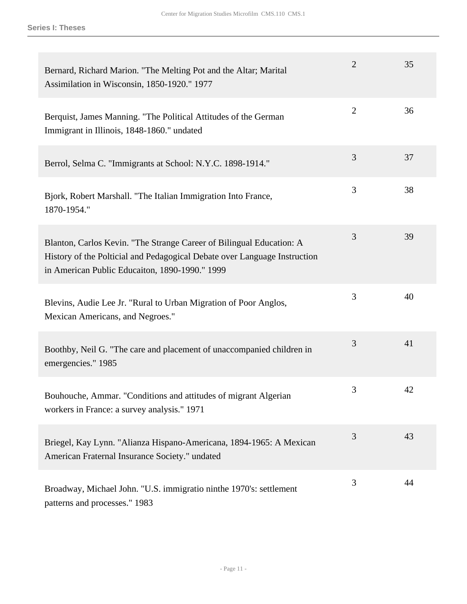| Bernard, Richard Marion. "The Melting Pot and the Altar; Marital<br>Assimilation in Wisconsin, 1850-1920." 1977                                                                                     | $\overline{2}$ | 35 |
|-----------------------------------------------------------------------------------------------------------------------------------------------------------------------------------------------------|----------------|----|
| Berquist, James Manning. "The Political Attitudes of the German<br>Immigrant in Illinois, 1848-1860." undated                                                                                       | $\overline{2}$ | 36 |
| Berrol, Selma C. "Immigrants at School: N.Y.C. 1898-1914."                                                                                                                                          | 3              | 37 |
| Bjork, Robert Marshall. "The Italian Immigration Into France,<br>1870-1954."                                                                                                                        | 3              | 38 |
| Blanton, Carlos Kevin. "The Strange Career of Bilingual Education: A<br>History of the Polticial and Pedagogical Debate over Language Instruction<br>in American Public Educaiton, 1890-1990." 1999 | 3              | 39 |
| Blevins, Audie Lee Jr. "Rural to Urban Migration of Poor Anglos,<br>Mexican Americans, and Negroes."                                                                                                | 3              | 40 |
| Boothby, Neil G. "The care and placement of unaccompanied children in<br>emergencies." 1985                                                                                                         | 3              | 41 |
| Bouhouche, Ammar. "Conditions and attitudes of migrant Algerian<br>workers in France: a survey analysis." 1971                                                                                      | 3              | 42 |
| Briegel, Kay Lynn. "Alianza Hispano-Americana, 1894-1965: A Mexican<br>American Fraternal Insurance Society." undated                                                                               | 3              | 43 |
| Broadway, Michael John. "U.S. immigratio ninthe 1970's: settlement<br>patterns and processes." 1983                                                                                                 | 3              | 44 |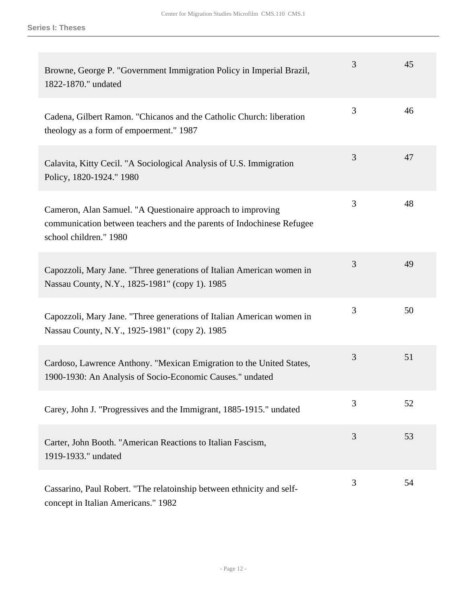| Browne, George P. "Government Immigration Policy in Imperial Brazil,<br>1822-1870." undated                                                                    | 3 | 45 |
|----------------------------------------------------------------------------------------------------------------------------------------------------------------|---|----|
| Cadena, Gilbert Ramon. "Chicanos and the Catholic Church: liberation<br>theology as a form of empoerment." 1987                                                | 3 | 46 |
| Calavita, Kitty Cecil. "A Sociological Analysis of U.S. Immigration<br>Policy, 1820-1924." 1980                                                                | 3 | 47 |
| Cameron, Alan Samuel. "A Questionaire approach to improving<br>communication between teachers and the parents of Indochinese Refugee<br>school children." 1980 | 3 | 48 |
| Capozzoli, Mary Jane. "Three generations of Italian American women in<br>Nassau County, N.Y., 1825-1981" (copy 1). 1985                                        | 3 | 49 |
| Capozzoli, Mary Jane. "Three generations of Italian American women in<br>Nassau County, N.Y., 1925-1981" (copy 2). 1985                                        | 3 | 50 |
| Cardoso, Lawrence Anthony. "Mexican Emigration to the United States,<br>1900-1930: An Analysis of Socio-Economic Causes." undated                              | 3 | 51 |
| Carey, John J. "Progressives and the Immigrant, 1885-1915." undated                                                                                            | 3 | 52 |
| Carter, John Booth. "American Reactions to Italian Fascism,<br>1919-1933." undated                                                                             | 3 | 53 |
| Cassarino, Paul Robert. "The relatoinship between ethnicity and self-<br>concept in Italian Americans." 1982                                                   | 3 | 54 |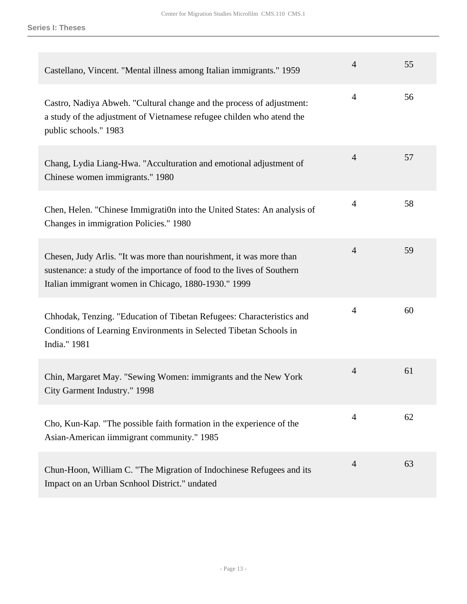| Castellano, Vincent. "Mental illness among Italian immigrants." 1959                                                                                                                                  | $\overline{4}$ | 55 |
|-------------------------------------------------------------------------------------------------------------------------------------------------------------------------------------------------------|----------------|----|
| Castro, Nadiya Abweh. "Cultural change and the process of adjustment:<br>a study of the adjustment of Vietnamese refugee childen who atend the<br>public schools." 1983                               | $\overline{4}$ | 56 |
| Chang, Lydia Liang-Hwa. "Acculturation and emotional adjustment of<br>Chinese women immigrants." 1980                                                                                                 | $\overline{4}$ | 57 |
| Chen, Helen. "Chinese Immigration into the United States: An analysis of<br>Changes in immigration Policies." 1980                                                                                    | $\overline{4}$ | 58 |
| Chesen, Judy Arlis. "It was more than nourishment, it was more than<br>sustenance: a study of the importance of food to the lives of Southern<br>Italian immigrant women in Chicago, 1880-1930." 1999 | $\overline{4}$ | 59 |
| Chhodak, Tenzing. "Education of Tibetan Refugees: Characteristics and<br>Conditions of Learning Environments in Selected Tibetan Schools in<br>India." 1981                                           | $\overline{4}$ | 60 |
| Chin, Margaret May. "Sewing Women: immigrants and the New York<br>City Garment Industry." 1998                                                                                                        | $\overline{4}$ | 61 |
| Cho, Kun-Kap. "The possible faith formation in the experience of the<br>Asian-American iimmigrant community." 1985                                                                                    | $\overline{4}$ | 62 |
| Chun-Hoon, William C. "The Migration of Indochinese Refugees and its<br>Impact on an Urban Scnhool District." undated                                                                                 | $\overline{4}$ | 63 |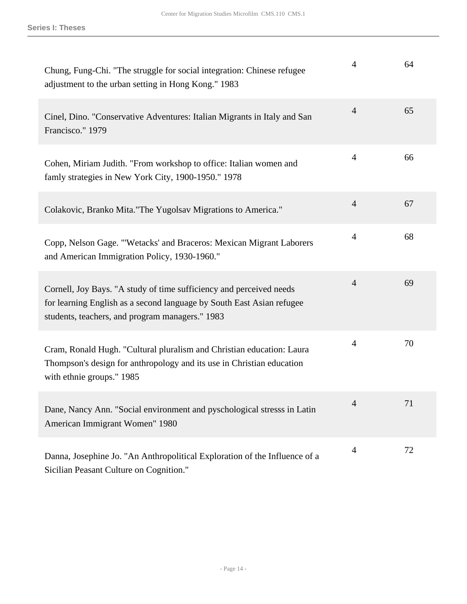| Chung, Fung-Chi. "The struggle for social integration: Chinese refugee<br>adjustment to the urban setting in Hong Kong." 1983                                                                   | $\overline{4}$ | 64 |
|-------------------------------------------------------------------------------------------------------------------------------------------------------------------------------------------------|----------------|----|
| Cinel, Dino. "Conservative Adventures: Italian Migrants in Italy and San<br>Francisco." 1979                                                                                                    | $\overline{4}$ | 65 |
| Cohen, Miriam Judith. "From workshop to office: Italian women and<br>famly strategies in New York City, 1900-1950." 1978                                                                        | $\overline{4}$ | 66 |
| Colakovic, Branko Mita."The Yugolsav Migrations to America."                                                                                                                                    | $\overline{4}$ | 67 |
| Copp, Nelson Gage. "'Wetacks' and Braceros: Mexican Migrant Laborers<br>and American Immigration Policy, 1930-1960."                                                                            | $\overline{4}$ | 68 |
| Cornell, Joy Bays. "A study of time sufficiency and perceived needs<br>for learning English as a second language by South East Asian refugee<br>students, teachers, and program managers." 1983 | $\overline{4}$ | 69 |
| Cram, Ronald Hugh. "Cultural pluralism and Christian education: Laura<br>Thompson's design for anthropology and its use in Christian education<br>with ethnie groups." 1985                     | $\overline{4}$ | 70 |
| Dane, Nancy Ann. "Social environment and pyschological stresss in Latin<br>American Immigrant Women" 1980                                                                                       | 4              | 71 |
| Danna, Josephine Jo. "An Anthropolitical Exploration of the Influence of a<br>Sicilian Peasant Culture on Cognition."                                                                           | $\overline{4}$ | 72 |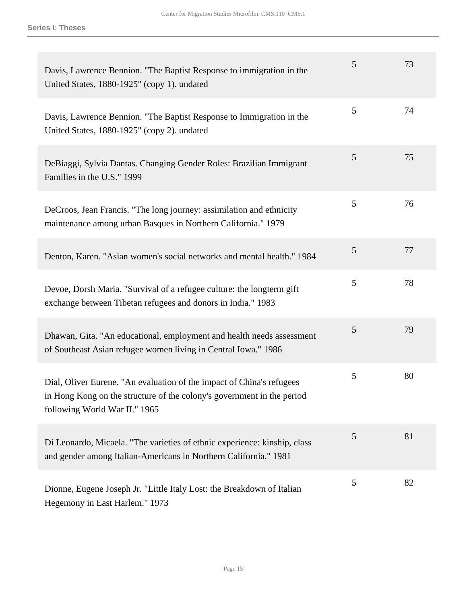| Davis, Lawrence Bennion. "The Baptist Response to immigration in the<br>United States, 1880-1925" (copy 1). undated                                                              | 5 | 73 |
|----------------------------------------------------------------------------------------------------------------------------------------------------------------------------------|---|----|
| Davis, Lawrence Bennion. "The Baptist Response to Immigration in the<br>United States, 1880-1925" (copy 2). undated                                                              | 5 | 74 |
| DeBiaggi, Sylvia Dantas. Changing Gender Roles: Brazilian Immigrant<br>Families in the U.S." 1999                                                                                | 5 | 75 |
| DeCroos, Jean Francis. "The long journey: assimilation and ethnicity<br>maintenance among urban Basques in Northern California." 1979                                            | 5 | 76 |
| Denton, Karen. "Asian women's social networks and mental health." 1984                                                                                                           | 5 | 77 |
| Devoe, Dorsh Maria. "Survival of a refugee culture: the longterm gift<br>exchange between Tibetan refugees and donors in India." 1983                                            | 5 | 78 |
| Dhawan, Gita. "An educational, employment and health needs assessment<br>of Southeast Asian refugee women living in Central Iowa." 1986                                          | 5 | 79 |
| Dial, Oliver Eurene. "An evaluation of the impact of China's refugees<br>in Hong Kong on the structure of the colony's government in the period<br>following World War II." 1965 | 5 | 80 |
| Di Leonardo, Micaela. "The varieties of ethnic experience: kinship, class<br>and gender among Italian-Americans in Northern California." 1981                                    | 5 | 81 |
| Dionne, Eugene Joseph Jr. "Little Italy Lost: the Breakdown of Italian<br>Hegemony in East Harlem." 1973                                                                         | 5 | 82 |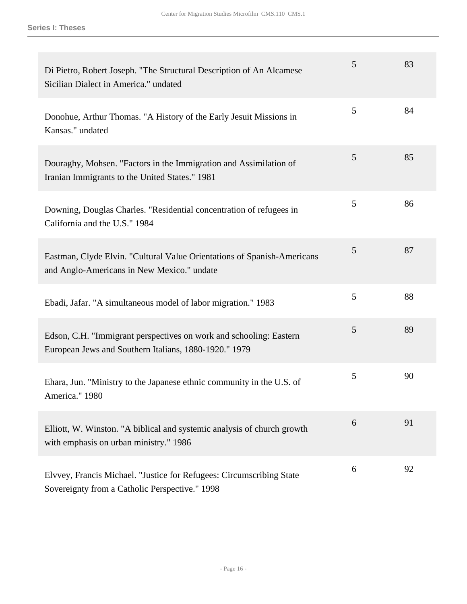| Di Pietro, Robert Joseph. "The Structural Description of An Alcamese<br>Sicilian Dialect in America." undated               | 5 | 83 |
|-----------------------------------------------------------------------------------------------------------------------------|---|----|
| Donohue, Arthur Thomas. "A History of the Early Jesuit Missions in<br>Kansas." undated                                      | 5 | 84 |
| Douraghy, Mohsen. "Factors in the Immigration and Assimilation of<br>Iranian Immigrants to the United States." 1981         | 5 | 85 |
| Downing, Douglas Charles. "Residential concentration of refugees in<br>California and the U.S." 1984                        | 5 | 86 |
| Eastman, Clyde Elvin. "Cultural Value Orientations of Spanish-Americans<br>and Anglo-Americans in New Mexico." undate       | 5 | 87 |
| Ebadi, Jafar. "A simultaneous model of labor migration." 1983                                                               | 5 | 88 |
| Edson, C.H. "Immigrant perspectives on work and schooling: Eastern<br>European Jews and Southern Italians, 1880-1920." 1979 | 5 | 89 |
| Ehara, Jun. "Ministry to the Japanese ethnic community in the U.S. of<br>America." 1980                                     | 5 | 90 |
| Elliott, W. Winston. "A biblical and systemic analysis of church growth<br>with emphasis on urban ministry." 1986           | 6 | 91 |
| Elvvey, Francis Michael. "Justice for Refugees: Circumscribing State<br>Sovereignty from a Catholic Perspective." 1998      | 6 | 92 |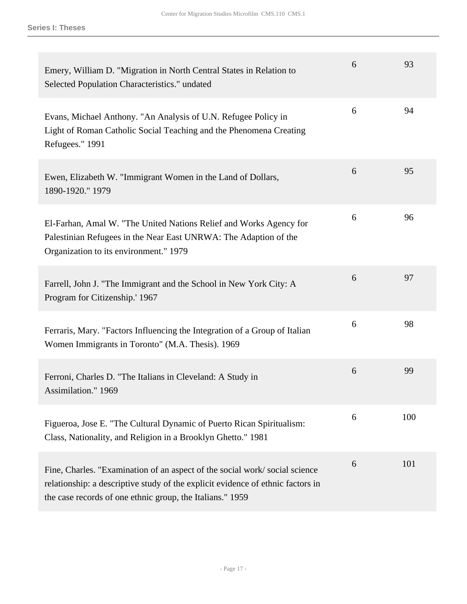| Emery, William D. "Migration in North Central States in Relation to<br>Selected Population Characteristics." undated                                                                                                       | 6 | 93  |
|----------------------------------------------------------------------------------------------------------------------------------------------------------------------------------------------------------------------------|---|-----|
| Evans, Michael Anthony. "An Analysis of U.N. Refugee Policy in<br>Light of Roman Catholic Social Teaching and the Phenomena Creating<br>Refugees." 1991                                                                    | 6 | 94  |
| Ewen, Elizabeth W. "Immigrant Women in the Land of Dollars,<br>1890-1920." 1979                                                                                                                                            | 6 | 95  |
| El-Farhan, Amal W. "The United Nations Relief and Works Agency for<br>Palestinian Refugees in the Near East UNRWA: The Adaption of the<br>Organization to its environment." 1979                                           | 6 | 96  |
| Farrell, John J. "The Immigrant and the School in New York City: A<br>Program for Citizenship.' 1967                                                                                                                       | 6 | 97  |
| Ferraris, Mary. "Factors Influencing the Integration of a Group of Italian<br>Women Immigrants in Toronto" (M.A. Thesis). 1969                                                                                             | 6 | 98  |
| Ferroni, Charles D. "The Italians in Cleveland: A Study in<br>Assimilation." 1969                                                                                                                                          | 6 | 99  |
| Figueroa, Jose E. "The Cultural Dynamic of Puerto Rican Spiritualism:<br>Class, Nationality, and Religion in a Brooklyn Ghetto." 1981                                                                                      | 6 | 100 |
| Fine, Charles. "Examination of an aspect of the social work/social science<br>relationship: a descriptive study of the explicit evidence of ethnic factors in<br>the case records of one ethnic group, the Italians." 1959 | 6 | 101 |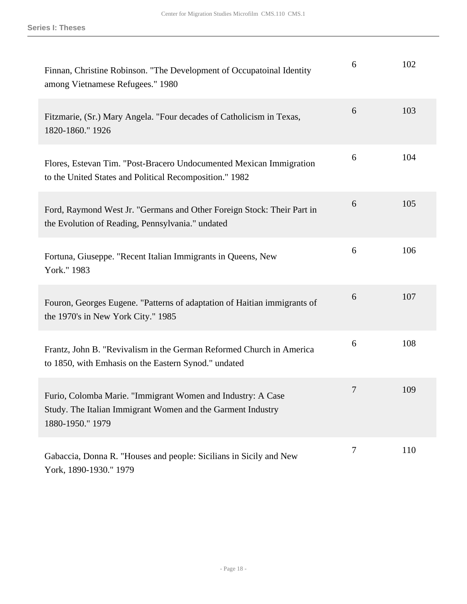| Finnan, Christine Robinson. "The Development of Occupatoinal Identity<br>among Vietnamese Refugees." 1980                                      | 6 | 102 |
|------------------------------------------------------------------------------------------------------------------------------------------------|---|-----|
| Fitzmarie, (Sr.) Mary Angela. "Four decades of Catholicism in Texas,<br>1820-1860." 1926                                                       | 6 | 103 |
| Flores, Estevan Tim. "Post-Bracero Undocumented Mexican Immigration<br>to the United States and Political Recomposition." 1982                 | 6 | 104 |
| Ford, Raymond West Jr. "Germans and Other Foreign Stock: Their Part in<br>the Evolution of Reading, Pennsylvania." undated                     | 6 | 105 |
| Fortuna, Giuseppe. "Recent Italian Immigrants in Queens, New<br>York." 1983                                                                    | 6 | 106 |
| Fouron, Georges Eugene. "Patterns of adaptation of Haitian immigrants of<br>the 1970's in New York City." 1985                                 | 6 | 107 |
| Frantz, John B. "Revivalism in the German Reformed Church in America<br>to 1850, with Emhasis on the Eastern Synod." undated                   | 6 | 108 |
| Furio, Colomba Marie. "Immigrant Women and Industry: A Case<br>Study. The Italian Immigrant Women and the Garment Industry<br>1880-1950." 1979 | 7 | 109 |
| Gabaccia, Donna R. "Houses and people: Sicilians in Sicily and New<br>York, 1890-1930." 1979                                                   | 7 | 110 |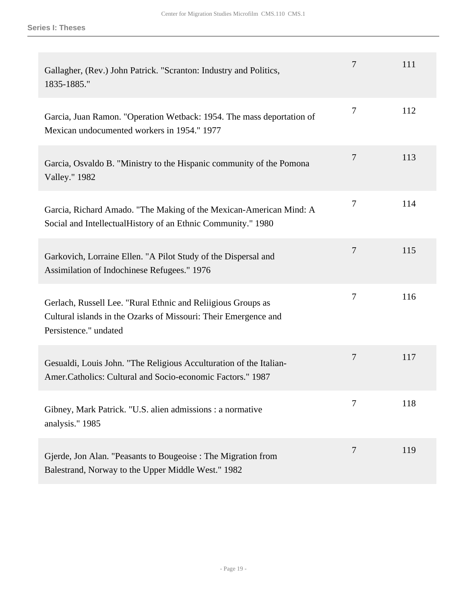| Gallagher, (Rev.) John Patrick. "Scranton: Industry and Politics,<br>1835-1885."                                                                         | 7              | 111 |
|----------------------------------------------------------------------------------------------------------------------------------------------------------|----------------|-----|
| Garcia, Juan Ramon. "Operation Wetback: 1954. The mass deportation of<br>Mexican undocumented workers in 1954." 1977                                     | 7              | 112 |
| Garcia, Osvaldo B. "Ministry to the Hispanic community of the Pomona<br><b>Valley."</b> 1982                                                             | 7              | 113 |
| Garcia, Richard Amado. "The Making of the Mexican-American Mind: A<br>Social and IntellectualHistory of an Ethnic Community." 1980                       | 7              | 114 |
| Garkovich, Lorraine Ellen. "A Pilot Study of the Dispersal and<br>Assimilation of Indochinese Refugees." 1976                                            | $\overline{7}$ | 115 |
| Gerlach, Russell Lee. "Rural Ethnic and Reliigious Groups as<br>Cultural islands in the Ozarks of Missouri: Their Emergence and<br>Persistence." undated | 7              | 116 |
| Gesualdi, Louis John. "The Religious Acculturation of the Italian-<br>Amer.Catholics: Cultural and Socio-economic Factors." 1987                         | 7              | 117 |
| Gibney, Mark Patrick. "U.S. alien admissions : a normative<br>analysis." 1985                                                                            | 7              | 118 |
| Gjerde, Jon Alan. "Peasants to Bougeoise: The Migration from<br>Balestrand, Norway to the Upper Middle West." 1982                                       | 7              | 119 |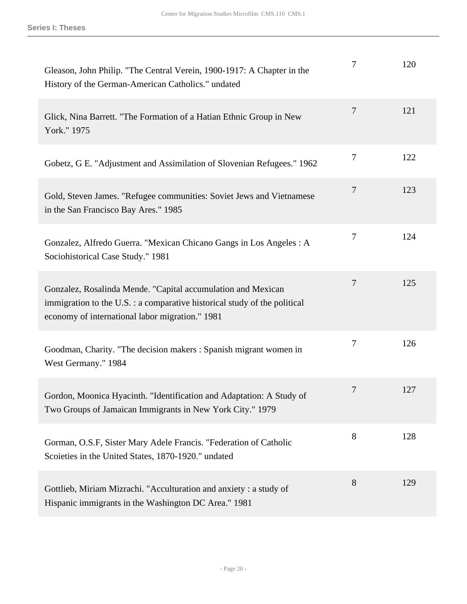| Gleason, John Philip. "The Central Verein, 1900-1917: A Chapter in the<br>History of the German-American Catholics." undated                                                                 | 7              | 120 |
|----------------------------------------------------------------------------------------------------------------------------------------------------------------------------------------------|----------------|-----|
| Glick, Nina Barrett. "The Formation of a Hatian Ethnic Group in New<br>York." 1975                                                                                                           | $\overline{7}$ | 121 |
| Gobetz, G E. "Adjustment and Assimilation of Slovenian Refugees." 1962                                                                                                                       | 7              | 122 |
| Gold, Steven James. "Refugee communities: Soviet Jews and Vietnamese<br>in the San Francisco Bay Ares." 1985                                                                                 | 7              | 123 |
| Gonzalez, Alfredo Guerra. "Mexican Chicano Gangs in Los Angeles : A<br>Sociohistorical Case Study." 1981                                                                                     | 7              | 124 |
| Gonzalez, Rosalinda Mende. "Capital accumulation and Mexican<br>immigration to the U.S. : a comparative historical study of the political<br>economy of international labor migration." 1981 | $\overline{7}$ | 125 |
| Goodman, Charity. "The decision makers: Spanish migrant women in<br>West Germany." 1984                                                                                                      | 7              | 126 |
| Gordon, Moonica Hyacinth. "Identification and Adaptation: A Study of<br>Two Groups of Jamaican Immigrants in New York City." 1979                                                            | 7              | 127 |
| Gorman, O.S.F, Sister Mary Adele Francis. "Federation of Catholic<br>Scoieties in the United States, 1870-1920." undated                                                                     | 8              | 128 |
| Gottlieb, Miriam Mizrachi. "Acculturation and anxiety: a study of<br>Hispanic immigrants in the Washington DC Area." 1981                                                                    | 8              | 129 |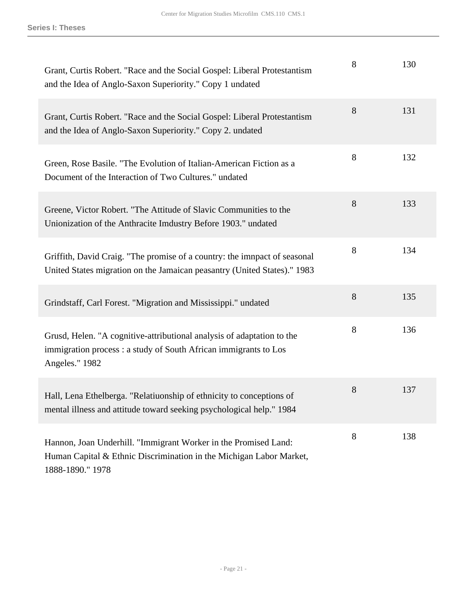| Grant, Curtis Robert. "Race and the Social Gospel: Liberal Protestantism<br>and the Idea of Anglo-Saxon Superiority." Copy 1 undated                         | 8 | 130 |
|--------------------------------------------------------------------------------------------------------------------------------------------------------------|---|-----|
| Grant, Curtis Robert. "Race and the Social Gospel: Liberal Protestantism<br>and the Idea of Anglo-Saxon Superiority." Copy 2. undated                        | 8 | 131 |
| Green, Rose Basile. "The Evolution of Italian-American Fiction as a<br>Document of the Interaction of Two Cultures." undated                                 | 8 | 132 |
| Greene, Victor Robert. "The Attitude of Slavic Communities to the<br>Unionization of the Anthracite Imdustry Before 1903." undated                           | 8 | 133 |
| Griffith, David Craig. "The promise of a country: the imnpact of seasonal<br>United States migration on the Jamaican peasantry (United States)." 1983        | 8 | 134 |
| Grindstaff, Carl Forest. "Migration and Mississippi." undated                                                                                                | 8 | 135 |
| Grusd, Helen. "A cognitive-attributional analysis of adaptation to the<br>immigration process : a study of South African immigrants to Los<br>Angeles." 1982 | 8 | 136 |
| Hall, Lena Ethelberga. "Relatiuonship of ethnicity to conceptions of<br>mental illness and attitude toward seeking psychological help." 1984                 | 8 | 137 |
| Hannon, Joan Underhill. "Immigrant Worker in the Promised Land:<br>Human Capital & Ethnic Discrimination in the Michigan Labor Market,<br>1888-1890." 1978   | 8 | 138 |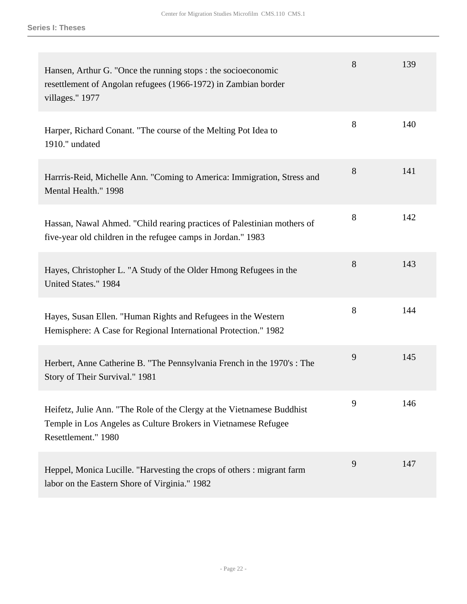| Hansen, Arthur G. "Once the running stops : the socioeconomic<br>resettlement of Angolan refugees (1966-1972) in Zambian border<br>villages." 1977              | 8 | 139 |
|-----------------------------------------------------------------------------------------------------------------------------------------------------------------|---|-----|
| Harper, Richard Conant. "The course of the Melting Pot Idea to<br>1910." undated                                                                                | 8 | 140 |
| Harrris-Reid, Michelle Ann. "Coming to America: Immigration, Stress and<br>Mental Health." 1998                                                                 | 8 | 141 |
| Hassan, Nawal Ahmed. "Child rearing practices of Palestinian mothers of<br>five-year old children in the refugee camps in Jordan." 1983                         | 8 | 142 |
| Hayes, Christopher L. "A Study of the Older Hmong Refugees in the<br>United States." 1984                                                                       | 8 | 143 |
| Hayes, Susan Ellen. "Human Rights and Refugees in the Western<br>Hemisphere: A Case for Regional International Protection." 1982                                | 8 | 144 |
| Herbert, Anne Catherine B. "The Pennsylvania French in the 1970's : The<br>Story of Their Survival." 1981                                                       | 9 | 145 |
| Heifetz, Julie Ann. "The Role of the Clergy at the Vietnamese Buddhist<br>Temple in Los Angeles as Culture Brokers in Vietnamese Refugee<br>Resettlement." 1980 | 9 | 146 |
| Heppel, Monica Lucille. "Harvesting the crops of others: migrant farm<br>labor on the Eastern Shore of Virginia." 1982                                          | 9 | 147 |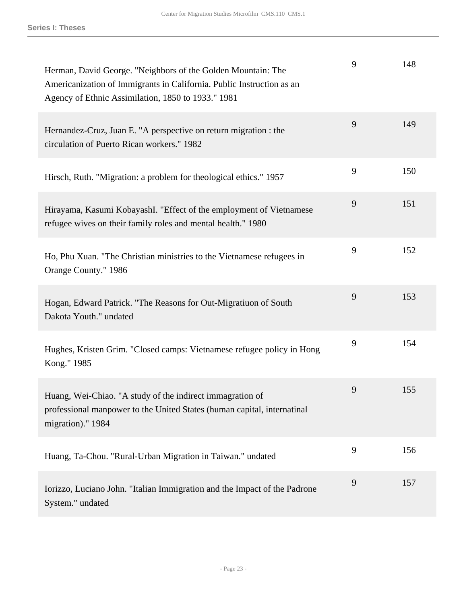| Herman, David George. "Neighbors of the Golden Mountain: The<br>Americanization of Immigrants in California. Public Instruction as an<br>Agency of Ethnic Assimilation, 1850 to 1933." 1981 | 9 | 148 |
|---------------------------------------------------------------------------------------------------------------------------------------------------------------------------------------------|---|-----|
| Hernandez-Cruz, Juan E. "A perspective on return migration : the<br>circulation of Puerto Rican workers." 1982                                                                              | 9 | 149 |
| Hirsch, Ruth. "Migration: a problem for theological ethics." 1957                                                                                                                           | 9 | 150 |
| Hirayama, Kasumi KobayashI. "Effect of the employment of Vietnamese<br>refugee wives on their family roles and mental health." 1980                                                         | 9 | 151 |
| Ho, Phu Xuan. "The Christian ministries to the Vietnamese refugees in<br>Orange County." 1986                                                                                               | 9 | 152 |
| Hogan, Edward Patrick. "The Reasons for Out-Migratiuon of South<br>Dakota Youth." undated                                                                                                   | 9 | 153 |
| Hughes, Kristen Grim. "Closed camps: Vietnamese refugee policy in Hong<br>Kong." 1985                                                                                                       | 9 | 154 |
| Huang, Wei-Chiao. "A study of the indirect immagration of<br>professional manpower to the United States (human capital, internatinal<br>migration)." 1984                                   | 9 | 155 |
| Huang, Ta-Chou. "Rural-Urban Migration in Taiwan." undated                                                                                                                                  | 9 | 156 |
| Iorizzo, Luciano John. "Italian Immigration and the Impact of the Padrone<br>System." undated                                                                                               | 9 | 157 |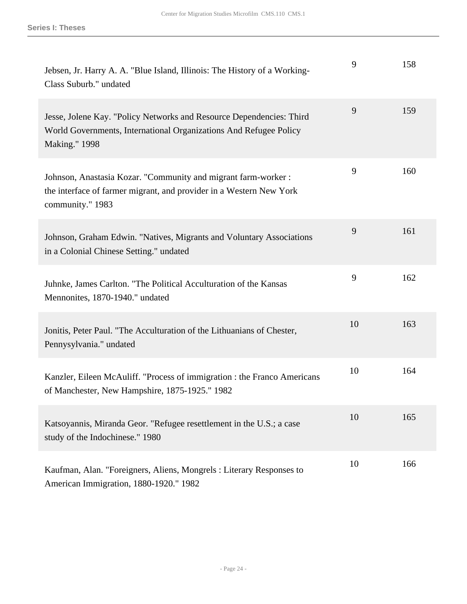| Jebsen, Jr. Harry A. A. "Blue Island, Illinois: The History of a Working-<br>Class Suburb." undated                                                               | 9  | 158 |
|-------------------------------------------------------------------------------------------------------------------------------------------------------------------|----|-----|
| Jesse, Jolene Kay. "Policy Networks and Resource Dependencies: Third<br>World Governments, International Organizations And Refugee Policy<br><b>Making."</b> 1998 | 9  | 159 |
| Johnson, Anastasia Kozar. "Community and migrant farm-worker :<br>the interface of farmer migrant, and provider in a Western New York<br>community." 1983         | 9  | 160 |
| Johnson, Graham Edwin. "Natives, Migrants and Voluntary Associations<br>in a Colonial Chinese Setting." undated                                                   | 9  | 161 |
| Juhnke, James Carlton. "The Political Acculturation of the Kansas<br>Mennonites, 1870-1940." undated                                                              | 9  | 162 |
| Jonitis, Peter Paul. "The Acculturation of the Lithuanians of Chester,<br>Pennysylvania." undated                                                                 | 10 | 163 |
| Kanzler, Eileen McAuliff. "Process of immigration : the Franco Americans<br>of Manchester, New Hampshire, 1875-1925." 1982                                        | 10 | 164 |
| Katsoyannis, Miranda Geor. "Refugee resettlement in the U.S.; a case<br>study of the Indochinese." 1980                                                           | 10 | 165 |
| Kaufman, Alan. "Foreigners, Aliens, Mongrels: Literary Responses to<br>American Immigration, 1880-1920." 1982                                                     | 10 | 166 |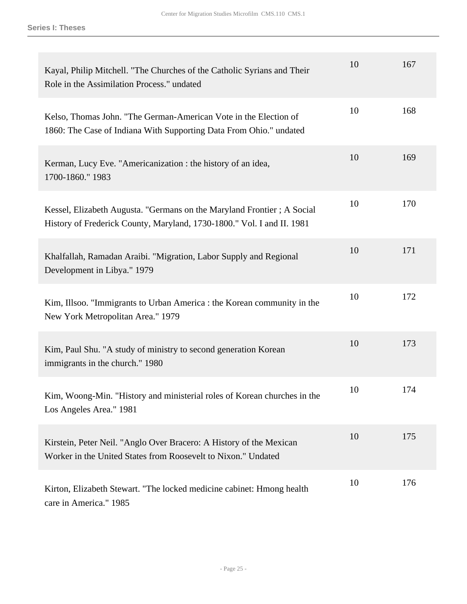| Kayal, Philip Mitchell. "The Churches of the Catholic Syrians and Their<br>Role in the Assimilation Process." undated                            | 10 | 167 |
|--------------------------------------------------------------------------------------------------------------------------------------------------|----|-----|
| Kelso, Thomas John. "The German-American Vote in the Election of<br>1860: The Case of Indiana With Supporting Data From Ohio." undated           | 10 | 168 |
| Kerman, Lucy Eve. "Americanization : the history of an idea,<br>1700-1860." 1983                                                                 | 10 | 169 |
| Kessel, Elizabeth Augusta. "Germans on the Maryland Frontier; A Social<br>History of Frederick County, Maryland, 1730-1800." Vol. I and II. 1981 | 10 | 170 |
| Khalfallah, Ramadan Araibi. "Migration, Labor Supply and Regional<br>Development in Libya." 1979                                                 | 10 | 171 |
| Kim, Illsoo. "Immigrants to Urban America : the Korean community in the<br>New York Metropolitan Area." 1979                                     | 10 | 172 |
| Kim, Paul Shu. "A study of ministry to second generation Korean<br>immigrants in the church." 1980                                               | 10 | 173 |
| Kim, Woong-Min. "History and ministerial roles of Korean churches in the<br>Los Angeles Area." 1981                                              | 10 | 174 |
| Kirstein, Peter Neil. "Anglo Over Bracero: A History of the Mexican<br>Worker in the United States from Roosevelt to Nixon." Undated             | 10 | 175 |
| Kirton, Elizabeth Stewart. "The locked medicine cabinet: Hmong health<br>care in America." 1985                                                  | 10 | 176 |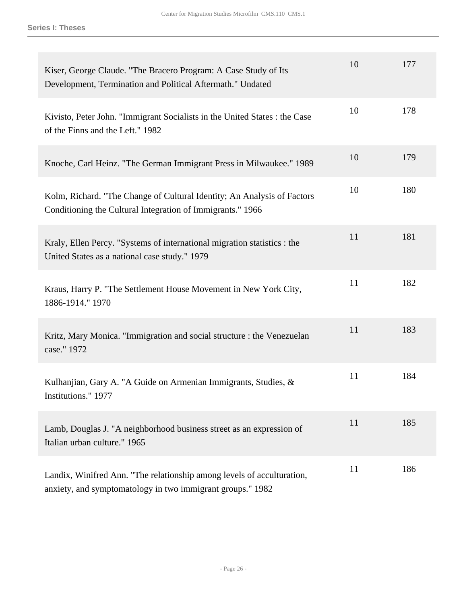| Kiser, George Claude. "The Bracero Program: A Case Study of Its<br>Development, Termination and Political Aftermath." Undated         | 10 | 177 |
|---------------------------------------------------------------------------------------------------------------------------------------|----|-----|
| Kivisto, Peter John. "Immigrant Socialists in the United States : the Case<br>of the Finns and the Left." 1982                        | 10 | 178 |
| Knoche, Carl Heinz. "The German Immigrant Press in Milwaukee." 1989                                                                   | 10 | 179 |
| Kolm, Richard. "The Change of Cultural Identity; An Analysis of Factors<br>Conditioning the Cultural Integration of Immigrants." 1966 | 10 | 180 |
| Kraly, Ellen Percy. "Systems of international migration statistics : the<br>United States as a national case study." 1979             | 11 | 181 |
| Kraus, Harry P. "The Settlement House Movement in New York City,<br>1886-1914." 1970                                                  | 11 | 182 |
| Kritz, Mary Monica. "Immigration and social structure : the Venezuelan<br>case." 1972                                                 | 11 | 183 |
| Kulhanjian, Gary A. "A Guide on Armenian Immigrants, Studies, &<br>Institutions." 1977                                                | 11 | 184 |
| Lamb, Douglas J. "A neighborhood business street as an expression of<br>Italian urban culture." 1965                                  | 11 | 185 |
| Landix, Winifred Ann. "The relationship among levels of acculturation,<br>anxiety, and symptomatology in two immigrant groups." 1982  | 11 | 186 |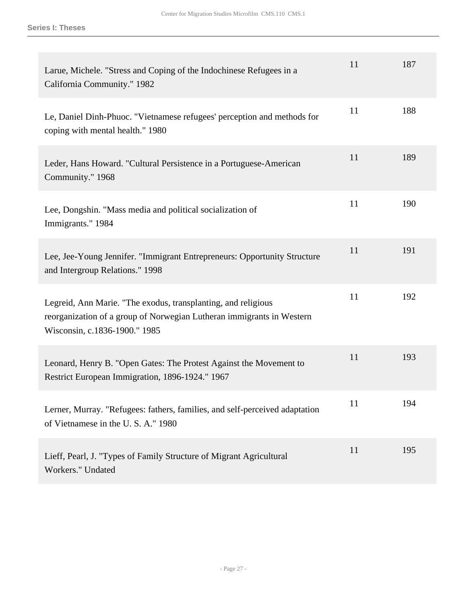| Larue, Michele. "Stress and Coping of the Indochinese Refugees in a<br>California Community." 1982                                                                      | 11 | 187 |
|-------------------------------------------------------------------------------------------------------------------------------------------------------------------------|----|-----|
| Le, Daniel Dinh-Phuoc. "Vietnamese refugees' perception and methods for<br>coping with mental health." 1980                                                             | 11 | 188 |
| Leder, Hans Howard. "Cultural Persistence in a Portuguese-American<br>Community." 1968                                                                                  | 11 | 189 |
| Lee, Dongshin. "Mass media and political socialization of<br>Immigrants." 1984                                                                                          | 11 | 190 |
| Lee, Jee-Young Jennifer. "Immigrant Entrepreneurs: Opportunity Structure<br>and Intergroup Relations." 1998                                                             | 11 | 191 |
| Legreid, Ann Marie. "The exodus, transplanting, and religious<br>reorganization of a group of Norwegian Lutheran immigrants in Western<br>Wisconsin, c.1836-1900." 1985 | 11 | 192 |
| Leonard, Henry B. "Open Gates: The Protest Against the Movement to<br>Restrict European Immigration, 1896-1924." 1967                                                   | 11 | 193 |
| Lerner, Murray. "Refugees: fathers, families, and self-perceived adaptation<br>of Vietnamese in the U.S.A." 1980                                                        | 11 | 194 |
| Lieff, Pearl, J. "Types of Family Structure of Migrant Agricultural<br>Workers." Undated                                                                                | 11 | 195 |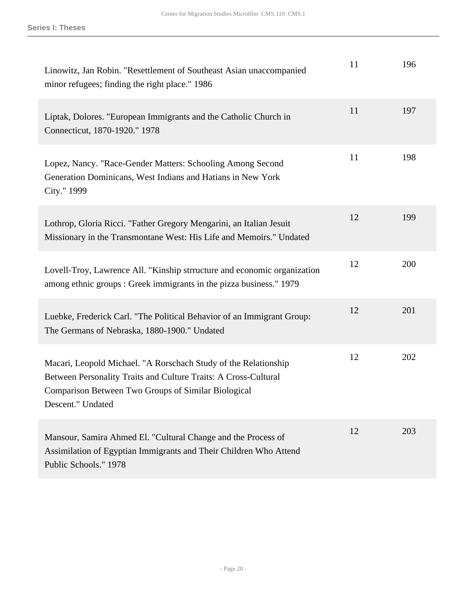| Linowitz, Jan Robin. "Resettlement of Southeast Asian unaccompanied<br>minor refugees; finding the right place." 1986                                                                                          | 11 | 196 |
|----------------------------------------------------------------------------------------------------------------------------------------------------------------------------------------------------------------|----|-----|
| Liptak, Dolores. "European Immigrants and the Catholic Church in<br>Connecticut, 1870-1920." 1978                                                                                                              | 11 | 197 |
| Lopez, Nancy. "Race-Gender Matters: Schooling Among Second<br>Generation Dominicans, West Indians and Hatians in New York<br>City." 1999                                                                       | 11 | 198 |
| Lothrop, Gloria Ricci. "Father Gregory Mengarini, an Italian Jesuit<br>Missionary in the Transmontane West: His Life and Memoirs." Undated                                                                     | 12 | 199 |
| Lovell-Troy, Lawrence All. "Kinship strructure and economic organization<br>among ethnic groups: Greek immigrants in the pizza business." 1979                                                                 | 12 | 200 |
| Luebke, Frederick Carl. "The Political Behavior of an Immigrant Group:<br>The Germans of Nebraska, 1880-1900." Undated                                                                                         | 12 | 201 |
| Macari, Leopold Michael. "A Rorschach Study of the Relationship<br>Between Personality Traits and Culture Traits: A Cross-Cultural<br>Comparison Between Two Groups of Similar Biological<br>Descent." Undated | 12 | 202 |
| Mansour, Samira Ahmed El. "Cultural Change and the Process of<br>Assimilation of Egyptian Immigrants and Their Children Who Attend<br>Public Schools." 1978                                                    | 12 | 203 |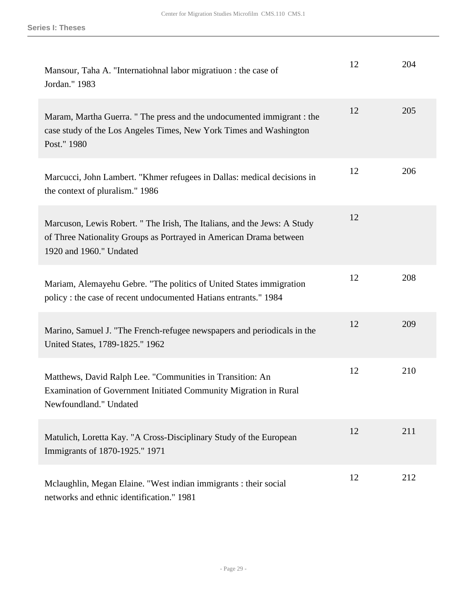| Mansour, Taha A. "Internatiohnal labor migratiuon : the case of<br>Jordan." 1983                                                                                         | 12 | 204 |
|--------------------------------------------------------------------------------------------------------------------------------------------------------------------------|----|-----|
| Maram, Martha Guerra. " The press and the undocumented immigrant : the<br>case study of the Los Angeles Times, New York Times and Washington<br>Post." 1980              | 12 | 205 |
| Marcucci, John Lambert. "Khmer refugees in Dallas: medical decisions in<br>the context of pluralism." 1986                                                               | 12 | 206 |
| Marcuson, Lewis Robert. "The Irish, The Italians, and the Jews: A Study<br>of Three Nationality Groups as Portrayed in American Drama between<br>1920 and 1960." Undated | 12 |     |
| Mariam, Alemayehu Gebre. "The politics of United States immigration<br>policy: the case of recent undocumented Hatians entrants." 1984                                   | 12 | 208 |
| Marino, Samuel J. "The French-refugee newspapers and periodicals in the<br>United States, 1789-1825." 1962                                                               | 12 | 209 |
| Matthews, David Ralph Lee. "Communities in Transition: An<br>Examination of Government Initiated Community Migration in Rural<br>Newfoundland." Undated                  | 12 | 210 |
| Matulich, Loretta Kay. "A Cross-Disciplinary Study of the European<br>Immigrants of 1870-1925." 1971                                                                     | 12 | 211 |
| Mclaughlin, Megan Elaine. "West indian immigrants : their social<br>networks and ethnic identification." 1981                                                            | 12 | 212 |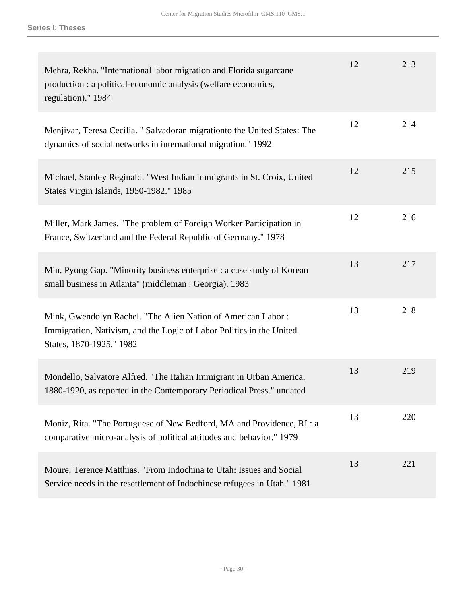| Mehra, Rekha. "International labor migration and Florida sugarcane<br>production : a political-economic analysis (welfare economics,<br>regulation)." 1984       | 12 | 213 |
|------------------------------------------------------------------------------------------------------------------------------------------------------------------|----|-----|
| Menjivar, Teresa Cecilia. " Salvadoran migration to the United States: The<br>dynamics of social networks in international migration." 1992                      | 12 | 214 |
| Michael, Stanley Reginald. "West Indian immigrants in St. Croix, United<br>States Virgin Islands, 1950-1982." 1985                                               | 12 | 215 |
| Miller, Mark James. "The problem of Foreign Worker Participation in<br>France, Switzerland and the Federal Republic of Germany." 1978                            | 12 | 216 |
| Min, Pyong Gap. "Minority business enterprise : a case study of Korean<br>small business in Atlanta" (middleman : Georgia). 1983                                 | 13 | 217 |
| Mink, Gwendolyn Rachel. "The Alien Nation of American Labor:<br>Immigration, Nativism, and the Logic of Labor Politics in the United<br>States, 1870-1925." 1982 | 13 | 218 |
| Mondello, Salvatore Alfred. "The Italian Immigrant in Urban America,<br>1880-1920, as reported in the Contemporary Periodical Press." undated                    | 13 | 219 |
| Moniz, Rita. "The Portuguese of New Bedford, MA and Providence, RI : a<br>comparative micro-analysis of political attitudes and behavior." 1979                  | 13 | 220 |
| Moure, Terence Matthias. "From Indochina to Utah: Issues and Social<br>Service needs in the resettlement of Indochinese refugees in Utah." 1981                  | 13 | 221 |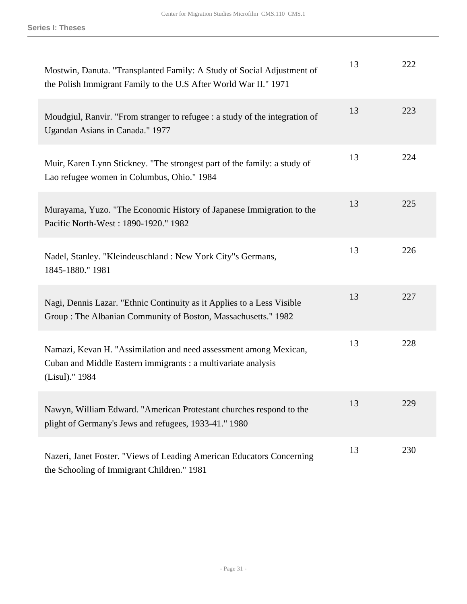| Mostwin, Danuta. "Transplanted Family: A Study of Social Adjustment of<br>the Polish Immigrant Family to the U.S After World War II." 1971           | 13 | 222 |
|------------------------------------------------------------------------------------------------------------------------------------------------------|----|-----|
| Moudgiul, Ranvir. "From stranger to refugee : a study of the integration of<br>Ugandan Asians in Canada." 1977                                       | 13 | 223 |
| Muir, Karen Lynn Stickney. "The strongest part of the family: a study of<br>Lao refugee women in Columbus, Ohio." 1984                               | 13 | 224 |
| Murayama, Yuzo. "The Economic History of Japanese Immigration to the<br>Pacific North-West: 1890-1920." 1982                                         | 13 | 225 |
| Nadel, Stanley. "Kleindeuschland : New York City"s Germans,<br>1845-1880." 1981                                                                      | 13 | 226 |
| Nagi, Dennis Lazar. "Ethnic Continuity as it Applies to a Less Visible<br>Group: The Albanian Community of Boston, Massachusetts." 1982              | 13 | 227 |
| Namazi, Kevan H. "Assimilation and need assessment among Mexican,<br>Cuban and Middle Eastern immigrants : a multivariate analysis<br>(Lisul)." 1984 | 13 | 228 |
| Nawyn, William Edward. "American Protestant churches respond to the<br>plight of Germany's Jews and refugees, 1933-41." 1980                         | 13 | 229 |
| Nazeri, Janet Foster. "Views of Leading American Educators Concerning<br>the Schooling of Immigrant Children." 1981                                  | 13 | 230 |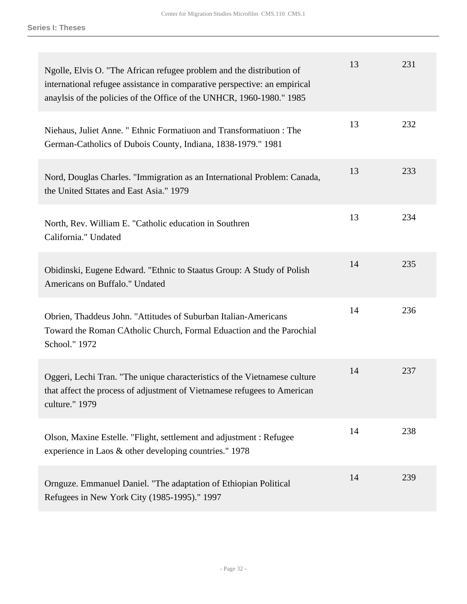| Ngolle, Elvis O. "The African refugee problem and the distribution of<br>international refugee assistance in comparative perspective: an empirical<br>anaylsis of the policies of the Office of the UNHCR, 1960-1980." 1985 | 13 | 231 |
|-----------------------------------------------------------------------------------------------------------------------------------------------------------------------------------------------------------------------------|----|-----|
| Niehaus, Juliet Anne. " Ethnic Formatiuon and Transformatiuon : The<br>German-Catholics of Dubois County, Indiana, 1838-1979." 1981                                                                                         | 13 | 232 |
| Nord, Douglas Charles. "Immigration as an International Problem: Canada,<br>the United Sttates and East Asia." 1979                                                                                                         | 13 | 233 |
| North, Rev. William E. "Catholic education in Southren<br>California." Undated                                                                                                                                              | 13 | 234 |
| Obidinski, Eugene Edward. "Ethnic to Staatus Group: A Study of Polish<br>Americans on Buffalo." Undated                                                                                                                     | 14 | 235 |
| Obrien, Thaddeus John. "Attitudes of Suburban Italian-Americans<br>Toward the Roman CAtholic Church, Formal Eduaction and the Parochial<br>School." 1972                                                                    | 14 | 236 |
| Oggeri, Lechi Tran. "The unique characteristics of the Vietnamese culture<br>that affect the process of adjustment of Vietnamese refugees to American<br>culture." 1979                                                     | 14 | 237 |
| Olson, Maxine Estelle. "Flight, settlement and adjustment : Refugee<br>experience in Laos & other developing countries." 1978                                                                                               | 14 | 238 |
| Ornguze. Emmanuel Daniel. "The adaptation of Ethiopian Political<br>Refugees in New York City (1985-1995)." 1997                                                                                                            | 14 | 239 |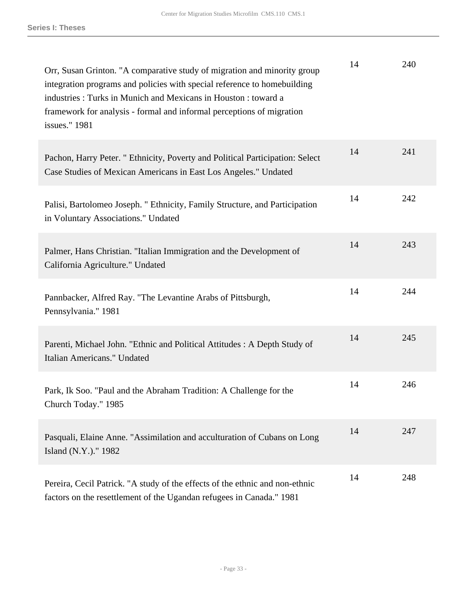| Orr, Susan Grinton. "A comparative study of migration and minority group<br>integration programs and policies with special reference to homebuilding<br>industries: Turks in Munich and Mexicans in Houston: toward a<br>framework for analysis - formal and informal perceptions of migration<br>issues." 1981 | 14 | 240 |
|-----------------------------------------------------------------------------------------------------------------------------------------------------------------------------------------------------------------------------------------------------------------------------------------------------------------|----|-----|
| Pachon, Harry Peter. " Ethnicity, Poverty and Political Participation: Select<br>Case Studies of Mexican Americans in East Los Angeles." Undated                                                                                                                                                                | 14 | 241 |
| Palisi, Bartolomeo Joseph. " Ethnicity, Family Structure, and Participation<br>in Voluntary Associations." Undated                                                                                                                                                                                              | 14 | 242 |
| Palmer, Hans Christian. "Italian Immigration and the Development of<br>California Agriculture." Undated                                                                                                                                                                                                         | 14 | 243 |
| Pannbacker, Alfred Ray. "The Levantine Arabs of Pittsburgh,<br>Pennsylvania." 1981                                                                                                                                                                                                                              | 14 | 244 |
| Parenti, Michael John. "Ethnic and Political Attitudes: A Depth Study of<br>Italian Americans." Undated                                                                                                                                                                                                         | 14 | 245 |
| Park, Ik Soo. "Paul and the Abraham Tradition: A Challenge for the<br>Church Today." 1985                                                                                                                                                                                                                       | 14 | 246 |
| Pasquali, Elaine Anne. "Assimilation and acculturation of Cubans on Long<br>Island (N.Y.)." 1982                                                                                                                                                                                                                | 14 | 247 |
| Pereira, Cecil Patrick. "A study of the effects of the ethnic and non-ethnic<br>factors on the resettlement of the Ugandan refugees in Canada." 1981                                                                                                                                                            | 14 | 248 |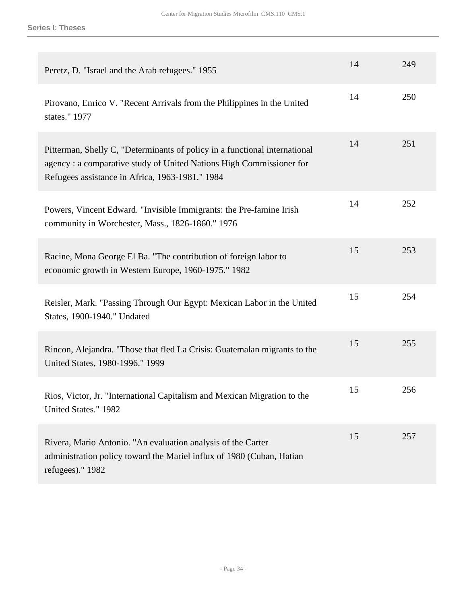| Peretz, D. "Israel and the Arab refugees." 1955                                                                                                                                                      | 14 | 249 |
|------------------------------------------------------------------------------------------------------------------------------------------------------------------------------------------------------|----|-----|
| Pirovano, Enrico V. "Recent Arrivals from the Philippines in the United<br>states." 1977                                                                                                             | 14 | 250 |
| Pitterman, Shelly C, "Determinants of policy in a functional international<br>agency: a comparative study of United Nations High Commissioner for<br>Refugees assistance in Africa, 1963-1981." 1984 | 14 | 251 |
| Powers, Vincent Edward. "Invisible Immigrants: the Pre-famine Irish<br>community in Worchester, Mass., 1826-1860." 1976                                                                              | 14 | 252 |
| Racine, Mona George El Ba. "The contribution of foreign labor to<br>economic growth in Western Europe, 1960-1975." 1982                                                                              | 15 | 253 |
| Reisler, Mark. "Passing Through Our Egypt: Mexican Labor in the United<br>States, 1900-1940." Undated                                                                                                | 15 | 254 |
| Rincon, Alejandra. "Those that fled La Crisis: Guatemalan migrants to the<br>United States, 1980-1996." 1999                                                                                         | 15 | 255 |
| Rios, Victor, Jr. "International Capitalism and Mexican Migration to the<br>United States." 1982                                                                                                     | 15 | 256 |
| Rivera, Mario Antonio. "An evaluation analysis of the Carter<br>administration policy toward the Mariel influx of 1980 (Cuban, Hatian<br>refugees)." 1982                                            | 15 | 257 |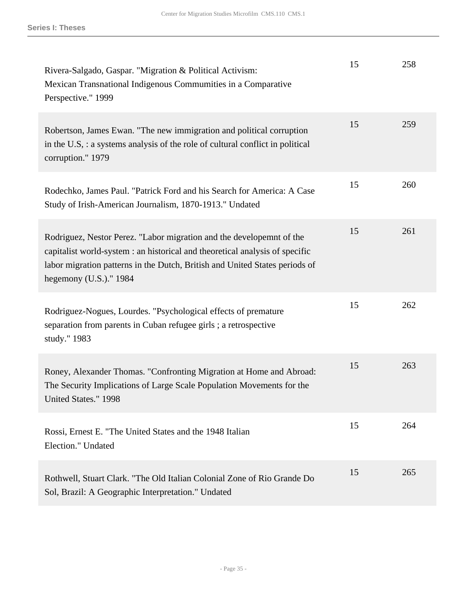| Rivera-Salgado, Gaspar. "Migration & Political Activism:<br>Mexican Transnational Indigenous Commumities in a Comparative<br>Perspective." 1999                                                                                                                  | 15 | 258 |
|------------------------------------------------------------------------------------------------------------------------------------------------------------------------------------------------------------------------------------------------------------------|----|-----|
| Robertson, James Ewan. "The new immigration and political corruption<br>in the U.S, : a systems analysis of the role of cultural conflict in political<br>corruption." 1979                                                                                      | 15 | 259 |
| Rodechko, James Paul. "Patrick Ford and his Search for America: A Case<br>Study of Irish-American Journalism, 1870-1913." Undated                                                                                                                                | 15 | 260 |
| Rodriguez, Nestor Perez. "Labor migration and the developemnt of the<br>capitalist world-system : an historical and theoretical analysis of specific<br>labor migration patterns in the Dutch, British and United States periods of<br>hegemony $(U.S.)$ ." 1984 | 15 | 261 |
| Rodriguez-Nogues, Lourdes. "Psychological effects of premature<br>separation from parents in Cuban refugee girls; a retrospective<br>study." 1983                                                                                                                | 15 | 262 |
| Roney, Alexander Thomas. "Confronting Migration at Home and Abroad:<br>The Security Implications of Large Scale Population Movements for the<br>United States." 1998                                                                                             | 15 | 263 |
| Rossi, Ernest E. "The United States and the 1948 Italian<br>Election." Undated                                                                                                                                                                                   | 15 | 264 |
| Rothwell, Stuart Clark. "The Old Italian Colonial Zone of Rio Grande Do<br>Sol, Brazil: A Geographic Interpretation." Undated                                                                                                                                    | 15 | 265 |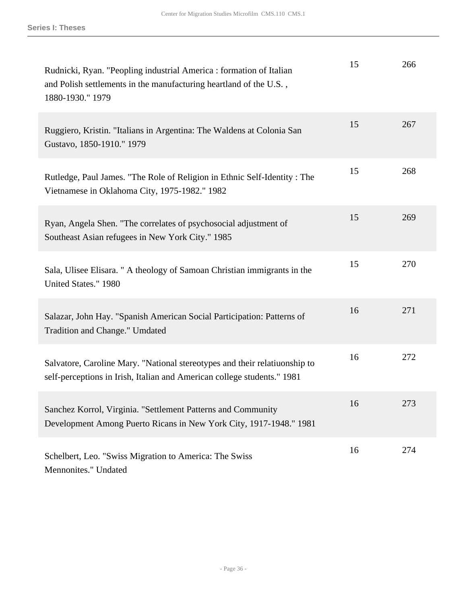| Rudnicki, Ryan. "Peopling industrial America : formation of Italian<br>and Polish settlements in the manufacturing heartland of the U.S.,<br>1880-1930." 1979 | 15 | 266 |
|---------------------------------------------------------------------------------------------------------------------------------------------------------------|----|-----|
| Ruggiero, Kristin. "Italians in Argentina: The Waldens at Colonia San<br>Gustavo, 1850-1910." 1979                                                            | 15 | 267 |
| Rutledge, Paul James. "The Role of Religion in Ethnic Self-Identity: The<br>Vietnamese in Oklahoma City, 1975-1982." 1982                                     | 15 | 268 |
| Ryan, Angela Shen. "The correlates of psychosocial adjustment of<br>Southeast Asian refugees in New York City." 1985                                          | 15 | 269 |
| Sala, Ulisee Elisara. " A theology of Samoan Christian immigrants in the<br>United States." 1980                                                              | 15 | 270 |
| Salazar, John Hay. "Spanish American Social Participation: Patterns of<br>Tradition and Change." Umdated                                                      | 16 | 271 |
| Salvatore, Caroline Mary. "National stereotypes and their relatiuonship to<br>self-perceptions in Irish, Italian and American college students." 1981         | 16 | 272 |
| Sanchez Korrol, Virginia. "Settlement Patterns and Community<br>Development Among Puerto Ricans in New York City, 1917-1948." 1981                            | 16 | 273 |
| Schelbert, Leo. "Swiss Migration to America: The Swiss<br>Mennonites." Undated                                                                                | 16 | 274 |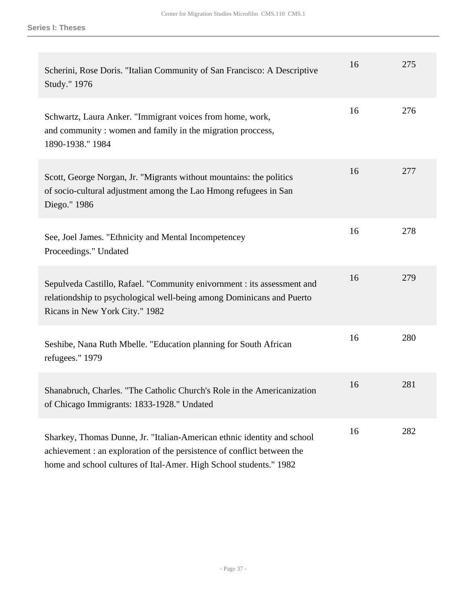| Scherini, Rose Doris. "Italian Community of San Francisco: A Descriptive<br>Study." 1976                                                                                                                                 | 16 | 275 |
|--------------------------------------------------------------------------------------------------------------------------------------------------------------------------------------------------------------------------|----|-----|
| Schwartz, Laura Anker. "Immigrant voices from home, work,<br>and community: women and family in the migration proccess,<br>1890-1938." 1984                                                                              | 16 | 276 |
| Scott, George Norgan, Jr. "Migrants without mountains: the politics<br>of socio-cultural adjustment among the Lao Hmong refugees in San<br>Diego." 1986                                                                  | 16 | 277 |
| See, Joel James. "Ethnicity and Mental Incompetencey<br>Proceedings." Undated                                                                                                                                            | 16 | 278 |
| Sepulveda Castillo, Rafael. "Community enivornment : its assessment and<br>relationdship to psychological well-being among Dominicans and Puerto<br>Ricans in New York City." 1982                                       | 16 | 279 |
| Seshibe, Nana Ruth Mbelle. "Education planning for South African<br>refugees." 1979                                                                                                                                      | 16 | 280 |
| Shanabruch, Charles. "The Catholic Church's Role in the Americanization<br>of Chicago Immigrants: 1833-1928." Undated                                                                                                    | 16 | 281 |
| Sharkey, Thomas Dunne, Jr. "Italian-American ethnic identity and school<br>achievement : an exploration of the persistence of conflict between the<br>home and school cultures of Ital-Amer. High School students." 1982 | 16 | 282 |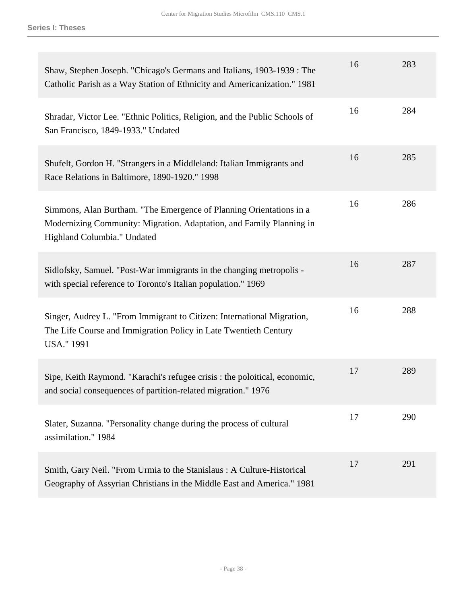| Shaw, Stephen Joseph. "Chicago's Germans and Italians, 1903-1939 : The<br>Catholic Parish as a Way Station of Ethnicity and Americanization." 1981                         | 16 | 283 |
|----------------------------------------------------------------------------------------------------------------------------------------------------------------------------|----|-----|
| Shradar, Victor Lee. "Ethnic Politics, Religion, and the Public Schools of<br>San Francisco, 1849-1933." Undated                                                           | 16 | 284 |
| Shufelt, Gordon H. "Strangers in a Middleland: Italian Immigrants and<br>Race Relations in Baltimore, 1890-1920." 1998                                                     | 16 | 285 |
| Simmons, Alan Burtham. "The Emergence of Planning Orientations in a<br>Modernizing Community: Migration. Adaptation, and Family Planning in<br>Highland Columbia." Undated | 16 | 286 |
| Sidlofsky, Samuel. "Post-War immigrants in the changing metropolis -<br>with special reference to Toronto's Italian population." 1969                                      | 16 | 287 |
| Singer, Audrey L. "From Immigrant to Citizen: International Migration,<br>The Life Course and Immigration Policy in Late Twentieth Century<br><b>USA."</b> 1991            | 16 | 288 |
| Sipe, Keith Raymond. "Karachi's refugee crisis : the poloitical, economic,<br>and social consequences of partition-related migration." 1976                                | 17 | 289 |
| Slater, Suzanna. "Personality change during the process of cultural<br>assimilation." 1984                                                                                 | 17 | 290 |
| Smith, Gary Neil. "From Urmia to the Stanislaus: A Culture-Historical<br>Geography of Assyrian Christians in the Middle East and America." 1981                            | 17 | 291 |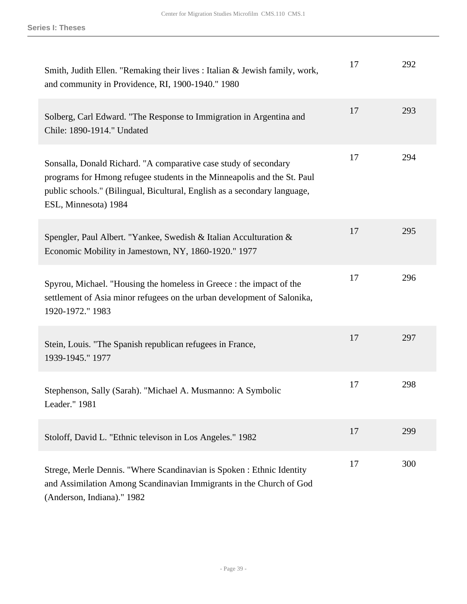| Smith, Judith Ellen. "Remaking their lives : Italian & Jewish family, work,<br>and community in Providence, RI, 1900-1940." 1980                                                                                                                 | 17 | 292 |
|--------------------------------------------------------------------------------------------------------------------------------------------------------------------------------------------------------------------------------------------------|----|-----|
| Solberg, Carl Edward. "The Response to Immigration in Argentina and<br>Chile: 1890-1914." Undated                                                                                                                                                | 17 | 293 |
| Sonsalla, Donald Richard. "A comparative case study of secondary<br>programs for Hmong refugee students in the Minneapolis and the St. Paul<br>public schools." (Bilingual, Bicultural, English as a secondary language,<br>ESL, Minnesota) 1984 | 17 | 294 |
| Spengler, Paul Albert. "Yankee, Swedish & Italian Acculturation &<br>Economic Mobility in Jamestown, NY, 1860-1920." 1977                                                                                                                        | 17 | 295 |
| Spyrou, Michael. "Housing the homeless in Greece : the impact of the<br>settlement of Asia minor refugees on the urban development of Salonika,<br>1920-1972." 1983                                                                              | 17 | 296 |
| Stein, Louis. "The Spanish republican refugees in France,<br>1939-1945." 1977                                                                                                                                                                    | 17 | 297 |
| Stephenson, Sally (Sarah). "Michael A. Musmanno: A Symbolic<br>Leader." 1981                                                                                                                                                                     | 17 | 298 |
| Stoloff, David L. "Ethnic televison in Los Angeles." 1982                                                                                                                                                                                        | 17 | 299 |
| Strege, Merle Dennis. "Where Scandinavian is Spoken : Ethnic Identity<br>and Assimilation Among Scandinavian Immigrants in the Church of God<br>(Anderson, Indiana)." 1982                                                                       | 17 | 300 |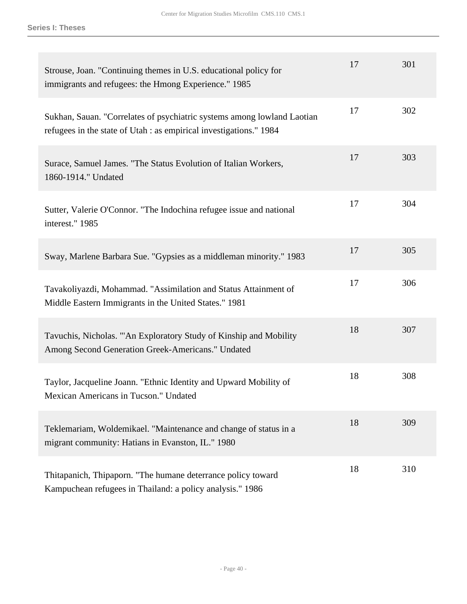| Strouse, Joan. "Continuing themes in U.S. educational policy for<br>immigrants and refugees: the Hmong Experience." 1985                      | 17 | 301 |
|-----------------------------------------------------------------------------------------------------------------------------------------------|----|-----|
| Sukhan, Sauan. "Correlates of psychiatric systems among lowland Laotian<br>refugees in the state of Utah : as empirical investigations." 1984 | 17 | 302 |
| Surace, Samuel James. "The Status Evolution of Italian Workers,<br>1860-1914." Undated                                                        | 17 | 303 |
| Sutter, Valerie O'Connor. "The Indochina refugee issue and national<br>interest." 1985                                                        | 17 | 304 |
| Sway, Marlene Barbara Sue. "Gypsies as a middleman minority." 1983                                                                            | 17 | 305 |
| Tavakoliyazdi, Mohammad. "Assimilation and Status Attainment of<br>Middle Eastern Immigrants in the United States." 1981                      | 17 | 306 |
| Tavuchis, Nicholas. "'An Exploratory Study of Kinship and Mobility<br>Among Second Generation Greek-Americans." Undated                       | 18 | 307 |
| Taylor, Jacqueline Joann. "Ethnic Identity and Upward Mobility of<br>Mexican Americans in Tucson." Undated                                    | 18 | 308 |
| Teklemariam, Woldemikael. "Maintenance and change of status in a<br>migrant community: Hatians in Evanston, IL." 1980                         | 18 | 309 |
| Thitapanich, Thipaporn. "The humane deterrance policy toward<br>Kampuchean refugees in Thailand: a policy analysis." 1986                     | 18 | 310 |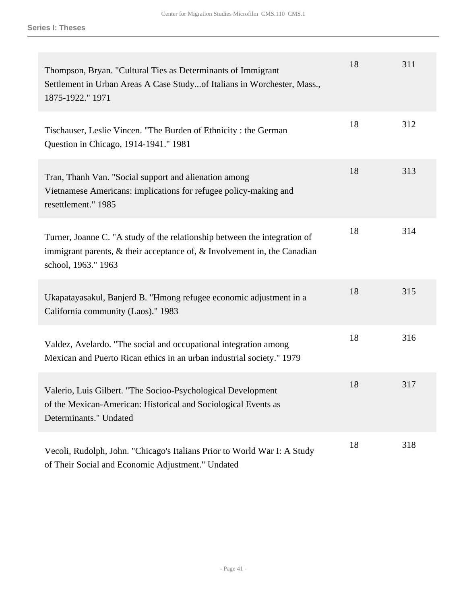| Thompson, Bryan. "Cultural Ties as Determinants of Immigrant<br>Settlement in Urban Areas A Case Studyof Italians in Worchester, Mass.,<br>1875-1922." 1971                        | 18 | 311 |
|------------------------------------------------------------------------------------------------------------------------------------------------------------------------------------|----|-----|
| Tischauser, Leslie Vincen. "The Burden of Ethnicity: the German<br>Question in Chicago, 1914-1941." 1981                                                                           | 18 | 312 |
| Tran, Thanh Van. "Social support and alienation among<br>Vietnamese Americans: implications for refugee policy-making and<br>resettlement." 1985                                   | 18 | 313 |
| Turner, Joanne C. "A study of the relationship between the integration of<br>immigrant parents, $\&$ their acceptance of, $\&$ Involvement in, the Canadian<br>school, 1963." 1963 | 18 | 314 |
| Ukapatayasakul, Banjerd B. "Hmong refugee economic adjustment in a<br>California community (Laos)." 1983                                                                           | 18 | 315 |
| Valdez, Avelardo. "The social and occupational integration among<br>Mexican and Puerto Rican ethics in an urban industrial society." 1979                                          | 18 | 316 |
| Valerio, Luis Gilbert. "The Socioo-Psychological Development<br>of the Mexican-American: Historical and Sociological Events as<br>Determinants." Undated                           | 18 | 317 |
| Vecoli, Rudolph, John. "Chicago's Italians Prior to World War I: A Study<br>of Their Social and Economic Adjustment." Undated                                                      | 18 | 318 |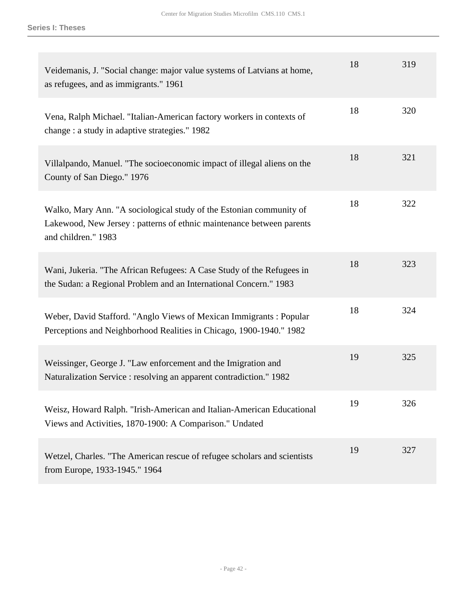| Veidemanis, J. "Social change: major value systems of Latvians at home,<br>as refugees, and as immigrants." 1961                                                    | 18 | 319 |
|---------------------------------------------------------------------------------------------------------------------------------------------------------------------|----|-----|
| Vena, Ralph Michael. "Italian-American factory workers in contexts of<br>change : a study in adaptive strategies." 1982                                             | 18 | 320 |
| Villalpando, Manuel. "The socioeconomic impact of illegal aliens on the<br>County of San Diego." 1976                                                               | 18 | 321 |
| Walko, Mary Ann. "A sociological study of the Estonian community of<br>Lakewood, New Jersey : patterns of ethnic maintenance between parents<br>and children." 1983 | 18 | 322 |
| Wani, Jukeria. "The African Refugees: A Case Study of the Refugees in<br>the Sudan: a Regional Problem and an International Concern." 1983                          | 18 | 323 |
| Weber, David Stafford. "Anglo Views of Mexican Immigrants : Popular<br>Perceptions and Neighborhood Realities in Chicago, 1900-1940." 1982                          | 18 | 324 |
| Weissinger, George J. "Law enforcement and the Imigration and<br>Naturalization Service : resolving an apparent contradiction." 1982                                | 19 | 325 |
| Weisz, Howard Ralph. "Irish-American and Italian-American Educational<br>Views and Activities, 1870-1900: A Comparison." Undated                                    | 19 | 326 |
| Wetzel, Charles. "The American rescue of refugee scholars and scientists<br>from Europe, 1933-1945." 1964                                                           | 19 | 327 |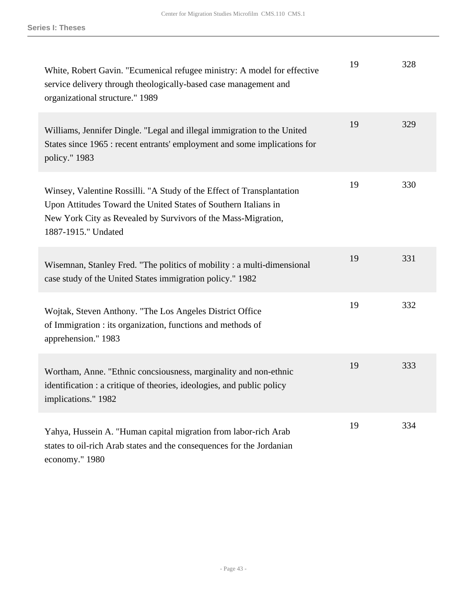| White, Robert Gavin. "Ecumenical refugee ministry: A model for effective<br>service delivery through theologically-based case management and<br>organizational structure." 1989                                                  | 19 | 328 |
|----------------------------------------------------------------------------------------------------------------------------------------------------------------------------------------------------------------------------------|----|-----|
| Williams, Jennifer Dingle. "Legal and illegal immigration to the United<br>States since 1965 : recent entrants' employment and some implications for<br>policy." 1983                                                            | 19 | 329 |
| Winsey, Valentine Rossilli. "A Study of the Effect of Transplantation<br>Upon Attitudes Toward the United States of Southern Italians in<br>New York City as Revealed by Survivors of the Mass-Migration,<br>1887-1915." Undated | 19 | 330 |
| Wisemnan, Stanley Fred. "The politics of mobility: a multi-dimensional<br>case study of the United States immigration policy." 1982                                                                                              | 19 | 331 |
| Wojtak, Steven Anthony. "The Los Angeles District Office<br>of Immigration : its organization, functions and methods of<br>apprehension." 1983                                                                                   | 19 | 332 |
| Wortham, Anne. "Ethnic concsiousness, marginality and non-ethnic<br>identification : a critique of theories, ideologies, and public policy<br>implications." 1982                                                                | 19 | 333 |
| Yahya, Hussein A. "Human capital migration from labor-rich Arab<br>states to oil-rich Arab states and the consequences for the Jordanian<br>economy." 1980                                                                       | 19 | 334 |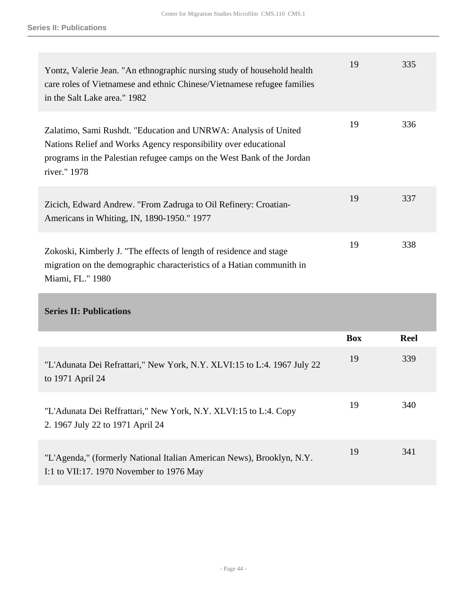| Yontz, Valerie Jean. "An ethnographic nursing study of household health<br>care roles of Vietnamese and ethnic Chinese/Vietnamese refugee families<br>in the Salt Lake area." 1982                                           | 19 | 335 |
|------------------------------------------------------------------------------------------------------------------------------------------------------------------------------------------------------------------------------|----|-----|
| Zalatimo, Sami Rushdt. "Education and UNRWA: Analysis of United<br>Nations Relief and Works Agency responsibility over educational<br>programs in the Palestian refugee camps on the West Bank of the Jordan<br>river." 1978 | 19 | 336 |
| Zicich, Edward Andrew. "From Zadruga to Oil Refinery: Croatian-<br>Americans in Whiting, IN, 1890-1950." 1977                                                                                                                | 19 | 337 |
| Zokoski, Kimberly J. "The effects of length of residence and stage<br>migration on the demographic characteristics of a Hatian communith in<br>Miami, FL." 1980                                                              | 19 | 338 |

|                                                                                                                   | <b>Box</b> | <b>Reel</b> |
|-------------------------------------------------------------------------------------------------------------------|------------|-------------|
| "L'Adunata Dei Refrattari," New York, N.Y. XLVI:15 to L:4. 1967 July 22<br>to 1971 April 24                       | 19         | 339         |
| "L'Adunata Dei Reffrattari," New York, N.Y. XLVI:15 to L:4. Copy<br>2. 1967 July 22 to 1971 April 24              | 19         | 340         |
| "L'Agenda," (formerly National Italian American News), Brooklyn, N.Y.<br>I:1 to VII:17. 1970 November to 1976 May | 19         | 341         |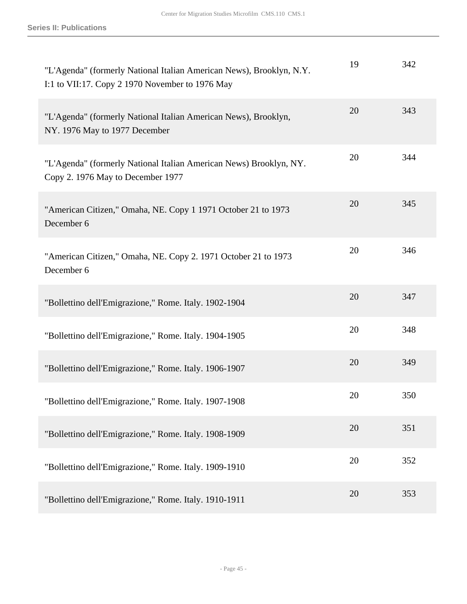| "L'Agenda" (formerly National Italian American News), Brooklyn, N.Y.<br>I:1 to VII:17. Copy 2 1970 November to 1976 May | 19 | 342 |
|-------------------------------------------------------------------------------------------------------------------------|----|-----|
| "L'Agenda" (formerly National Italian American News), Brooklyn,<br>NY. 1976 May to 1977 December                        | 20 | 343 |
| "L'Agenda" (formerly National Italian American News) Brooklyn, NY.<br>Copy 2. 1976 May to December 1977                 | 20 | 344 |
| "American Citizen," Omaha, NE. Copy 1 1971 October 21 to 1973<br>December 6                                             | 20 | 345 |
| "American Citizen," Omaha, NE. Copy 2. 1971 October 21 to 1973<br>December 6                                            | 20 | 346 |
| "Bollettino dell'Emigrazione," Rome. Italy. 1902-1904                                                                   | 20 | 347 |
| "Bollettino dell'Emigrazione," Rome. Italy. 1904-1905                                                                   | 20 | 348 |
| "Bollettino dell'Emigrazione," Rome. Italy. 1906-1907                                                                   | 20 | 349 |
| "Bollettino dell'Emigrazione," Rome. Italy. 1907-1908                                                                   | 20 | 350 |
| "Bollettino dell'Emigrazione," Rome. Italy. 1908-1909                                                                   | 20 | 351 |
| "Bollettino dell'Emigrazione," Rome. Italy. 1909-1910                                                                   | 20 | 352 |
| "Bollettino dell'Emigrazione," Rome. Italy. 1910-1911                                                                   | 20 | 353 |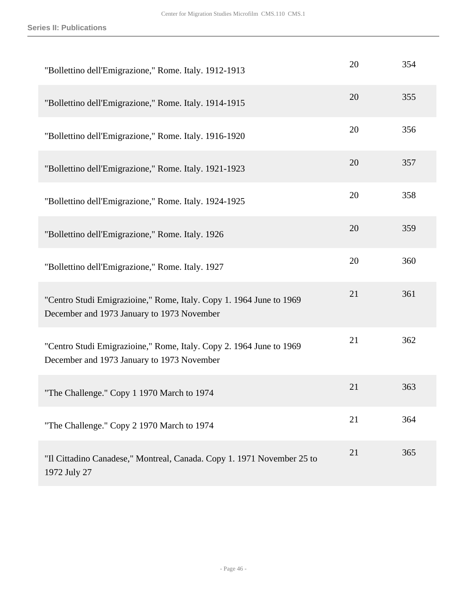| "Bollettino dell'Emigrazione," Rome. Italy. 1912-1913                                                             | 20 | 354 |
|-------------------------------------------------------------------------------------------------------------------|----|-----|
| "Bollettino dell'Emigrazione," Rome. Italy. 1914-1915                                                             | 20 | 355 |
| "Bollettino dell'Emigrazione," Rome. Italy. 1916-1920                                                             | 20 | 356 |
| "Bollettino dell'Emigrazione," Rome. Italy. 1921-1923                                                             | 20 | 357 |
| "Bollettino dell'Emigrazione," Rome. Italy. 1924-1925                                                             | 20 | 358 |
| "Bollettino dell'Emigrazione," Rome. Italy. 1926                                                                  | 20 | 359 |
| "Bollettino dell'Emigrazione," Rome. Italy. 1927                                                                  | 20 | 360 |
| "Centro Studi Emigrazioine," Rome, Italy. Copy 1. 1964 June to 1969<br>December and 1973 January to 1973 November | 21 | 361 |
| "Centro Studi Emigrazioine," Rome, Italy. Copy 2. 1964 June to 1969<br>December and 1973 January to 1973 November | 21 | 362 |
| "The Challenge." Copy 1 1970 March to 1974                                                                        | 21 | 363 |
| "The Challenge." Copy 2 1970 March to 1974                                                                        | 21 | 364 |
| "Il Cittadino Canadese," Montreal, Canada. Copy 1. 1971 November 25 to<br>1972 July 27                            | 21 | 365 |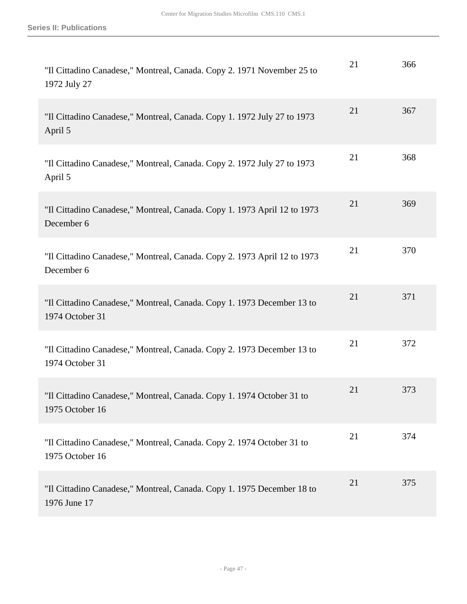| "Il Cittadino Canadese," Montreal, Canada. Copy 2. 1971 November 25 to<br>1972 July 27    | 21 | 366 |
|-------------------------------------------------------------------------------------------|----|-----|
| "Il Cittadino Canadese," Montreal, Canada. Copy 1. 1972 July 27 to 1973<br>April 5        | 21 | 367 |
| "Il Cittadino Canadese," Montreal, Canada. Copy 2. 1972 July 27 to 1973<br>April 5        | 21 | 368 |
| "Il Cittadino Canadese," Montreal, Canada. Copy 1. 1973 April 12 to 1973<br>December 6    | 21 | 369 |
| "Il Cittadino Canadese," Montreal, Canada. Copy 2. 1973 April 12 to 1973<br>December 6    | 21 | 370 |
| "Il Cittadino Canadese," Montreal, Canada. Copy 1. 1973 December 13 to<br>1974 October 31 | 21 | 371 |
| "Il Cittadino Canadese," Montreal, Canada. Copy 2. 1973 December 13 to<br>1974 October 31 | 21 | 372 |
| "Il Cittadino Canadese," Montreal, Canada. Copy 1. 1974 October 31 to<br>1975 October 16  | 21 | 373 |
| "Il Cittadino Canadese," Montreal, Canada. Copy 2. 1974 October 31 to<br>1975 October 16  | 21 | 374 |
| "Il Cittadino Canadese," Montreal, Canada. Copy 1. 1975 December 18 to<br>1976 June 17    | 21 | 375 |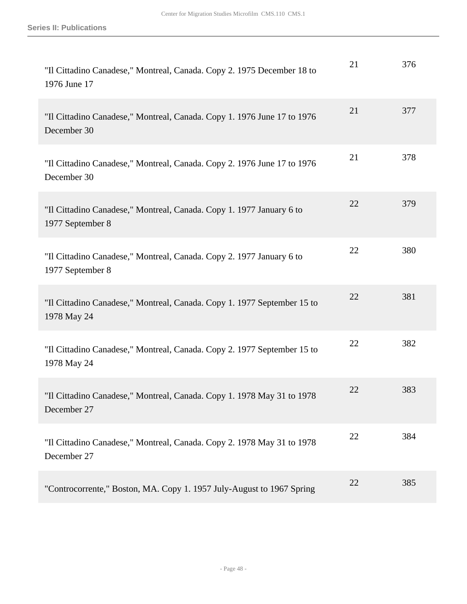| "Il Cittadino Canadese," Montreal, Canada. Copy 2. 1975 December 18 to<br>1976 June 17   | 21 | 376 |
|------------------------------------------------------------------------------------------|----|-----|
| "Il Cittadino Canadese," Montreal, Canada. Copy 1. 1976 June 17 to 1976<br>December 30   | 21 | 377 |
| "Il Cittadino Canadese," Montreal, Canada. Copy 2. 1976 June 17 to 1976<br>December 30   | 21 | 378 |
| "Il Cittadino Canadese," Montreal, Canada. Copy 1. 1977 January 6 to<br>1977 September 8 | 22 | 379 |
| "Il Cittadino Canadese," Montreal, Canada. Copy 2. 1977 January 6 to<br>1977 September 8 | 22 | 380 |
| "Il Cittadino Canadese," Montreal, Canada. Copy 1. 1977 September 15 to<br>1978 May 24   | 22 | 381 |
| "Il Cittadino Canadese," Montreal, Canada. Copy 2. 1977 September 15 to<br>1978 May 24   | 22 | 382 |
| "Il Cittadino Canadese," Montreal, Canada. Copy 1. 1978 May 31 to 1978<br>December 27    | 22 | 383 |
| "Il Cittadino Canadese," Montreal, Canada. Copy 2. 1978 May 31 to 1978<br>December 27    | 22 | 384 |
| "Controcorrente," Boston, MA. Copy 1. 1957 July-August to 1967 Spring                    | 22 | 385 |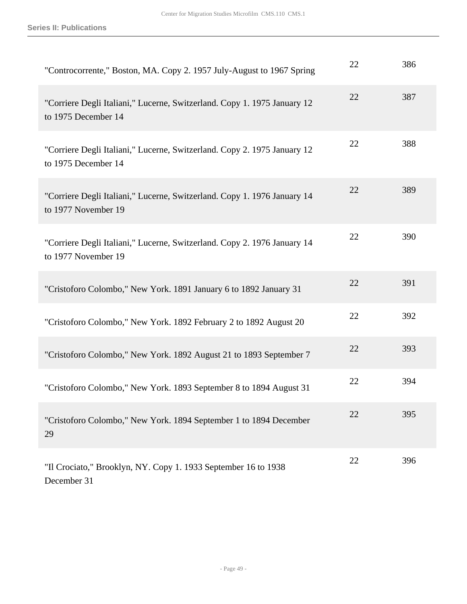| "Controcorrente," Boston, MA. Copy 2. 1957 July-August to 1967 Spring                           | 22 | 386 |
|-------------------------------------------------------------------------------------------------|----|-----|
| "Corriere Degli Italiani," Lucerne, Switzerland. Copy 1. 1975 January 12<br>to 1975 December 14 | 22 | 387 |
| "Corriere Degli Italiani," Lucerne, Switzerland. Copy 2. 1975 January 12<br>to 1975 December 14 | 22 | 388 |
| "Corriere Degli Italiani," Lucerne, Switzerland. Copy 1. 1976 January 14<br>to 1977 November 19 | 22 | 389 |
| "Corriere Degli Italiani," Lucerne, Switzerland. Copy 2. 1976 January 14<br>to 1977 November 19 | 22 | 390 |
| "Cristoforo Colombo," New York. 1891 January 6 to 1892 January 31                               | 22 | 391 |
| "Cristoforo Colombo," New York. 1892 February 2 to 1892 August 20                               | 22 | 392 |
| "Cristoforo Colombo," New York. 1892 August 21 to 1893 September 7                              | 22 | 393 |
| "Cristoforo Colombo," New York. 1893 September 8 to 1894 August 31                              | 22 | 394 |
| "Cristoforo Colombo," New York. 1894 September 1 to 1894 December<br>29                         | 22 | 395 |
| "Il Crociato," Brooklyn, NY. Copy 1. 1933 September 16 to 1938<br>December 31                   | 22 | 396 |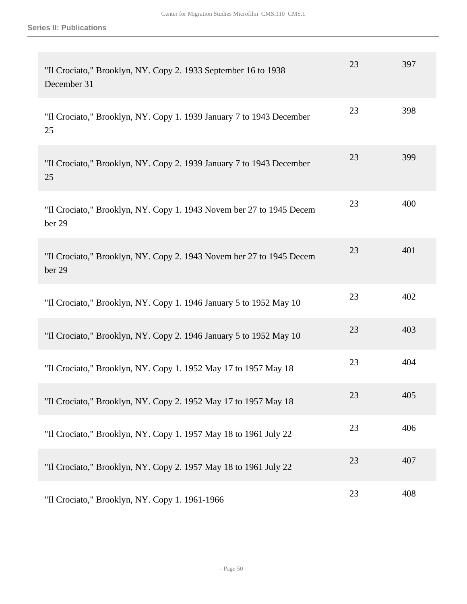| "Il Crociato," Brooklyn, NY. Copy 2. 1933 September 16 to 1938<br>December 31  | 23 | 397 |
|--------------------------------------------------------------------------------|----|-----|
| "Il Crociato," Brooklyn, NY. Copy 1. 1939 January 7 to 1943 December<br>25     | 23 | 398 |
| "Il Crociato," Brooklyn, NY. Copy 2. 1939 January 7 to 1943 December<br>25     | 23 | 399 |
| "Il Crociato," Brooklyn, NY. Copy 1. 1943 Novem ber 27 to 1945 Decem<br>ber 29 | 23 | 400 |
| "Il Crociato," Brooklyn, NY. Copy 2. 1943 Novem ber 27 to 1945 Decem<br>ber 29 | 23 | 401 |
| "Il Crociato," Brooklyn, NY. Copy 1. 1946 January 5 to 1952 May 10             | 23 | 402 |
| "Il Crociato," Brooklyn, NY. Copy 2. 1946 January 5 to 1952 May 10             | 23 | 403 |
| "Il Crociato," Brooklyn, NY. Copy 1. 1952 May 17 to 1957 May 18                | 23 | 404 |
| "Il Crociato," Brooklyn, NY. Copy 2. 1952 May 17 to 1957 May 18                | 23 | 405 |
| "Il Crociato," Brooklyn, NY. Copy 1. 1957 May 18 to 1961 July 22               | 23 | 406 |
| "Il Crociato," Brooklyn, NY. Copy 2. 1957 May 18 to 1961 July 22               | 23 | 407 |
| "Il Crociato," Brooklyn, NY. Copy 1. 1961-1966                                 | 23 | 408 |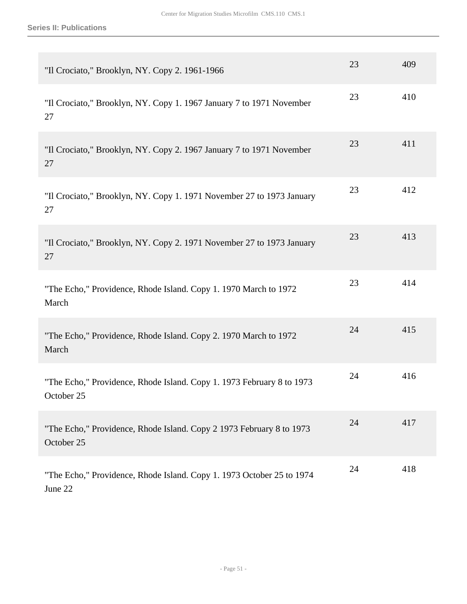| "Il Crociato," Brooklyn, NY. Copy 2. 1961-1966                                      | 23 | 409 |
|-------------------------------------------------------------------------------------|----|-----|
| "Il Crociato," Brooklyn, NY. Copy 1. 1967 January 7 to 1971 November<br>27          | 23 | 410 |
| "Il Crociato," Brooklyn, NY. Copy 2. 1967 January 7 to 1971 November<br>27          | 23 | 411 |
| "Il Crociato," Brooklyn, NY. Copy 1. 1971 November 27 to 1973 January<br>27         | 23 | 412 |
| "Il Crociato," Brooklyn, NY. Copy 2. 1971 November 27 to 1973 January<br>27         | 23 | 413 |
| "The Echo," Providence, Rhode Island. Copy 1. 1970 March to 1972<br>March           | 23 | 414 |
| "The Echo," Providence, Rhode Island. Copy 2. 1970 March to 1972<br>March           | 24 | 415 |
| "The Echo," Providence, Rhode Island. Copy 1. 1973 February 8 to 1973<br>October 25 | 24 | 416 |
| "The Echo," Providence, Rhode Island. Copy 2 1973 February 8 to 1973<br>October 25  | 24 | 417 |
| "The Echo," Providence, Rhode Island. Copy 1. 1973 October 25 to 1974<br>June 22    | 24 | 418 |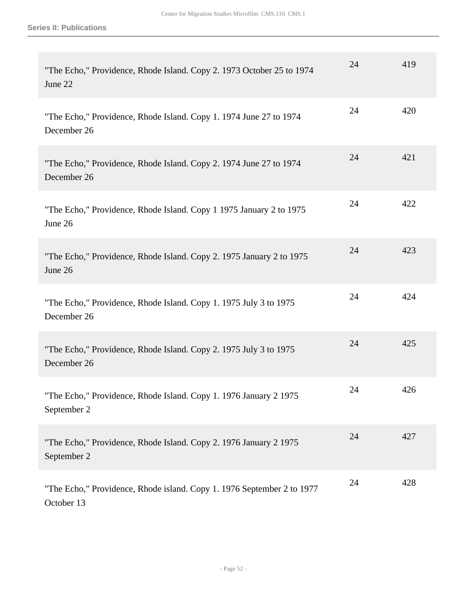| "The Echo," Providence, Rhode Island. Copy 2. 1973 October 25 to 1974<br>June 22     | 24 | 419 |
|--------------------------------------------------------------------------------------|----|-----|
| "The Echo," Providence, Rhode Island. Copy 1. 1974 June 27 to 1974<br>December 26    | 24 | 420 |
| "The Echo," Providence, Rhode Island. Copy 2. 1974 June 27 to 1974<br>December 26    | 24 | 421 |
| "The Echo," Providence, Rhode Island. Copy 1 1975 January 2 to 1975<br>June 26       | 24 | 422 |
| "The Echo," Providence, Rhode Island. Copy 2. 1975 January 2 to 1975<br>June 26      | 24 | 423 |
| "The Echo," Providence, Rhode Island. Copy 1. 1975 July 3 to 1975<br>December 26     | 24 | 424 |
| "The Echo," Providence, Rhode Island. Copy 2. 1975 July 3 to 1975<br>December 26     | 24 | 425 |
| "The Echo," Providence, Rhode Island. Copy 1. 1976 January 2 1975<br>September 2     | 24 | 426 |
| "The Echo," Providence, Rhode Island. Copy 2. 1976 January 2 1975<br>September 2     | 24 | 427 |
| "The Echo," Providence, Rhode island. Copy 1. 1976 September 2 to 1977<br>October 13 | 24 | 428 |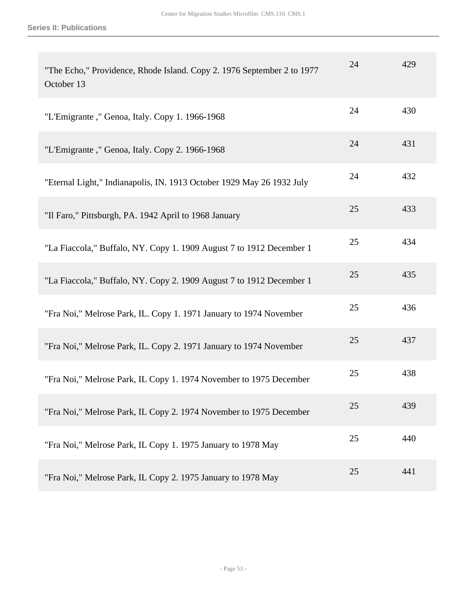| "The Echo," Providence, Rhode Island. Copy 2. 1976 September 2 to 1977<br>October 13 | 24 | 429 |
|--------------------------------------------------------------------------------------|----|-----|
| "L'Emigrante," Genoa, Italy. Copy 1. 1966-1968                                       | 24 | 430 |
| "L'Emigrante," Genoa, Italy. Copy 2. 1966-1968                                       | 24 | 431 |
| "Eternal Light," Indianapolis, IN. 1913 October 1929 May 26 1932 July                | 24 | 432 |
| "Il Faro," Pittsburgh, PA. 1942 April to 1968 January                                | 25 | 433 |
| "La Fiaccola," Buffalo, NY. Copy 1. 1909 August 7 to 1912 December 1                 | 25 | 434 |
| "La Fiaccola," Buffalo, NY. Copy 2. 1909 August 7 to 1912 December 1                 | 25 | 435 |
| "Fra Noi," Melrose Park, IL. Copy 1. 1971 January to 1974 November                   | 25 | 436 |
| "Fra Noi," Melrose Park, IL. Copy 2. 1971 January to 1974 November                   | 25 | 437 |
| "Fra Noi," Melrose Park, IL Copy 1. 1974 November to 1975 December                   | 25 | 438 |
| "Fra Noi," Melrose Park, IL Copy 2. 1974 November to 1975 December                   | 25 | 439 |
| "Fra Noi," Melrose Park, IL Copy 1. 1975 January to 1978 May                         | 25 | 440 |
| "Fra Noi," Melrose Park, IL Copy 2. 1975 January to 1978 May                         | 25 | 441 |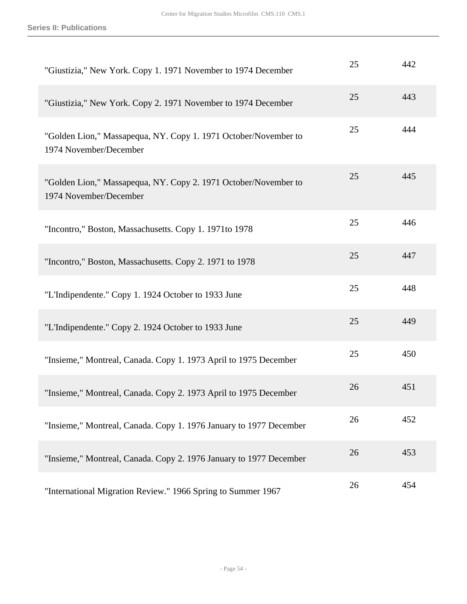| "Giustizia," New York. Copy 1. 1971 November to 1974 December                             | 25 | 442 |
|-------------------------------------------------------------------------------------------|----|-----|
| "Giustizia," New York. Copy 2. 1971 November to 1974 December                             | 25 | 443 |
| "Golden Lion," Massapequa, NY. Copy 1. 1971 October/November to<br>1974 November/December | 25 | 444 |
| "Golden Lion," Massapequa, NY. Copy 2. 1971 October/November to<br>1974 November/December | 25 | 445 |
| "Incontro," Boston, Massachusetts. Copy 1. 1971to 1978                                    | 25 | 446 |
| "Incontro," Boston, Massachusetts. Copy 2. 1971 to 1978                                   | 25 | 447 |
| "L'Indipendente." Copy 1. 1924 October to 1933 June                                       | 25 | 448 |
| "L'Indipendente." Copy 2. 1924 October to 1933 June                                       | 25 | 449 |
| "Insieme," Montreal, Canada. Copy 1. 1973 April to 1975 December                          | 25 | 450 |
| "Insieme," Montreal, Canada. Copy 2. 1973 April to 1975 December                          | 26 | 451 |
| "Insieme," Montreal, Canada. Copy 1. 1976 January to 1977 December                        | 26 | 452 |
| "Insieme," Montreal, Canada. Copy 2. 1976 January to 1977 December                        | 26 | 453 |
| "International Migration Review." 1966 Spring to Summer 1967                              | 26 | 454 |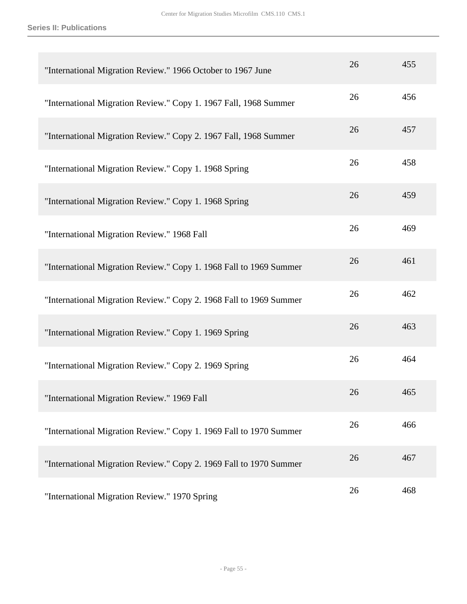| "International Migration Review." 1966 October to 1967 June        | 26 | 455 |
|--------------------------------------------------------------------|----|-----|
| "International Migration Review." Copy 1. 1967 Fall, 1968 Summer   | 26 | 456 |
| "International Migration Review." Copy 2. 1967 Fall, 1968 Summer   | 26 | 457 |
| "International Migration Review." Copy 1. 1968 Spring              | 26 | 458 |
| "International Migration Review." Copy 1. 1968 Spring              | 26 | 459 |
| "International Migration Review." 1968 Fall                        | 26 | 469 |
| "International Migration Review." Copy 1. 1968 Fall to 1969 Summer | 26 | 461 |
| "International Migration Review." Copy 2. 1968 Fall to 1969 Summer | 26 | 462 |
| "International Migration Review." Copy 1. 1969 Spring              | 26 | 463 |
| "International Migration Review." Copy 2. 1969 Spring              | 26 | 464 |
| "International Migration Review." 1969 Fall                        | 26 | 465 |
| "International Migration Review." Copy 1. 1969 Fall to 1970 Summer | 26 | 466 |
| "International Migration Review." Copy 2. 1969 Fall to 1970 Summer | 26 | 467 |
| "International Migration Review." 1970 Spring                      | 26 | 468 |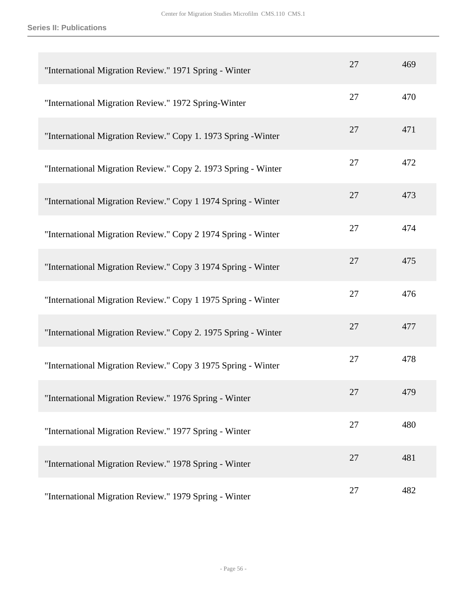| "International Migration Review." 1971 Spring - Winter         | 27 | 469 |
|----------------------------------------------------------------|----|-----|
| "International Migration Review." 1972 Spring-Winter           | 27 | 470 |
| "International Migration Review." Copy 1. 1973 Spring - Winter | 27 | 471 |
| "International Migration Review." Copy 2. 1973 Spring - Winter | 27 | 472 |
| "International Migration Review." Copy 1 1974 Spring - Winter  | 27 | 473 |
| "International Migration Review." Copy 2 1974 Spring - Winter  | 27 | 474 |
| "International Migration Review." Copy 3 1974 Spring - Winter  | 27 | 475 |
| "International Migration Review." Copy 1 1975 Spring - Winter  | 27 | 476 |
| "International Migration Review." Copy 2. 1975 Spring - Winter | 27 | 477 |
| "International Migration Review." Copy 3 1975 Spring - Winter  | 27 | 478 |
| International Migration Review." 1976 Spring - Winter          | 27 | 479 |
| "International Migration Review." 1977 Spring - Winter         | 27 | 480 |
| "International Migration Review." 1978 Spring - Winter         | 27 | 481 |
| "International Migration Review." 1979 Spring - Winter         | 27 | 482 |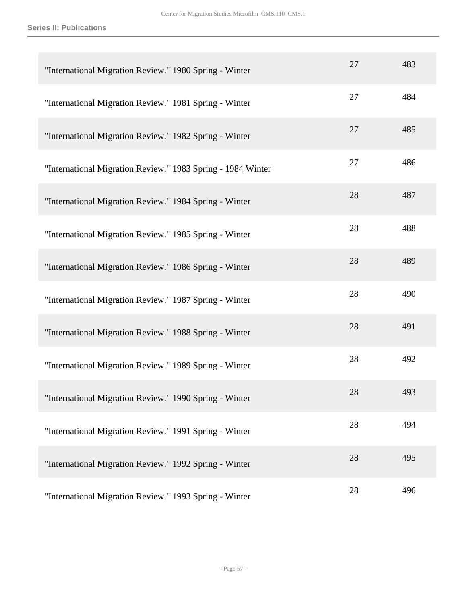| "International Migration Review." 1980 Spring - Winter      | 27 | 483 |
|-------------------------------------------------------------|----|-----|
| "International Migration Review." 1981 Spring - Winter      | 27 | 484 |
| "International Migration Review." 1982 Spring - Winter      | 27 | 485 |
| "International Migration Review." 1983 Spring - 1984 Winter | 27 | 486 |
| "International Migration Review." 1984 Spring - Winter      | 28 | 487 |
| "International Migration Review." 1985 Spring - Winter      | 28 | 488 |
| "International Migration Review." 1986 Spring - Winter      | 28 | 489 |
| "International Migration Review." 1987 Spring - Winter      | 28 | 490 |
| "International Migration Review." 1988 Spring - Winter      | 28 | 491 |
| "International Migration Review." 1989 Spring - Winter      | 28 | 492 |
| "International Migration Review." 1990 Spring - Winter      | 28 | 493 |
| "International Migration Review." 1991 Spring - Winter      | 28 | 494 |
| "International Migration Review." 1992 Spring - Winter      | 28 | 495 |
| "International Migration Review." 1993 Spring - Winter      | 28 | 496 |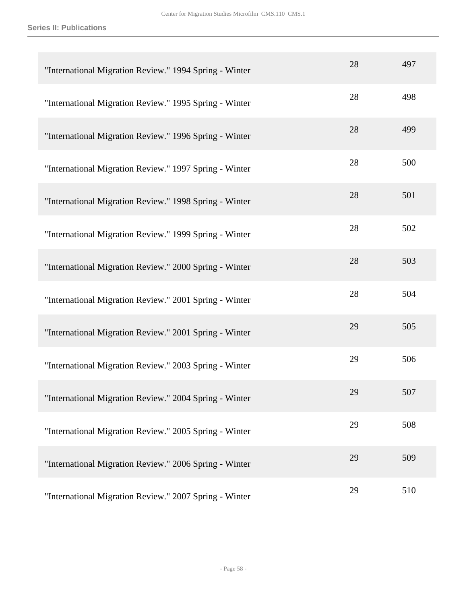| "International Migration Review." 1994 Spring - Winter | 28 | 497 |
|--------------------------------------------------------|----|-----|
| "International Migration Review." 1995 Spring - Winter | 28 | 498 |
| "International Migration Review." 1996 Spring - Winter | 28 | 499 |
| "International Migration Review." 1997 Spring - Winter | 28 | 500 |
| "International Migration Review." 1998 Spring - Winter | 28 | 501 |
| "International Migration Review." 1999 Spring - Winter | 28 | 502 |
| "International Migration Review." 2000 Spring - Winter | 28 | 503 |
| "International Migration Review." 2001 Spring - Winter | 28 | 504 |
| "International Migration Review." 2001 Spring - Winter | 29 | 505 |
| "International Migration Review." 2003 Spring - Winter | 29 | 506 |
| International Migration Review." 2004 Spring - Winter  | 29 | 507 |
| "International Migration Review." 2005 Spring - Winter | 29 | 508 |
| "International Migration Review." 2006 Spring - Winter | 29 | 509 |
| "International Migration Review." 2007 Spring - Winter | 29 | 510 |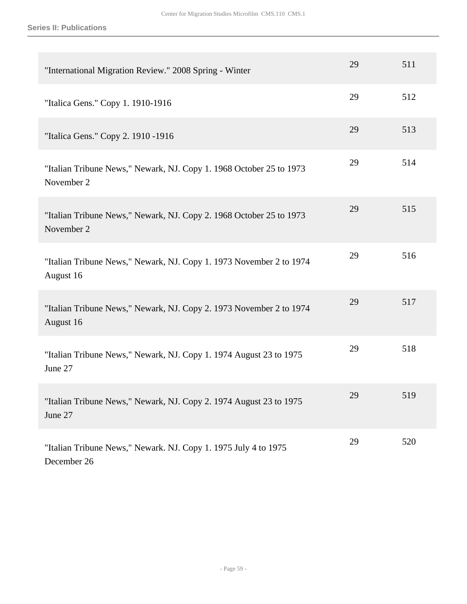| "International Migration Review." 2008 Spring - Winter                            | 29 | 511 |
|-----------------------------------------------------------------------------------|----|-----|
| "Italica Gens." Copy 1. 1910-1916                                                 | 29 | 512 |
| "Italica Gens." Copy 2. 1910 -1916                                                | 29 | 513 |
| "Italian Tribune News," Newark, NJ. Copy 1. 1968 October 25 to 1973<br>November 2 | 29 | 514 |
| "Italian Tribune News," Newark, NJ. Copy 2. 1968 October 25 to 1973<br>November 2 | 29 | 515 |
| "Italian Tribune News," Newark, NJ. Copy 1. 1973 November 2 to 1974<br>August 16  | 29 | 516 |
| "Italian Tribune News," Newark, NJ. Copy 2. 1973 November 2 to 1974<br>August 16  | 29 | 517 |
| "Italian Tribune News," Newark, NJ. Copy 1. 1974 August 23 to 1975<br>June 27     | 29 | 518 |
| "Italian Tribune News," Newark, NJ. Copy 2. 1974 August 23 to 1975<br>June 27     | 29 | 519 |
| "Italian Tribune News," Newark. NJ. Copy 1. 1975 July 4 to 1975<br>December 26    | 29 | 520 |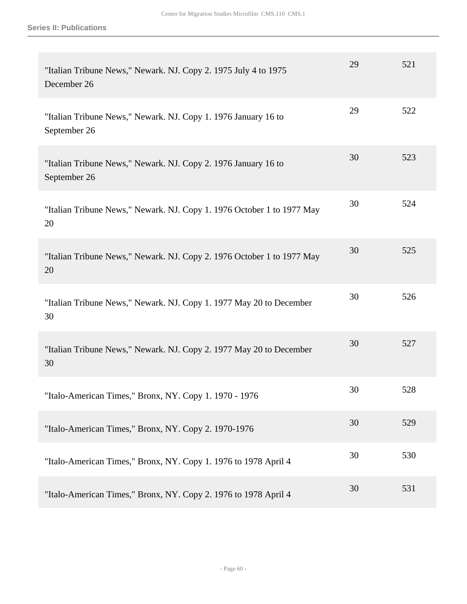| "Italian Tribune News," Newark. NJ. Copy 2. 1975 July 4 to 1975<br>December 26 | 29 | 521 |
|--------------------------------------------------------------------------------|----|-----|
| "Italian Tribune News," Newark. NJ. Copy 1. 1976 January 16 to<br>September 26 | 29 | 522 |
| "Italian Tribune News," Newark. NJ. Copy 2. 1976 January 16 to<br>September 26 | 30 | 523 |
| "Italian Tribune News," Newark. NJ. Copy 1. 1976 October 1 to 1977 May<br>20   | 30 | 524 |
| "Italian Tribune News," Newark. NJ. Copy 2. 1976 October 1 to 1977 May<br>20   | 30 | 525 |
| "Italian Tribune News," Newark. NJ. Copy 1. 1977 May 20 to December<br>30      | 30 | 526 |
| "Italian Tribune News," Newark. NJ. Copy 2. 1977 May 20 to December<br>30      | 30 | 527 |
| "Italo-American Times," Bronx, NY. Copy 1. 1970 - 1976                         | 30 | 528 |
| "Italo-American Times," Bronx, NY. Copy 2. 1970-1976                           | 30 | 529 |
| "Italo-American Times," Bronx, NY. Copy 1. 1976 to 1978 April 4                | 30 | 530 |
| "Italo-American Times," Bronx, NY. Copy 2. 1976 to 1978 April 4                | 30 | 531 |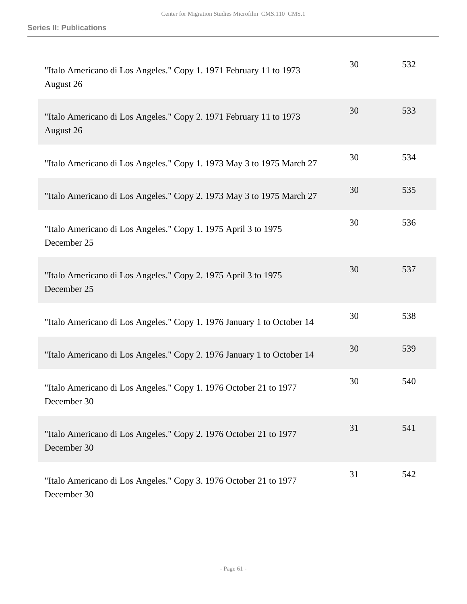| "Italo Americano di Los Angeles." Copy 1. 1971 February 11 to 1973<br>August 26  | 30 | 532 |
|----------------------------------------------------------------------------------|----|-----|
| "Italo Americano di Los Angeles." Copy 2. 1971 February 11 to 1973<br>August 26  | 30 | 533 |
| "Italo Americano di Los Angeles." Copy 1. 1973 May 3 to 1975 March 27            | 30 | 534 |
| "Italo Americano di Los Angeles." Copy 2. 1973 May 3 to 1975 March 27            | 30 | 535 |
| "Italo Americano di Los Angeles." Copy 1. 1975 April 3 to 1975<br>December 25    | 30 | 536 |
| "Italo Americano di Los Angeles." Copy 2. 1975 April 3 to 1975<br>December 25    | 30 | 537 |
| "Italo Americano di Los Angeles." Copy 1. 1976 January 1 to October 14           | 30 | 538 |
| "Italo Americano di Los Angeles." Copy 2. 1976 January 1 to October 14           | 30 | 539 |
| "Italo Americano di Los Angeles." Copy 1. 1976 October 21 to 1977<br>December 30 | 30 | 540 |
| "Italo Americano di Los Angeles." Copy 2. 1976 October 21 to 1977<br>December 30 | 31 | 541 |
| "Italo Americano di Los Angeles." Copy 3. 1976 October 21 to 1977<br>December 30 | 31 | 542 |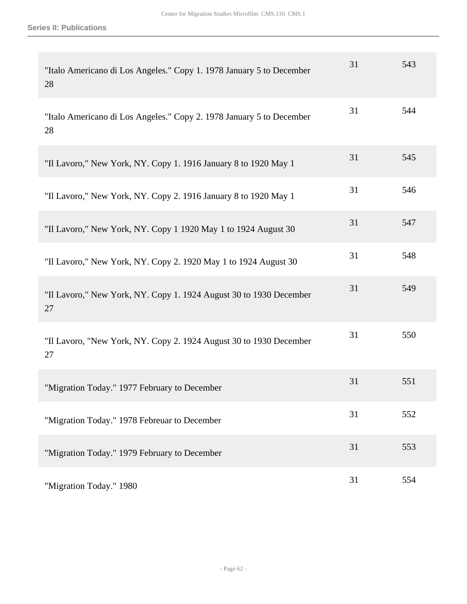| "Italo Americano di Los Angeles." Copy 1. 1978 January 5 to December<br>28 | 31 | 543 |
|----------------------------------------------------------------------------|----|-----|
| "Italo Americano di Los Angeles." Copy 2. 1978 January 5 to December<br>28 | 31 | 544 |
| "Il Lavoro," New York, NY. Copy 1. 1916 January 8 to 1920 May 1            | 31 | 545 |
| "Il Lavoro," New York, NY. Copy 2. 1916 January 8 to 1920 May 1            | 31 | 546 |
| "Il Lavoro," New York, NY. Copy 1 1920 May 1 to 1924 August 30             | 31 | 547 |
| "Il Lavoro," New York, NY. Copy 2. 1920 May 1 to 1924 August 30            | 31 | 548 |
| "Il Lavoro," New York, NY. Copy 1. 1924 August 30 to 1930 December<br>27   | 31 | 549 |
| "Il Lavoro, "New York, NY. Copy 2. 1924 August 30 to 1930 December<br>27   | 31 | 550 |
| "Migration Today." 1977 February to December                               | 31 | 551 |
| "Migration Today." 1978 Febreuar to December                               | 31 | 552 |
| "Migration Today." 1979 February to December                               | 31 | 553 |
| "Migration Today." 1980                                                    | 31 | 554 |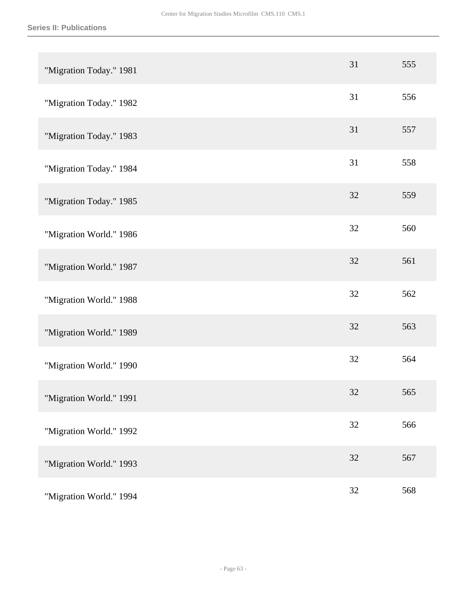| "Migration Today." 1981 | 31     | 555 |
|-------------------------|--------|-----|
| "Migration Today." 1982 | 31     | 556 |
| "Migration Today." 1983 | 31     | 557 |
| "Migration Today." 1984 | 31     | 558 |
| "Migration Today." 1985 | 32     | 559 |
| "Migration World." 1986 | 32     | 560 |
| "Migration World." 1987 | 32     | 561 |
| "Migration World." 1988 | 32     | 562 |
| "Migration World." 1989 | 32     | 563 |
| "Migration World." 1990 | 32     | 564 |
| "Migration World." 1991 | 32     | 565 |
| "Migration World." 1992 | $32\,$ | 566 |
| "Migration World." 1993 | 32     | 567 |
| "Migration World." 1994 | $32\,$ | 568 |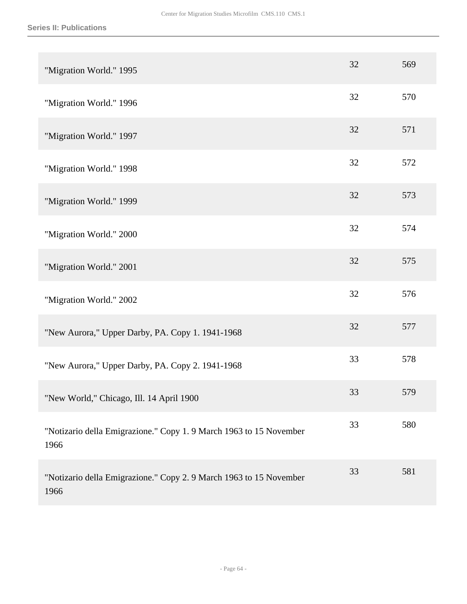| "Migration World." 1995                                                    | 32 | 569 |
|----------------------------------------------------------------------------|----|-----|
| "Migration World." 1996                                                    | 32 | 570 |
| "Migration World." 1997                                                    | 32 | 571 |
| "Migration World." 1998                                                    | 32 | 572 |
| "Migration World." 1999                                                    | 32 | 573 |
| "Migration World." 2000                                                    | 32 | 574 |
| "Migration World." 2001                                                    | 32 | 575 |
| "Migration World." 2002                                                    | 32 | 576 |
| "New Aurora," Upper Darby, PA. Copy 1. 1941-1968                           | 32 | 577 |
| "New Aurora," Upper Darby, PA. Copy 2. 1941-1968                           | 33 | 578 |
| "New World," Chicago, Ill. 14 April 1900                                   | 33 | 579 |
| "Notizario della Emigrazione." Copy 1.9 March 1963 to 15 November<br>1966  | 33 | 580 |
| "Notizario della Emigrazione." Copy 2. 9 March 1963 to 15 November<br>1966 | 33 | 581 |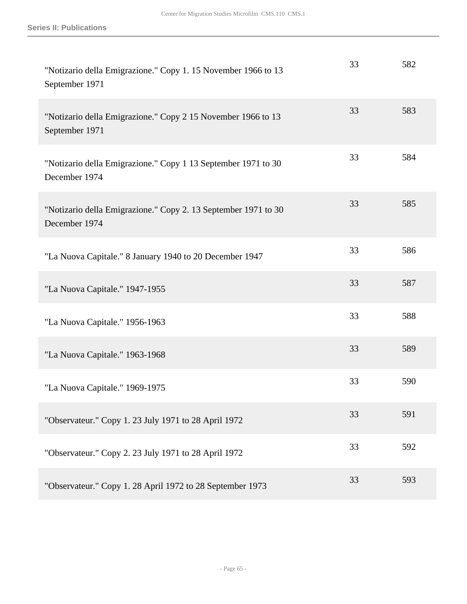| "Notizario della Emigrazione." Copy 1. 15 November 1966 to 13<br>September 1971 | 33 | 582 |
|---------------------------------------------------------------------------------|----|-----|
| "Notizario della Emigrazione." Copy 2 15 November 1966 to 13<br>September 1971  | 33 | 583 |
| "Notizario della Emigrazione." Copy 1 13 September 1971 to 30<br>December 1974  | 33 | 584 |
| "Notizario della Emigrazione." Copy 2. 13 September 1971 to 30<br>December 1974 | 33 | 585 |
| "La Nuova Capitale." 8 January 1940 to 20 December 1947                         | 33 | 586 |
| "La Nuova Capitale." 1947-1955                                                  | 33 | 587 |
| "La Nuova Capitale." 1956-1963                                                  | 33 | 588 |
| "La Nuova Capitale." 1963-1968                                                  | 33 | 589 |
| "La Nuova Capitale." 1969-1975                                                  | 33 | 590 |
| "Observateur." Copy 1. 23 July 1971 to 28 April 1972                            | 33 | 591 |
| "Observateur." Copy 2. 23 July 1971 to 28 April 1972                            | 33 | 592 |
| "Observateur." Copy 1. 28 April 1972 to 28 September 1973                       | 33 | 593 |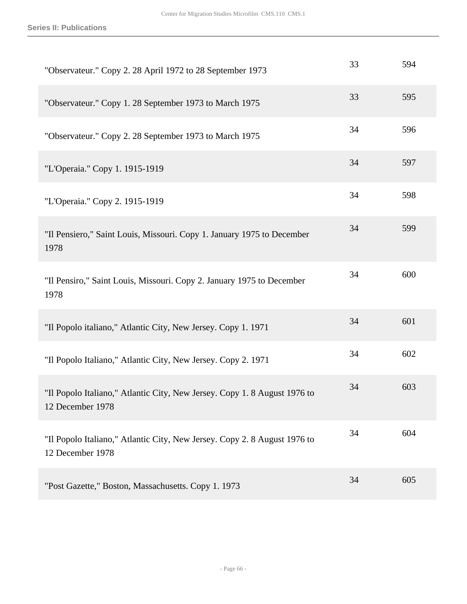| "Observateur." Copy 2. 28 April 1972 to 28 September 1973                                     | 33 | 594 |
|-----------------------------------------------------------------------------------------------|----|-----|
| "Observateur." Copy 1. 28 September 1973 to March 1975                                        | 33 | 595 |
| "Observateur." Copy 2. 28 September 1973 to March 1975                                        | 34 | 596 |
| "L'Operaia." Copy 1. 1915-1919                                                                | 34 | 597 |
| "L'Operaia." Copy 2. 1915-1919                                                                | 34 | 598 |
| "Il Pensiero," Saint Louis, Missouri. Copy 1. January 1975 to December<br>1978                | 34 | 599 |
| "Il Pensiro," Saint Louis, Missouri. Copy 2. January 1975 to December<br>1978                 | 34 | 600 |
| "Il Popolo italiano," Atlantic City, New Jersey. Copy 1. 1971                                 | 34 | 601 |
| "Il Popolo Italiano," Atlantic City, New Jersey. Copy 2. 1971                                 | 34 | 602 |
| "Il Popolo Italiano," Atlantic City, New Jersey. Copy 1. 8 August 1976 to<br>12 December 1978 | 34 | 603 |
| "Il Popolo Italiano," Atlantic City, New Jersey. Copy 2. 8 August 1976 to<br>12 December 1978 | 34 | 604 |
| "Post Gazette," Boston, Massachusetts. Copy 1. 1973                                           | 34 | 605 |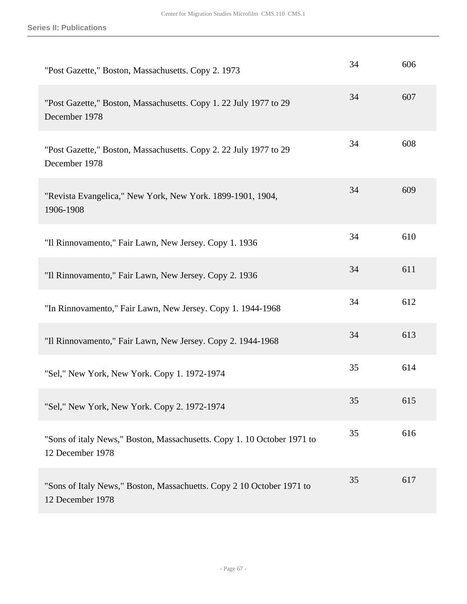| "Post Gazette," Boston, Massachusetts. Copy 2. 1973                                         | 34 | 606 |
|---------------------------------------------------------------------------------------------|----|-----|
| "Post Gazette," Boston, Massachusetts. Copy 1. 22 July 1977 to 29<br>December 1978          | 34 | 607 |
| "Post Gazette," Boston, Massachusetts. Copy 2. 22 July 1977 to 29<br>December 1978          | 34 | 608 |
| "Revista Evangelica," New York, New York. 1899-1901, 1904,<br>1906-1908                     | 34 | 609 |
| "Il Rinnovamento," Fair Lawn, New Jersey. Copy 1. 1936                                      | 34 | 610 |
| "Il Rinnovamento," Fair Lawn, New Jersey. Copy 2. 1936                                      | 34 | 611 |
| "In Rinnovamento," Fair Lawn, New Jersey. Copy 1. 1944-1968                                 | 34 | 612 |
| "Il Rinnovamento," Fair Lawn, New Jersey. Copy 2. 1944-1968                                 | 34 | 613 |
| "Sel," New York, New York. Copy 1. 1972-1974                                                | 35 | 614 |
| "Sel," New York, New York. Copy 2. 1972-1974                                                | 35 | 615 |
| "Sons of italy News," Boston, Massachusetts. Copy 1. 10 October 1971 to<br>12 December 1978 | 35 | 616 |
| "Sons of Italy News," Boston, Massachuetts. Copy 2 10 October 1971 to<br>12 December 1978   | 35 | 617 |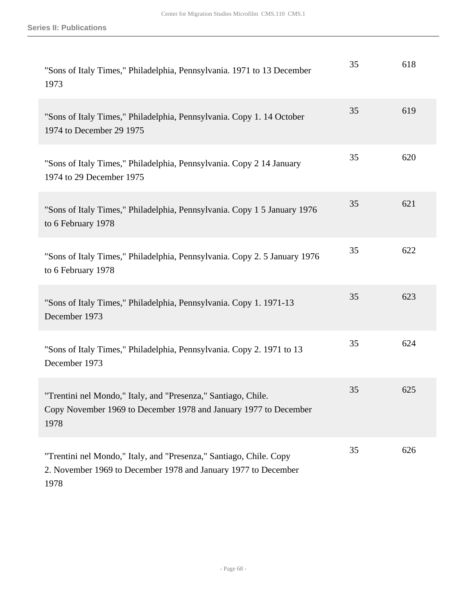| "Sons of Italy Times," Philadelphia, Pennsylvania. 1971 to 13 December<br>1973                                                               | 35 | 618 |
|----------------------------------------------------------------------------------------------------------------------------------------------|----|-----|
| "Sons of Italy Times," Philadelphia, Pennsylvania. Copy 1. 14 October<br>1974 to December 29 1975                                            | 35 | 619 |
| "Sons of Italy Times," Philadelphia, Pennsylvania. Copy 2 14 January<br>1974 to 29 December 1975                                             | 35 | 620 |
| "Sons of Italy Times," Philadelphia, Pennsylvania. Copy 1 5 January 1976<br>to 6 February 1978                                               | 35 | 621 |
| "Sons of Italy Times," Philadelphia, Pennsylvania. Copy 2. 5 January 1976<br>to 6 February 1978                                              | 35 | 622 |
| "Sons of Italy Times," Philadelphia, Pennsylvania. Copy 1. 1971-13<br>December 1973                                                          | 35 | 623 |
| "Sons of Italy Times," Philadelphia, Pennsylvania. Copy 2. 1971 to 13<br>December 1973                                                       | 35 | 624 |
| "Trentini nel Mondo," Italy, and "Presenza," Santiago, Chile.<br>Copy November 1969 to December 1978 and January 1977 to December<br>1978    | 35 | 625 |
| "Trentini nel Mondo," Italy, and "Presenza," Santiago, Chile. Copy<br>2. November 1969 to December 1978 and January 1977 to December<br>1978 | 35 | 626 |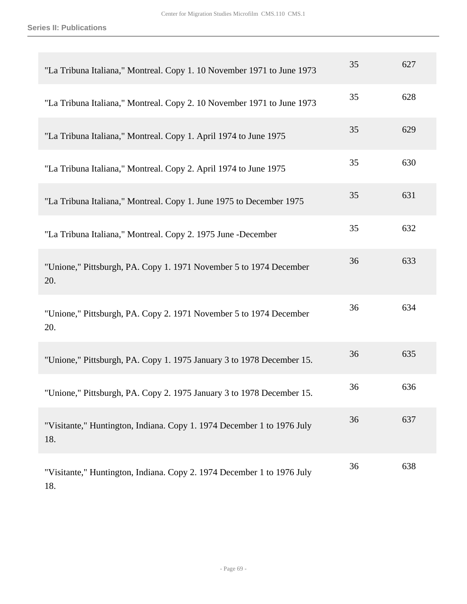18.

| "La Tribuna Italiana," Montreal. Copy 1. 10 November 1971 to June 1973        | 35 | 627 |
|-------------------------------------------------------------------------------|----|-----|
| "La Tribuna Italiana," Montreal. Copy 2. 10 November 1971 to June 1973        | 35 | 628 |
| "La Tribuna Italiana," Montreal. Copy 1. April 1974 to June 1975              | 35 | 629 |
| "La Tribuna Italiana," Montreal. Copy 2. April 1974 to June 1975              | 35 | 630 |
| "La Tribuna Italiana," Montreal. Copy 1. June 1975 to December 1975           | 35 | 631 |
| "La Tribuna Italiana," Montreal. Copy 2. 1975 June -December                  | 35 | 632 |
| "Unione," Pittsburgh, PA. Copy 1. 1971 November 5 to 1974 December<br>20.     | 36 | 633 |
| "Unione," Pittsburgh, PA. Copy 2. 1971 November 5 to 1974 December<br>20.     | 36 | 634 |
| "Unione," Pittsburgh, PA. Copy 1. 1975 January 3 to 1978 December 15.         | 36 | 635 |
| "Unione," Pittsburgh, PA. Copy 2. 1975 January 3 to 1978 December 15.         | 36 | 636 |
| "Visitante," Huntington, Indiana. Copy 1. 1974 December 1 to 1976 July<br>18. | 36 | 637 |
| "Visitante," Huntington, Indiana. Copy 2. 1974 December 1 to 1976 July        | 36 | 638 |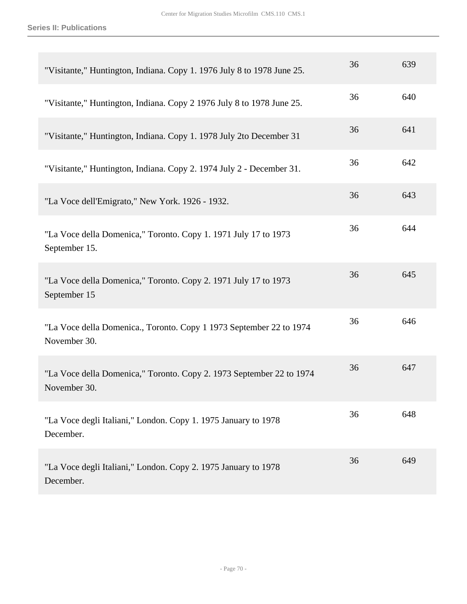| "Visitante," Huntington, Indiana. Copy 1. 1976 July 8 to 1978 June 25.               | 36 | 639 |
|--------------------------------------------------------------------------------------|----|-----|
| "Visitante," Huntington, Indiana. Copy 2 1976 July 8 to 1978 June 25.                | 36 | 640 |
| "Visitante," Huntington, Indiana. Copy 1. 1978 July 2to December 31                  | 36 | 641 |
| "Visitante," Huntington, Indiana. Copy 2. 1974 July 2 - December 31.                 | 36 | 642 |
| "La Voce dell'Emigrato," New York. 1926 - 1932.                                      | 36 | 643 |
| "La Voce della Domenica," Toronto. Copy 1. 1971 July 17 to 1973<br>September 15.     | 36 | 644 |
| "La Voce della Domenica," Toronto. Copy 2. 1971 July 17 to 1973<br>September 15      | 36 | 645 |
| "La Voce della Domenica., Toronto. Copy 1 1973 September 22 to 1974<br>November 30.  | 36 | 646 |
| "La Voce della Domenica," Toronto. Copy 2. 1973 September 22 to 1974<br>November 30. | 36 | 647 |
| "La Voce degli Italiani," London. Copy 1. 1975 January to 1978<br>December.          | 36 | 648 |
| "La Voce degli Italiani," London. Copy 2. 1975 January to 1978<br>December.          | 36 | 649 |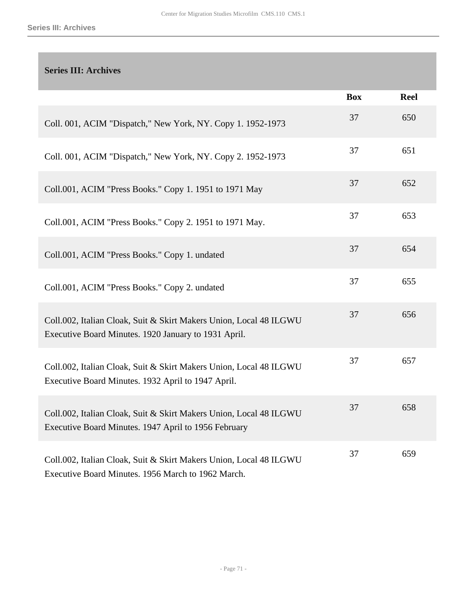## **Series III: Archives**

|                                                                                                                            | <b>Box</b> | <b>Reel</b> |
|----------------------------------------------------------------------------------------------------------------------------|------------|-------------|
| Coll. 001, ACIM "Dispatch," New York, NY. Copy 1. 1952-1973                                                                | 37         | 650         |
| Coll. 001, ACIM "Dispatch," New York, NY. Copy 2. 1952-1973                                                                | 37         | 651         |
| Coll.001, ACIM "Press Books." Copy 1. 1951 to 1971 May                                                                     | 37         | 652         |
| Coll.001, ACIM "Press Books." Copy 2. 1951 to 1971 May.                                                                    | 37         | 653         |
| Coll.001, ACIM "Press Books." Copy 1. undated                                                                              | 37         | 654         |
| Coll.001, ACIM "Press Books." Copy 2. undated                                                                              | 37         | 655         |
| Coll.002, Italian Cloak, Suit & Skirt Makers Union, Local 48 ILGWU<br>Executive Board Minutes. 1920 January to 1931 April. | 37         | 656         |
| Coll.002, Italian Cloak, Suit & Skirt Makers Union, Local 48 ILGWU<br>Executive Board Minutes. 1932 April to 1947 April.   | 37         | 657         |
| Coll.002, Italian Cloak, Suit & Skirt Makers Union, Local 48 ILGWU<br>Executive Board Minutes. 1947 April to 1956 February | 37         | 658         |
| Coll.002, Italian Cloak, Suit & Skirt Makers Union, Local 48 ILGWU<br>Executive Board Minutes. 1956 March to 1962 March.   | 37         | 659         |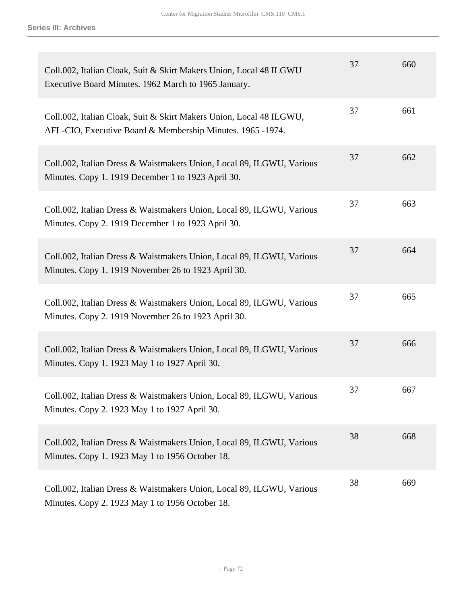| Coll.002, Italian Cloak, Suit & Skirt Makers Union, Local 48 ILGWU<br>Executive Board Minutes. 1962 March to 1965 January.        | 37 | 660 |
|-----------------------------------------------------------------------------------------------------------------------------------|----|-----|
| Coll.002, Italian Cloak, Suit & Skirt Makers Union, Local 48 ILGWU,<br>AFL-CIO, Executive Board & Membership Minutes. 1965 -1974. | 37 | 661 |
| Coll.002, Italian Dress & Waistmakers Union, Local 89, ILGWU, Various<br>Minutes. Copy 1. 1919 December 1 to 1923 April 30.       | 37 | 662 |
| Coll.002, Italian Dress & Waistmakers Union, Local 89, ILGWU, Various<br>Minutes. Copy 2. 1919 December 1 to 1923 April 30.       | 37 | 663 |
| Coll.002, Italian Dress & Waistmakers Union, Local 89, ILGWU, Various<br>Minutes. Copy 1. 1919 November 26 to 1923 April 30.      | 37 | 664 |
| Coll.002, Italian Dress & Waistmakers Union, Local 89, ILGWU, Various<br>Minutes. Copy 2. 1919 November 26 to 1923 April 30.      | 37 | 665 |
| Coll.002, Italian Dress & Waistmakers Union, Local 89, ILGWU, Various<br>Minutes. Copy 1. 1923 May 1 to 1927 April 30.            | 37 | 666 |
| Coll.002, Italian Dress & Waistmakers Union, Local 89, ILGWU, Various<br>Minutes. Copy 2. 1923 May 1 to 1927 April 30.            | 37 | 667 |
| Coll.002, Italian Dress & Waistmakers Union, Local 89, ILGWU, Various<br>Minutes. Copy 1. 1923 May 1 to 1956 October 18.          | 38 | 668 |
| Coll.002, Italian Dress & Waistmakers Union, Local 89, ILGWU, Various<br>Minutes. Copy 2. 1923 May 1 to 1956 October 18.          | 38 | 669 |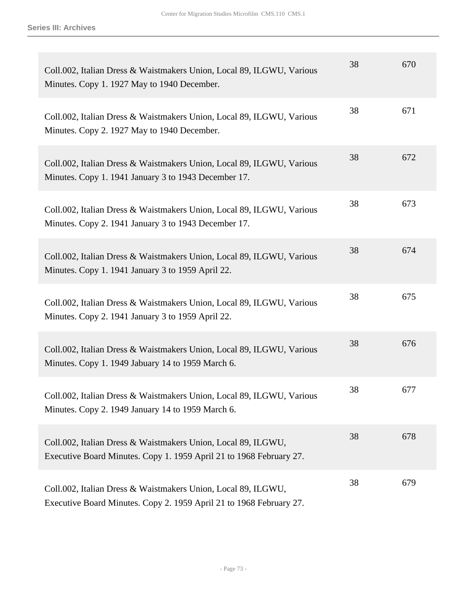| Coll.002, Italian Dress & Waistmakers Union, Local 89, ILGWU, Various<br>Minutes. Copy 1. 1927 May to 1940 December.                 | 38 | 670 |
|--------------------------------------------------------------------------------------------------------------------------------------|----|-----|
| Coll.002, Italian Dress & Waistmakers Union, Local 89, ILGWU, Various<br>Minutes. Copy 2. 1927 May to 1940 December.                 | 38 | 671 |
| Coll.002, Italian Dress & Waistmakers Union, Local 89, ILGWU, Various<br>Minutes. Copy 1. 1941 January 3 to 1943 December 17.        | 38 | 672 |
| Coll.002, Italian Dress & Waistmakers Union, Local 89, ILGWU, Various<br>Minutes. Copy 2. 1941 January 3 to 1943 December 17.        | 38 | 673 |
| Coll.002, Italian Dress & Waistmakers Union, Local 89, ILGWU, Various<br>Minutes. Copy 1. 1941 January 3 to 1959 April 22.           | 38 | 674 |
| Coll.002, Italian Dress & Waistmakers Union, Local 89, ILGWU, Various<br>Minutes. Copy 2. 1941 January 3 to 1959 April 22.           | 38 | 675 |
| Coll.002, Italian Dress & Waistmakers Union, Local 89, ILGWU, Various<br>Minutes. Copy 1. 1949 Jabuary 14 to 1959 March 6.           | 38 | 676 |
| Coll.002, Italian Dress & Waistmakers Union, Local 89, ILGWU, Various<br>Minutes. Copy 2. 1949 January 14 to 1959 March 6.           | 38 | 677 |
| Coll.002, Italian Dress & Waistmakers Union, Local 89, ILGWU,<br>Executive Board Minutes. Copy 1. 1959 April 21 to 1968 February 27. | 38 | 678 |
| Coll.002, Italian Dress & Waistmakers Union, Local 89, ILGWU,<br>Executive Board Minutes. Copy 2. 1959 April 21 to 1968 February 27. | 38 | 679 |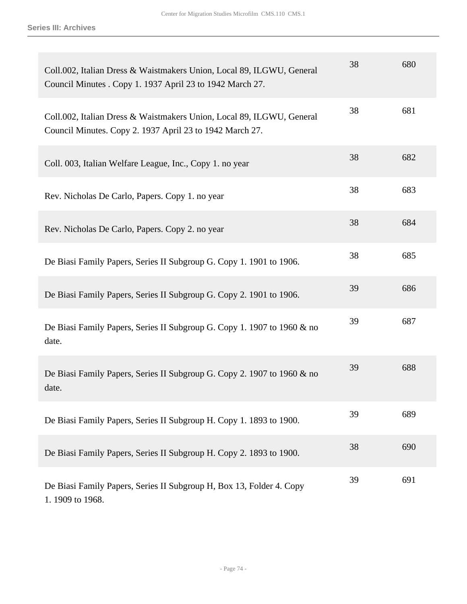| Coll.002, Italian Dress & Waistmakers Union, Local 89, ILGWU, General<br>Council Minutes . Copy 1. 1937 April 23 to 1942 March 27. | 38 | 680 |
|------------------------------------------------------------------------------------------------------------------------------------|----|-----|
| Coll.002, Italian Dress & Waistmakers Union, Local 89, ILGWU, General<br>Council Minutes. Copy 2. 1937 April 23 to 1942 March 27.  | 38 | 681 |
| Coll. 003, Italian Welfare League, Inc., Copy 1. no year                                                                           | 38 | 682 |
| Rev. Nicholas De Carlo, Papers. Copy 1. no year                                                                                    | 38 | 683 |
| Rev. Nicholas De Carlo, Papers. Copy 2. no year                                                                                    | 38 | 684 |
| De Biasi Family Papers, Series II Subgroup G. Copy 1. 1901 to 1906.                                                                | 38 | 685 |
| De Biasi Family Papers, Series II Subgroup G. Copy 2. 1901 to 1906.                                                                | 39 | 686 |
| De Biasi Family Papers, Series II Subgroup G. Copy 1. 1907 to 1960 & no<br>date.                                                   | 39 | 687 |
| De Biasi Family Papers, Series II Subgroup G. Copy 2. 1907 to 1960 & no<br>date.                                                   | 39 | 688 |
| De Biasi Family Papers, Series II Subgroup H. Copy 1. 1893 to 1900.                                                                | 39 | 689 |
| De Biasi Family Papers, Series II Subgroup H. Copy 2. 1893 to 1900.                                                                | 38 | 690 |
| De Biasi Family Papers, Series II Subgroup H, Box 13, Folder 4. Copy<br>1.1909 to 1968.                                            | 39 | 691 |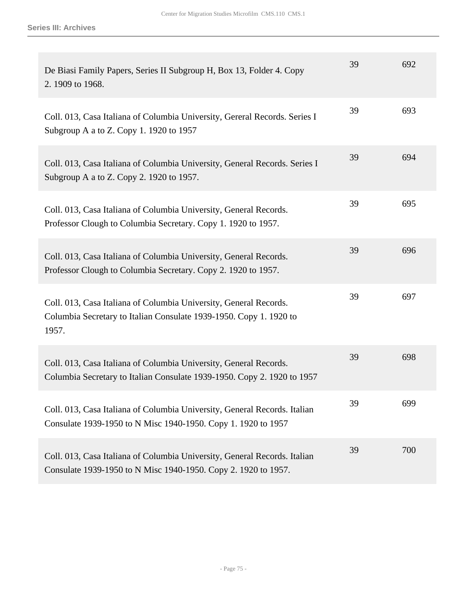| De Biasi Family Papers, Series II Subgroup H, Box 13, Folder 4. Copy<br>2.1909 to 1968.                                                          | 39 | 692 |
|--------------------------------------------------------------------------------------------------------------------------------------------------|----|-----|
| Coll. 013, Casa Italiana of Columbia University, Gereral Records. Series I<br>Subgroup A a to Z. Copy 1. 1920 to 1957                            | 39 | 693 |
| Coll. 013, Casa Italiana of Columbia University, General Records. Series I<br>Subgroup A a to Z. Copy 2. 1920 to 1957.                           | 39 | 694 |
| Coll. 013, Casa Italiana of Columbia University, General Records.<br>Professor Clough to Columbia Secretary. Copy 1. 1920 to 1957.               | 39 | 695 |
| Coll. 013, Casa Italiana of Columbia University, General Records.<br>Professor Clough to Columbia Secretary. Copy 2. 1920 to 1957.               | 39 | 696 |
| Coll. 013, Casa Italiana of Columbia University, General Records.<br>Columbia Secretary to Italian Consulate 1939-1950. Copy 1. 1920 to<br>1957. | 39 | 697 |
| Coll. 013, Casa Italiana of Columbia University, General Records.<br>Columbia Secretary to Italian Consulate 1939-1950. Copy 2. 1920 to 1957     | 39 | 698 |
| Coll. 013, Casa Italiana of Columbia University, General Records. Italian<br>Consulate 1939-1950 to N Misc 1940-1950. Copy 1. 1920 to 1957       | 39 | 699 |
| Coll. 013, Casa Italiana of Columbia University, General Records. Italian<br>Consulate 1939-1950 to N Misc 1940-1950. Copy 2. 1920 to 1957.      | 39 | 700 |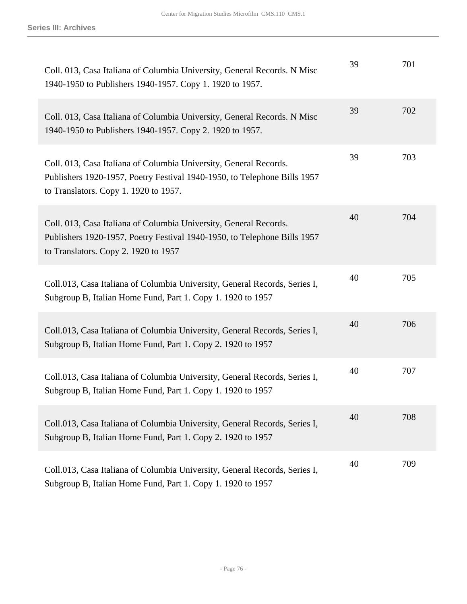| Coll. 013, Casa Italiana of Columbia University, General Records. N Misc<br>1940-1950 to Publishers 1940-1957. Copy 1. 1920 to 1957.                                                   | 39 | 701 |
|----------------------------------------------------------------------------------------------------------------------------------------------------------------------------------------|----|-----|
| Coll. 013, Casa Italiana of Columbia University, General Records. N Misc<br>1940-1950 to Publishers 1940-1957. Copy 2. 1920 to 1957.                                                   | 39 | 702 |
| Coll. 013, Casa Italiana of Columbia University, General Records.<br>Publishers 1920-1957, Poetry Festival 1940-1950, to Telephone Bills 1957<br>to Translators. Copy 1. 1920 to 1957. | 39 | 703 |
| Coll. 013, Casa Italiana of Columbia University, General Records.<br>Publishers 1920-1957, Poetry Festival 1940-1950, to Telephone Bills 1957<br>to Translators. Copy 2. 1920 to 1957  | 40 | 704 |
| Coll.013, Casa Italiana of Columbia University, General Records, Series I,<br>Subgroup B, Italian Home Fund, Part 1. Copy 1. 1920 to 1957                                              | 40 | 705 |
| Coll.013, Casa Italiana of Columbia University, General Records, Series I,<br>Subgroup B, Italian Home Fund, Part 1. Copy 2. 1920 to 1957                                              | 40 | 706 |
| Coll.013, Casa Italiana of Columbia University, General Records, Series I,<br>Subgroup B, Italian Home Fund, Part 1. Copy 1. 1920 to 1957                                              | 40 | 707 |
| Coll.013, Casa Italiana of Columbia University, General Records, Series I,<br>Subgroup B, Italian Home Fund, Part 1. Copy 2. 1920 to 1957                                              | 40 | 708 |
| Coll.013, Casa Italiana of Columbia University, General Records, Series I,<br>Subgroup B, Italian Home Fund, Part 1. Copy 1. 1920 to 1957                                              | 40 | 709 |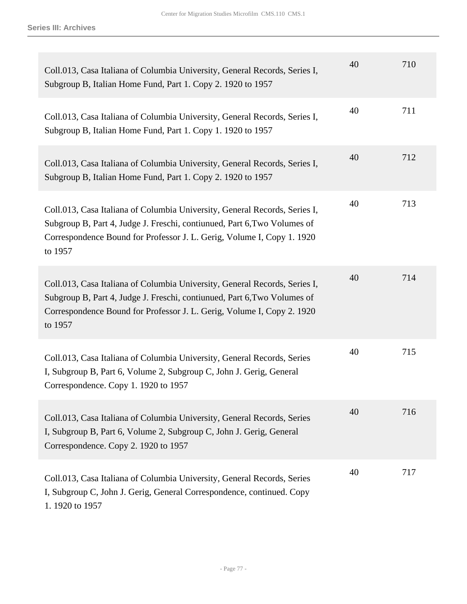| Coll.013, Casa Italiana of Columbia University, General Records, Series I,<br>Subgroup B, Italian Home Fund, Part 1. Copy 2. 1920 to 1957                                                                                                   | 40 | 710 |
|---------------------------------------------------------------------------------------------------------------------------------------------------------------------------------------------------------------------------------------------|----|-----|
| Coll.013, Casa Italiana of Columbia University, General Records, Series I,<br>Subgroup B, Italian Home Fund, Part 1. Copy 1. 1920 to 1957                                                                                                   | 40 | 711 |
| Coll.013, Casa Italiana of Columbia University, General Records, Series I,<br>Subgroup B, Italian Home Fund, Part 1. Copy 2. 1920 to 1957                                                                                                   | 40 | 712 |
| Coll.013, Casa Italiana of Columbia University, General Records, Series I,<br>Subgroup B, Part 4, Judge J. Freschi, contiunued, Part 6, Two Volumes of<br>Correspondence Bound for Professor J. L. Gerig, Volume I, Copy 1. 1920<br>to 1957 | 40 | 713 |
| Coll.013, Casa Italiana of Columbia University, General Records, Series I,<br>Subgroup B, Part 4, Judge J. Freschi, contiunued, Part 6, Two Volumes of<br>Correspondence Bound for Professor J. L. Gerig, Volume I, Copy 2. 1920<br>to 1957 | 40 | 714 |
| Coll.013, Casa Italiana of Columbia University, General Records, Series<br>I, Subgroup B, Part 6, Volume 2, Subgroup C, John J. Gerig, General<br>Correspondence. Copy 1. 1920 to 1957                                                      | 40 | 715 |
| Coll.013, Casa Italiana of Columbia University, General Records, Series<br>I, Subgroup B, Part 6, Volume 2, Subgroup C, John J. Gerig, General<br>Correspondence. Copy 2. 1920 to 1957                                                      | 40 | 716 |
| Coll.013, Casa Italiana of Columbia University, General Records, Series<br>I, Subgroup C, John J. Gerig, General Correspondence, continued. Copy<br>1.1920 to 1957                                                                          | 40 | 717 |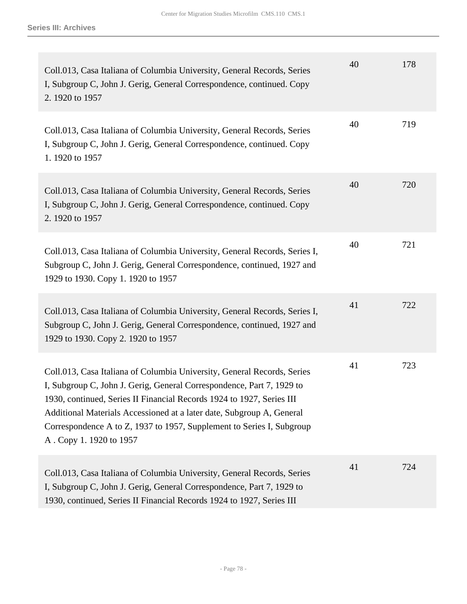| Coll.013, Casa Italiana of Columbia University, General Records, Series<br>I, Subgroup C, John J. Gerig, General Correspondence, continued. Copy<br>2. 1920 to 1957                                                                                                                                                                                                                                    | 40 | 178 |
|--------------------------------------------------------------------------------------------------------------------------------------------------------------------------------------------------------------------------------------------------------------------------------------------------------------------------------------------------------------------------------------------------------|----|-----|
| Coll.013, Casa Italiana of Columbia University, General Records, Series<br>I, Subgroup C, John J. Gerig, General Correspondence, continued. Copy<br>1.1920 to 1957                                                                                                                                                                                                                                     | 40 | 719 |
| Coll.013, Casa Italiana of Columbia University, General Records, Series<br>I, Subgroup C, John J. Gerig, General Correspondence, continued. Copy<br>2. 1920 to 1957                                                                                                                                                                                                                                    | 40 | 720 |
| Coll.013, Casa Italiana of Columbia University, General Records, Series I,<br>Subgroup C, John J. Gerig, General Correspondence, continued, 1927 and<br>1929 to 1930. Copy 1. 1920 to 1957                                                                                                                                                                                                             | 40 | 721 |
| Coll.013, Casa Italiana of Columbia University, General Records, Series I,<br>Subgroup C, John J. Gerig, General Correspondence, continued, 1927 and<br>1929 to 1930. Copy 2. 1920 to 1957                                                                                                                                                                                                             | 41 | 722 |
| Coll.013, Casa Italiana of Columbia University, General Records, Series<br>I, Subgroup C, John J. Gerig, General Correspondence, Part 7, 1929 to<br>1930, continued, Series II Financial Records 1924 to 1927, Series III<br>Additional Materials Accessioned at a later date, Subgroup A, General<br>Correspondence A to Z, 1937 to 1957, Supplement to Series I, Subgroup<br>A. Copy 1. 1920 to 1957 | 41 | 723 |
| Coll.013, Casa Italiana of Columbia University, General Records, Series<br>I, Subgroup C, John J. Gerig, General Correspondence, Part 7, 1929 to<br>1930, continued, Series II Financial Records 1924 to 1927, Series III                                                                                                                                                                              | 41 | 724 |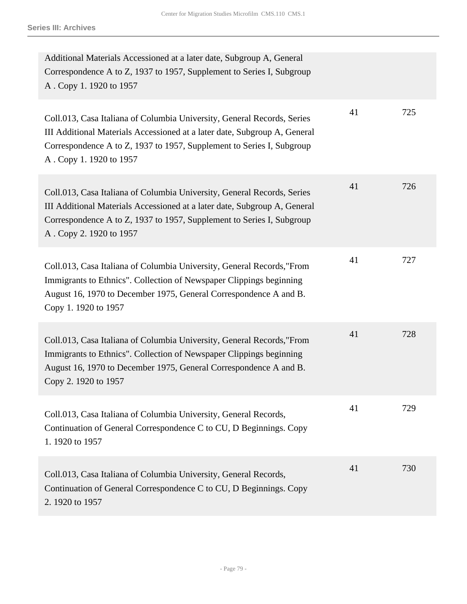| Additional Materials Accessioned at a later date, Subgroup A, General<br>Correspondence A to Z, 1937 to 1957, Supplement to Series I, Subgroup<br>A. Copy 1. 1920 to 1957                                                                                |    |     |
|----------------------------------------------------------------------------------------------------------------------------------------------------------------------------------------------------------------------------------------------------------|----|-----|
| Coll.013, Casa Italiana of Columbia University, General Records, Series<br>III Additional Materials Accessioned at a later date, Subgroup A, General<br>Correspondence A to Z, 1937 to 1957, Supplement to Series I, Subgroup<br>A. Copy 1. 1920 to 1957 | 41 | 725 |
| Coll.013, Casa Italiana of Columbia University, General Records, Series<br>III Additional Materials Accessioned at a later date, Subgroup A, General<br>Correspondence A to Z, 1937 to 1957, Supplement to Series I, Subgroup<br>A. Copy 2. 1920 to 1957 | 41 | 726 |
| Coll.013, Casa Italiana of Columbia University, General Records, "From<br>Immigrants to Ethnics". Collection of Newspaper Clippings beginning<br>August 16, 1970 to December 1975, General Correspondence A and B.<br>Copy 1. 1920 to 1957               | 41 | 727 |
| Coll.013, Casa Italiana of Columbia University, General Records, "From<br>Immigrants to Ethnics". Collection of Newspaper Clippings beginning<br>August 16, 1970 to December 1975, General Correspondence A and B.<br>Copy 2. 1920 to 1957               | 41 | 728 |
| Coll.013, Casa Italiana of Columbia University, General Records,<br>Continuation of General Correspondence C to CU, D Beginnings. Copy<br>1.1920 to 1957                                                                                                 | 41 | 729 |
| Coll.013, Casa Italiana of Columbia University, General Records,<br>Continuation of General Correspondence C to CU, D Beginnings. Copy<br>2.1920 to 1957                                                                                                 | 41 | 730 |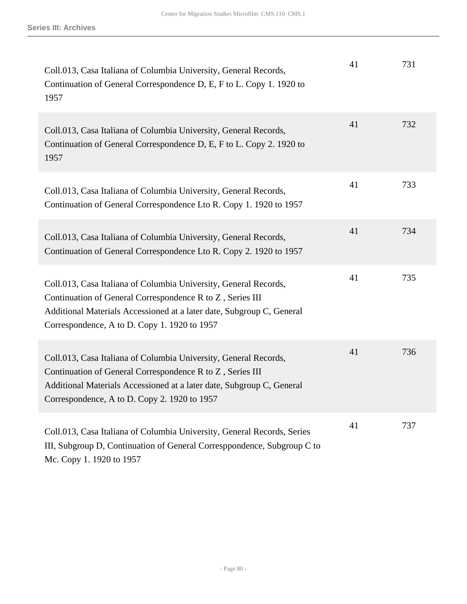| Coll.013, Casa Italiana of Columbia University, General Records,<br>Continuation of General Correspondence D, E, F to L. Copy 1. 1920 to<br>1957                                                                                                       | 41 | 731 |
|--------------------------------------------------------------------------------------------------------------------------------------------------------------------------------------------------------------------------------------------------------|----|-----|
| Coll.013, Casa Italiana of Columbia University, General Records,<br>Continuation of General Correspondence D, E, F to L. Copy 2. 1920 to<br>1957                                                                                                       | 41 | 732 |
| Coll.013, Casa Italiana of Columbia University, General Records,<br>Continuation of General Correspondence Lto R. Copy 1. 1920 to 1957                                                                                                                 | 41 | 733 |
| Coll.013, Casa Italiana of Columbia University, General Records,<br>Continuation of General Correspondence Lto R. Copy 2. 1920 to 1957                                                                                                                 | 41 | 734 |
| Coll.013, Casa Italiana of Columbia University, General Records,<br>Continuation of General Correspondence R to Z, Series III<br>Additional Materials Accessioned at a later date, Subgroup C, General<br>Correspondence, A to D. Copy 1. 1920 to 1957 | 41 | 735 |
| Coll.013, Casa Italiana of Columbia University, General Records,<br>Continuation of General Correspondence R to Z, Series III<br>Additional Materials Accessioned at a later date, Subgroup C, General<br>Correspondence, A to D. Copy 2. 1920 to 1957 | 41 | 736 |
| Coll.013, Casa Italiana of Columbia University, General Records, Series<br>III, Subgroup D, Continuation of General Corresppondence, Subgroup C to<br>Mc. Copy 1. 1920 to 1957                                                                         | 41 | 737 |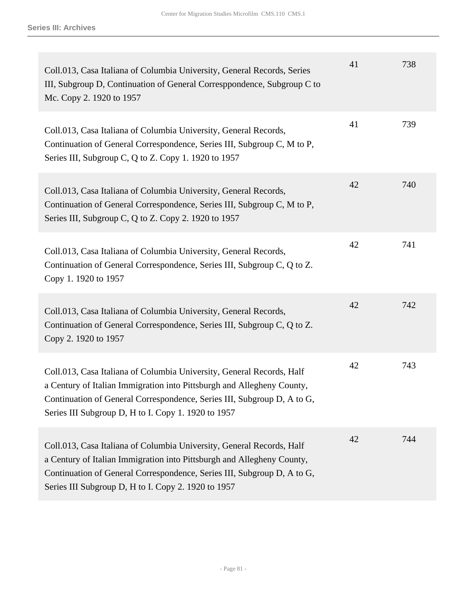| Coll.013, Casa Italiana of Columbia University, General Records, Series<br>III, Subgroup D, Continuation of General Corresppondence, Subgroup C to<br>Mc. Copy 2. 1920 to 1957                                                                                                    | 41 | 738 |
|-----------------------------------------------------------------------------------------------------------------------------------------------------------------------------------------------------------------------------------------------------------------------------------|----|-----|
| Coll.013, Casa Italiana of Columbia University, General Records,<br>Continuation of General Correspondence, Series III, Subgroup C, M to P,<br>Series III, Subgroup C, Q to Z. Copy 1. 1920 to 1957                                                                               | 41 | 739 |
| Coll.013, Casa Italiana of Columbia University, General Records,<br>Continuation of General Correspondence, Series III, Subgroup C, M to P,<br>Series III, Subgroup C, Q to Z. Copy 2. 1920 to 1957                                                                               | 42 | 740 |
| Coll.013, Casa Italiana of Columbia University, General Records,<br>Continuation of General Correspondence, Series III, Subgroup C, Q to Z.<br>Copy 1. 1920 to 1957                                                                                                               | 42 | 741 |
| Coll.013, Casa Italiana of Columbia University, General Records,<br>Continuation of General Correspondence, Series III, Subgroup C, Q to Z.<br>Copy 2. 1920 to 1957                                                                                                               | 42 | 742 |
| Coll.013, Casa Italiana of Columbia University, General Records, Half<br>a Century of Italian Immigration into Pittsburgh and Allegheny County,<br>Continuation of General Correspondence, Series III, Subgroup D, A to G,<br>Series III Subgroup D, H to I. Copy 1. 1920 to 1957 | 42 | 743 |
| Coll.013, Casa Italiana of Columbia University, General Records, Half<br>a Century of Italian Immigration into Pittsburgh and Allegheny County,<br>Continuation of General Correspondence, Series III, Subgroup D, A to G,<br>Series III Subgroup D, H to I. Copy 2. 1920 to 1957 | 42 | 744 |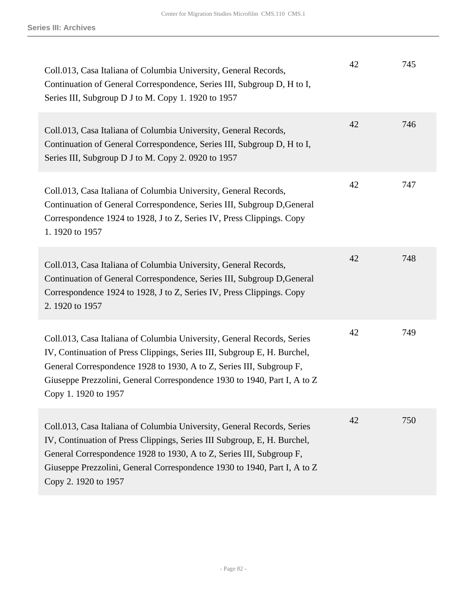| Coll.013, Casa Italiana of Columbia University, General Records,<br>Continuation of General Correspondence, Series III, Subgroup D, H to I,<br>Series III, Subgroup D J to M. Copy 1. 1920 to 1957                                                                                                                              | 42 | 745 |
|---------------------------------------------------------------------------------------------------------------------------------------------------------------------------------------------------------------------------------------------------------------------------------------------------------------------------------|----|-----|
| Coll.013, Casa Italiana of Columbia University, General Records,<br>Continuation of General Correspondence, Series III, Subgroup D, H to I,<br>Series III, Subgroup D J to M. Copy 2. 0920 to 1957                                                                                                                              | 42 | 746 |
| Coll.013, Casa Italiana of Columbia University, General Records,<br>Continuation of General Correspondence, Series III, Subgroup D, General<br>Correspondence 1924 to 1928, J to Z, Series IV, Press Clippings. Copy<br>1.1920 to 1957                                                                                          | 42 | 747 |
| Coll.013, Casa Italiana of Columbia University, General Records,<br>Continuation of General Correspondence, Series III, Subgroup D, General<br>Correspondence 1924 to 1928, J to Z, Series IV, Press Clippings. Copy<br>2. 1920 to 1957                                                                                         | 42 | 748 |
| Coll.013, Casa Italiana of Columbia University, General Records, Series<br>IV, Continuation of Press Clippings, Series III, Subgroup E, H. Burchel,<br>General Correspondence 1928 to 1930, A to Z, Series III, Subgroup F,<br>Giuseppe Prezzolini, General Correspondence 1930 to 1940, Part I, A to Z<br>Copy 1. 1920 to 1957 | 42 | 749 |
| Coll.013, Casa Italiana of Columbia University, General Records, Series<br>IV, Continuation of Press Clippings, Series III Subgroup, E, H. Burchel,<br>General Correspondence 1928 to 1930, A to Z, Series III, Subgroup F,<br>Giuseppe Prezzolini, General Correspondence 1930 to 1940, Part I, A to Z<br>Copy 2. 1920 to 1957 | 42 | 750 |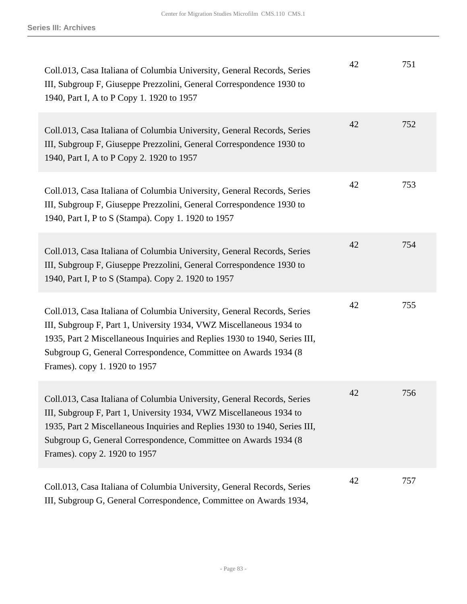| Coll.013, Casa Italiana of Columbia University, General Records, Series<br>III, Subgroup F, Giuseppe Prezzolini, General Correspondence 1930 to<br>1940, Part I, A to P Copy 1. 1920 to 1957                                                                                                                                      | 42 | 751 |
|-----------------------------------------------------------------------------------------------------------------------------------------------------------------------------------------------------------------------------------------------------------------------------------------------------------------------------------|----|-----|
| Coll.013, Casa Italiana of Columbia University, General Records, Series<br>III, Subgroup F, Giuseppe Prezzolini, General Correspondence 1930 to<br>1940, Part I, A to P Copy 2. 1920 to 1957                                                                                                                                      | 42 | 752 |
| Coll.013, Casa Italiana of Columbia University, General Records, Series<br>III, Subgroup F, Giuseppe Prezzolini, General Correspondence 1930 to<br>1940, Part I, P to S (Stampa). Copy 1. 1920 to 1957                                                                                                                            | 42 | 753 |
| Coll.013, Casa Italiana of Columbia University, General Records, Series<br>III, Subgroup F, Giuseppe Prezzolini, General Correspondence 1930 to<br>1940, Part I, P to S (Stampa). Copy 2. 1920 to 1957                                                                                                                            | 42 | 754 |
| Coll.013, Casa Italiana of Columbia University, General Records, Series<br>III, Subgroup F, Part 1, University 1934, VWZ Miscellaneous 1934 to<br>1935, Part 2 Miscellaneous Inquiries and Replies 1930 to 1940, Series III,<br>Subgroup G, General Correspondence, Committee on Awards 1934 (8<br>Frames). copy 1. 1920 to 1957  | 42 | 755 |
| Coll.013, Casa Italiana of Columbia University, General Records, Series<br>III, Subgroup F, Part 1, University 1934, VWZ Miscellaneous 1934 to<br>1935, Part 2 Miscellaneous Inquiries and Replies 1930 to 1940, Series III,<br>Subgroup G, General Correspondence, Committee on Awards 1934 (8)<br>Frames). copy 2. 1920 to 1957 | 42 | 756 |
| Coll.013, Casa Italiana of Columbia University, General Records, Series<br>III, Subgroup G, General Correspondence, Committee on Awards 1934,                                                                                                                                                                                     | 42 | 757 |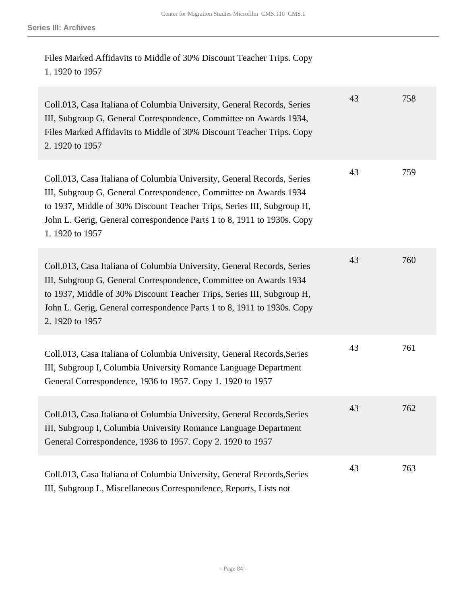Files Marked Affidavits to Middle of 30% Discount Teacher Trips. Copy 1. 1920 to 1957

| Coll.013, Casa Italiana of Columbia University, General Records, Series<br>III, Subgroup G, General Correspondence, Committee on Awards 1934,<br>Files Marked Affidavits to Middle of 30% Discount Teacher Trips. Copy<br>2.1920 to 1957                                                                             | 43 | 758 |
|----------------------------------------------------------------------------------------------------------------------------------------------------------------------------------------------------------------------------------------------------------------------------------------------------------------------|----|-----|
| Coll.013, Casa Italiana of Columbia University, General Records, Series<br>III, Subgroup G, General Correspondence, Committee on Awards 1934<br>to 1937, Middle of 30% Discount Teacher Trips, Series III, Subgroup H,<br>John L. Gerig, General correspondence Parts 1 to 8, 1911 to 1930s. Copy<br>1.1920 to 1957  | 43 | 759 |
| Coll.013, Casa Italiana of Columbia University, General Records, Series<br>III, Subgroup G, General Correspondence, Committee on Awards 1934<br>to 1937, Middle of 30% Discount Teacher Trips, Series III, Subgroup H,<br>John L. Gerig, General correspondence Parts 1 to 8, 1911 to 1930s. Copy<br>2. 1920 to 1957 | 43 | 760 |
| Coll.013, Casa Italiana of Columbia University, General Records, Series<br>III, Subgroup I, Columbia University Romance Language Department<br>General Correspondence, 1936 to 1957. Copy 1. 1920 to 1957                                                                                                            | 43 | 761 |
| Coll.013, Casa Italiana of Columbia University, General Records, Series<br>III, Subgroup I, Columbia University Romance Language Department<br>General Correspondence, 1936 to 1957. Copy 2. 1920 to 1957                                                                                                            | 43 | 762 |
| Coll.013, Casa Italiana of Columbia University, General Records, Series<br>III, Subgroup L, Miscellaneous Correspondence, Reports, Lists not                                                                                                                                                                         | 43 | 763 |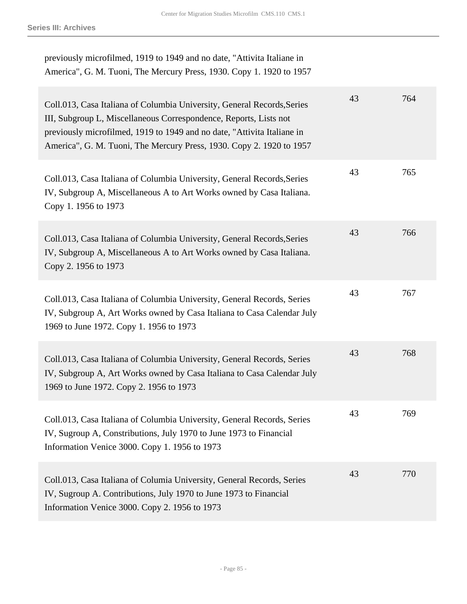## previously microfilmed, 1919 to 1949 and no date, "Attivita Italiane in America", G. M. Tuoni, The Mercury Press, 1930. Copy 1. 1920 to 1957

| Coll.013, Casa Italiana of Columbia University, General Records, Series<br>III, Subgroup L, Miscellaneous Correspondence, Reports, Lists not<br>previously microfilmed, 1919 to 1949 and no date, "Attivita Italiane in<br>America", G. M. Tuoni, The Mercury Press, 1930. Copy 2. 1920 to 1957 | 43 | 764 |
|-------------------------------------------------------------------------------------------------------------------------------------------------------------------------------------------------------------------------------------------------------------------------------------------------|----|-----|
| Coll.013, Casa Italiana of Columbia University, General Records, Series<br>IV, Subgroup A, Miscellaneous A to Art Works owned by Casa Italiana.<br>Copy 1. 1956 to 1973                                                                                                                         | 43 | 765 |
| Coll.013, Casa Italiana of Columbia University, General Records, Series<br>IV, Subgroup A, Miscellaneous A to Art Works owned by Casa Italiana.<br>Copy 2. 1956 to 1973                                                                                                                         | 43 | 766 |
| Coll.013, Casa Italiana of Columbia University, General Records, Series<br>IV, Subgroup A, Art Works owned by Casa Italiana to Casa Calendar July<br>1969 to June 1972. Copy 1. 1956 to 1973                                                                                                    | 43 | 767 |
| Coll.013, Casa Italiana of Columbia University, General Records, Series<br>IV, Subgroup A, Art Works owned by Casa Italiana to Casa Calendar July<br>1969 to June 1972. Copy 2. 1956 to 1973                                                                                                    | 43 | 768 |
| Coll.013, Casa Italiana of Columbia University, General Records, Series<br>IV, Sugroup A, Constributions, July 1970 to June 1973 to Financial<br>Information Venice 3000. Copy 1. 1956 to 1973                                                                                                  | 43 | 769 |
| Coll.013, Casa Italiana of Columia University, General Records, Series<br>IV, Sugroup A. Contributions, July 1970 to June 1973 to Financial<br>Information Venice 3000. Copy 2. 1956 to 1973                                                                                                    | 43 | 770 |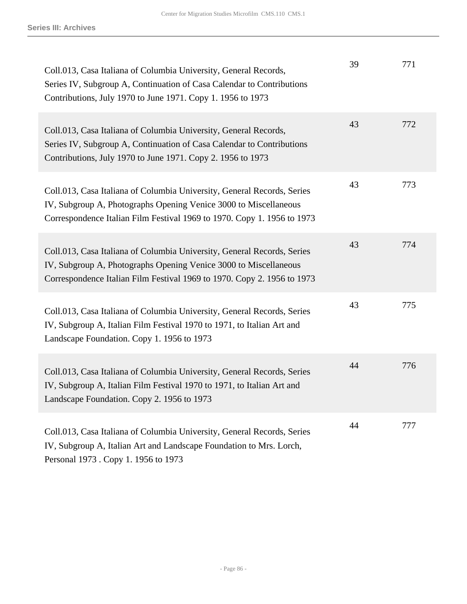| Coll.013, Casa Italiana of Columbia University, General Records,<br>Series IV, Subgroup A, Continuation of Casa Calendar to Contributions<br>Contributions, July 1970 to June 1971. Copy 1. 1956 to 1973               | 39 | 771 |
|------------------------------------------------------------------------------------------------------------------------------------------------------------------------------------------------------------------------|----|-----|
| Coll.013, Casa Italiana of Columbia University, General Records,<br>Series IV, Subgroup A, Continuation of Casa Calendar to Contributions<br>Contributions, July 1970 to June 1971. Copy 2. 1956 to 1973               | 43 | 772 |
| Coll.013, Casa Italiana of Columbia University, General Records, Series<br>IV, Subgroup A, Photographs Opening Venice 3000 to Miscellaneous<br>Correspondence Italian Film Festival 1969 to 1970. Copy 1. 1956 to 1973 | 43 | 773 |
| Coll.013, Casa Italiana of Columbia University, General Records, Series<br>IV, Subgroup A, Photographs Opening Venice 3000 to Miscellaneous<br>Correspondence Italian Film Festival 1969 to 1970. Copy 2. 1956 to 1973 | 43 | 774 |
| Coll.013, Casa Italiana of Columbia University, General Records, Series<br>IV, Subgroup A, Italian Film Festival 1970 to 1971, to Italian Art and<br>Landscape Foundation. Copy 1. 1956 to 1973                        | 43 | 775 |
| Coll.013, Casa Italiana of Columbia University, General Records, Series<br>IV, Subgroup A, Italian Film Festival 1970 to 1971, to Italian Art and<br>Landscape Foundation. Copy 2. 1956 to 1973                        | 44 | 776 |
| Coll.013, Casa Italiana of Columbia University, General Records, Series<br>IV, Subgroup A, Italian Art and Landscape Foundation to Mrs. Lorch,<br>Personal 1973 . Copy 1. 1956 to 1973                                 | 44 | 777 |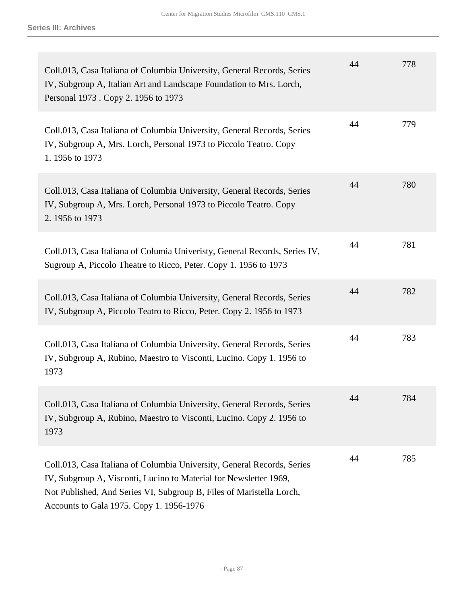| Coll.013, Casa Italiana of Columbia University, General Records, Series<br>IV, Subgroup A, Italian Art and Landscape Foundation to Mrs. Lorch,<br>Personal 1973 . Copy 2. 1956 to 1973                                                                           | 44 | 778 |
|------------------------------------------------------------------------------------------------------------------------------------------------------------------------------------------------------------------------------------------------------------------|----|-----|
| Coll.013, Casa Italiana of Columbia University, General Records, Series<br>IV, Subgroup A, Mrs. Lorch, Personal 1973 to Piccolo Teatro. Copy<br>1.1956 to 1973                                                                                                   | 44 | 779 |
| Coll.013, Casa Italiana of Columbia University, General Records, Series<br>IV, Subgroup A, Mrs. Lorch, Personal 1973 to Piccolo Teatro. Copy<br>2.1956 to 1973                                                                                                   | 44 | 780 |
| Coll.013, Casa Italiana of Columia Univeristy, General Records, Series IV,<br>Sugroup A, Piccolo Theatre to Ricco, Peter. Copy 1. 1956 to 1973                                                                                                                   | 44 | 781 |
| Coll.013, Casa Italiana of Columbia University, General Records, Series<br>IV, Subgroup A, Piccolo Teatro to Ricco, Peter. Copy 2. 1956 to 1973                                                                                                                  | 44 | 782 |
| Coll.013, Casa Italiana of Columbia University, General Records, Series<br>IV, Subgroup A, Rubino, Maestro to Visconti, Lucino. Copy 1. 1956 to<br>1973                                                                                                          | 44 | 783 |
| Coll.013, Casa Italiana of Columbia University, General Records, Series<br>IV, Subgroup A, Rubino, Maestro to Visconti, Lucino. Copy 2. 1956 to<br>1973                                                                                                          | 44 | 784 |
| Coll.013, Casa Italiana of Columbia University, General Records, Series<br>IV, Subgroup A, Visconti, Lucino to Material for Newsletter 1969,<br>Not Published, And Series VI, Subgroup B, Files of Maristella Lorch,<br>Accounts to Gala 1975. Copy 1. 1956-1976 | 44 | 785 |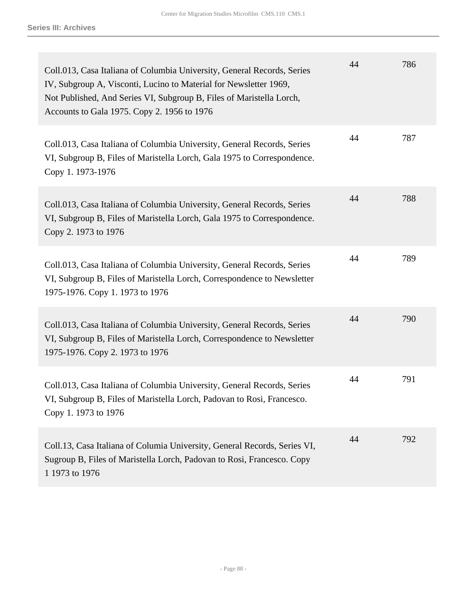| Coll.013, Casa Italiana of Columbia University, General Records, Series<br>IV, Subgroup A, Visconti, Lucino to Material for Newsletter 1969,<br>Not Published, And Series VI, Subgroup B, Files of Maristella Lorch,<br>Accounts to Gala 1975. Copy 2. 1956 to 1976 | 44 | 786 |
|---------------------------------------------------------------------------------------------------------------------------------------------------------------------------------------------------------------------------------------------------------------------|----|-----|
| Coll.013, Casa Italiana of Columbia University, General Records, Series<br>VI, Subgroup B, Files of Maristella Lorch, Gala 1975 to Correspondence.<br>Copy 1. 1973-1976                                                                                             | 44 | 787 |
| Coll.013, Casa Italiana of Columbia University, General Records, Series<br>VI, Subgroup B, Files of Maristella Lorch, Gala 1975 to Correspondence.<br>Copy 2. 1973 to 1976                                                                                          | 44 | 788 |
| Coll.013, Casa Italiana of Columbia University, General Records, Series<br>VI, Subgroup B, Files of Maristella Lorch, Correspondence to Newsletter<br>1975-1976. Copy 1. 1973 to 1976                                                                               | 44 | 789 |
| Coll.013, Casa Italiana of Columbia University, General Records, Series<br>VI, Subgroup B, Files of Maristella Lorch, Correspondence to Newsletter<br>1975-1976. Copy 2. 1973 to 1976                                                                               | 44 | 790 |
| Coll.013, Casa Italiana of Columbia University, General Records, Series<br>VI, Subgroup B, Files of Maristella Lorch, Padovan to Rosi, Francesco.<br>Copy 1. 1973 to 1976                                                                                           | 44 | 791 |
| Coll.13, Casa Italiana of Columia University, General Records, Series VI,<br>Sugroup B, Files of Maristella Lorch, Padovan to Rosi, Francesco. Copy<br>1 1973 to 1976                                                                                               | 44 | 792 |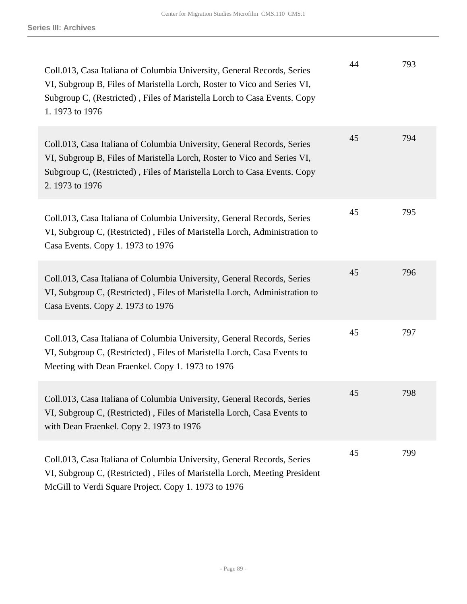| Coll.013, Casa Italiana of Columbia University, General Records, Series<br>VI, Subgroup B, Files of Maristella Lorch, Roster to Vico and Series VI,<br>Subgroup C, (Restricted), Files of Maristella Lorch to Casa Events. Copy<br>1.1973 to 1976 | 44 | 793 |
|---------------------------------------------------------------------------------------------------------------------------------------------------------------------------------------------------------------------------------------------------|----|-----|
| Coll.013, Casa Italiana of Columbia University, General Records, Series<br>VI, Subgroup B, Files of Maristella Lorch, Roster to Vico and Series VI,<br>Subgroup C, (Restricted), Files of Maristella Lorch to Casa Events. Copy<br>2.1973 to 1976 | 45 | 794 |
| Coll.013, Casa Italiana of Columbia University, General Records, Series<br>VI, Subgroup C, (Restricted), Files of Maristella Lorch, Administration to<br>Casa Events. Copy 1. 1973 to 1976                                                        | 45 | 795 |
| Coll.013, Casa Italiana of Columbia University, General Records, Series<br>VI, Subgroup C, (Restricted), Files of Maristella Lorch, Administration to<br>Casa Events. Copy 2. 1973 to 1976                                                        | 45 | 796 |
| Coll.013, Casa Italiana of Columbia University, General Records, Series<br>VI, Subgroup C, (Restricted), Files of Maristella Lorch, Casa Events to<br>Meeting with Dean Fraenkel. Copy 1. 1973 to 1976                                            | 45 | 797 |
| Coll.013, Casa Italiana of Columbia University, General Records, Series<br>VI, Subgroup C, (Restricted), Files of Maristella Lorch, Casa Events to<br>with Dean Fraenkel. Copy 2. 1973 to 1976                                                    | 45 | 798 |
| Coll.013, Casa Italiana of Columbia University, General Records, Series<br>VI, Subgroup C, (Restricted), Files of Maristella Lorch, Meeting President<br>McGill to Verdi Square Project. Copy 1. 1973 to 1976                                     | 45 | 799 |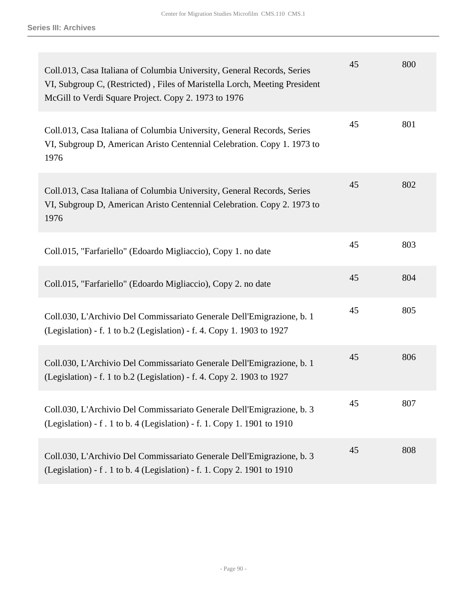| Coll.013, Casa Italiana of Columbia University, General Records, Series<br>VI, Subgroup C, (Restricted), Files of Maristella Lorch, Meeting President<br>McGill to Verdi Square Project. Copy 2. 1973 to 1976 | 45 | 800 |
|---------------------------------------------------------------------------------------------------------------------------------------------------------------------------------------------------------------|----|-----|
| Coll.013, Casa Italiana of Columbia University, General Records, Series<br>VI, Subgroup D, American Aristo Centennial Celebration. Copy 1. 1973 to<br>1976                                                    | 45 | 801 |
| Coll.013, Casa Italiana of Columbia University, General Records, Series<br>VI, Subgroup D, American Aristo Centennial Celebration. Copy 2. 1973 to<br>1976                                                    | 45 | 802 |
| Coll.015, "Farfariello" (Edoardo Migliaccio), Copy 1. no date                                                                                                                                                 | 45 | 803 |
| Coll.015, "Farfariello" (Edoardo Migliaccio), Copy 2. no date                                                                                                                                                 | 45 | 804 |
| Coll.030, L'Archivio Del Commissariato Generale Dell'Emigrazione, b. 1<br>(Legislation) - f. 1 to b.2 (Legislation) - f. 4. Copy 1. 1903 to 1927                                                              | 45 | 805 |
| Coll.030, L'Archivio Del Commissariato Generale Dell'Emigrazione, b. 1<br>(Legislation) - f. 1 to b.2 (Legislation) - f. 4. Copy 2. 1903 to 1927                                                              | 45 | 806 |
| Coll.030, L'Archivio Del Commissariato Generale Dell'Emigrazione, b. 3<br>(Legislation) - f. 1 to b. 4 (Legislation) - f. 1. Copy 1. 1901 to 1910                                                             | 45 | 807 |
| Coll.030, L'Archivio Del Commissariato Generale Dell'Emigrazione, b. 3<br>(Legislation) - f. 1 to b. 4 (Legislation) - f. 1. Copy 2. 1901 to 1910                                                             | 45 | 808 |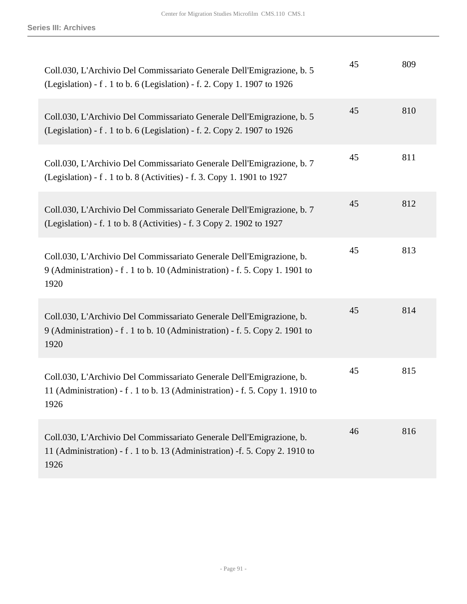| Coll.030, L'Archivio Del Commissariato Generale Dell'Emigrazione, b. 5<br>(Legislation) - f. 1 to b. 6 (Legislation) - f. 2. Copy 1. 1907 to 1926            | 45 | 809 |
|--------------------------------------------------------------------------------------------------------------------------------------------------------------|----|-----|
| Coll.030, L'Archivio Del Commissariato Generale Dell'Emigrazione, b. 5<br>(Legislation) - f. 1 to b. 6 (Legislation) - f. 2. Copy 2. 1907 to 1926            | 45 | 810 |
| Coll.030, L'Archivio Del Commissariato Generale Dell'Emigrazione, b. 7<br>(Legislation) - f . 1 to b. 8 (Activities) - f. 3. Copy 1. 1901 to 1927            | 45 | 811 |
| Coll.030, L'Archivio Del Commissariato Generale Dell'Emigrazione, b. 7<br>(Legislation) - f. 1 to b. 8 (Activities) - f. 3 Copy 2. 1902 to 1927              | 45 | 812 |
| Coll.030, L'Archivio Del Commissariato Generale Dell'Emigrazione, b.<br>9 (Administration) - f . 1 to b. 10 (Administration) - f. 5. Copy 1. 1901 to<br>1920 | 45 | 813 |
| Coll.030, L'Archivio Del Commissariato Generale Dell'Emigrazione, b.<br>9 (Administration) - f. 1 to b. 10 (Administration) - f. 5. Copy 2. 1901 to<br>1920  | 45 | 814 |
| Coll.030, L'Archivio Del Commissariato Generale Dell'Emigrazione, b.<br>11 (Administration) - f. 1 to b. 13 (Administration) - f. 5. Copy 1. 1910 to<br>1926 | 45 | 815 |
| Coll.030, L'Archivio Del Commissariato Generale Dell'Emigrazione, b.<br>11 (Administration) - f . 1 to b. 13 (Administration) -f. 5. Copy 2. 1910 to<br>1926 | 46 | 816 |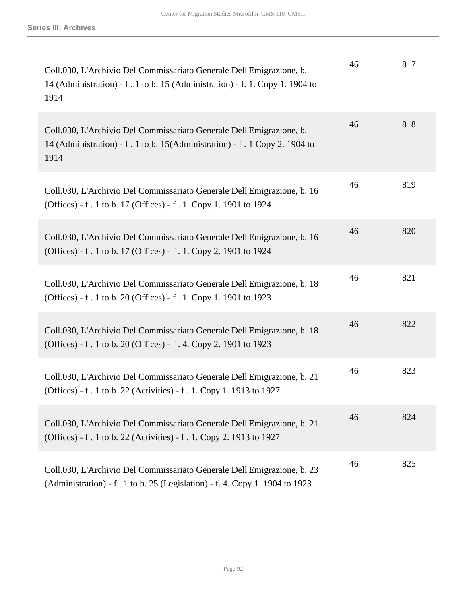| Coll.030, L'Archivio Del Commissariato Generale Dell'Emigrazione, b.<br>14 (Administration) - f. 1 to b. 15 (Administration) - f. 1. Copy 1. 1904 to<br>1914 | 46 | 817 |
|--------------------------------------------------------------------------------------------------------------------------------------------------------------|----|-----|
| Coll.030, L'Archivio Del Commissariato Generale Dell'Emigrazione, b.<br>14 (Administration) - f . 1 to b. 15(Administration) - f . 1 Copy 2. 1904 to<br>1914 | 46 | 818 |
| Coll.030, L'Archivio Del Commissariato Generale Dell'Emigrazione, b. 16<br>(Offices) - f. 1 to b. 17 (Offices) - f. 1. Copy 1. 1901 to 1924                  | 46 | 819 |
| Coll.030, L'Archivio Del Commissariato Generale Dell'Emigrazione, b. 16<br>(Offices) - f. 1 to b. 17 (Offices) - f. 1. Copy 2. 1901 to 1924                  | 46 | 820 |
| Coll.030, L'Archivio Del Commissariato Generale Dell'Emigrazione, b. 18<br>(Offices) - f. 1 to b. 20 (Offices) - f. 1. Copy 1. 1901 to 1923                  | 46 | 821 |
| Coll.030, L'Archivio Del Commissariato Generale Dell'Emigrazione, b. 18<br>(Offices) - f. 1 to b. 20 (Offices) - f. 4. Copy 2. 1901 to 1923                  | 46 | 822 |
| Coll.030, L'Archivio Del Commissariato Generale Dell'Emigrazione, b. 21<br>(Offices) - f. 1 to b. 22 (Activities) - f. 1. Copy 1. 1913 to 1927               | 46 | 823 |
| Coll.030, L'Archivio Del Commissariato Generale Dell'Emigrazione, b. 21<br>(Offices) - f. 1 to b. 22 (Activities) - f. 1. Copy 2. 1913 to 1927               | 46 | 824 |
| Coll.030, L'Archivio Del Commissariato Generale Dell'Emigrazione, b. 23<br>(Administration) - f. 1 to b. 25 (Legislation) - f. 4. Copy 1. 1904 to 1923       | 46 | 825 |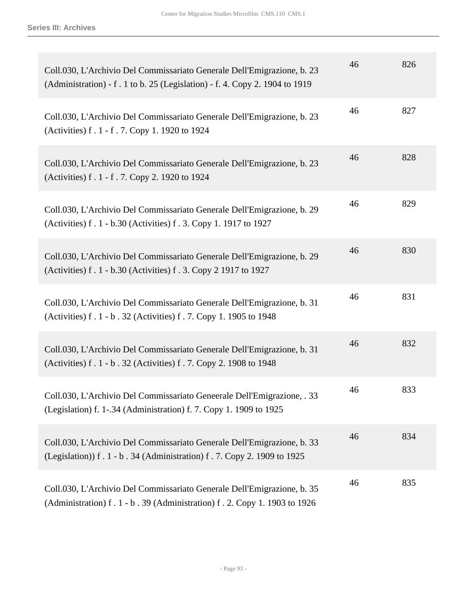| Coll.030, L'Archivio Del Commissariato Generale Dell'Emigrazione, b. 23<br>(Administration) - f. 1 to b. 25 (Legislation) - f. 4. Copy 2. 1904 to 1919 | 46 | 826 |
|--------------------------------------------------------------------------------------------------------------------------------------------------------|----|-----|
| Coll.030, L'Archivio Del Commissariato Generale Dell'Emigrazione, b. 23<br>(Activities) f. 1 - f. 7. Copy 1. 1920 to 1924                              | 46 | 827 |
| Coll.030, L'Archivio Del Commissariato Generale Dell'Emigrazione, b. 23<br>(Activities) f. 1 - f. 7. Copy 2. 1920 to 1924                              | 46 | 828 |
| Coll.030, L'Archivio Del Commissariato Generale Dell'Emigrazione, b. 29<br>(Activities) f. 1 - b.30 (Activities) f. 3. Copy 1. 1917 to 1927            | 46 | 829 |
| Coll.030, L'Archivio Del Commissariato Generale Dell'Emigrazione, b. 29<br>(Activities) f. 1 - b.30 (Activities) f. 3. Copy 2 1917 to 1927             | 46 | 830 |
| Coll.030, L'Archivio Del Commissariato Generale Dell'Emigrazione, b. 31<br>(Activities) f. 1 - b. 32 (Activities) f. 7. Copy 1. 1905 to 1948           | 46 | 831 |
| Coll.030, L'Archivio Del Commissariato Generale Dell'Emigrazione, b. 31<br>(Activities) f. 1 - b. 32 (Activities) f. 7. Copy 2. 1908 to 1948           | 46 | 832 |
| Coll.030, L'Archivio Del Commissariato Geneerale Dell'Emigrazione, . 33<br>(Legislation) f. 1-.34 (Administration) f. 7. Copy 1. 1909 to 1925          | 46 | 833 |
| Coll.030, L'Archivio Del Commissariato Generale Dell'Emigrazione, b. 33<br>(Legislation) f . 1 - b . 34 (Administration) f . 7. Copy 2. 1909 to 1925   | 46 | 834 |
| Coll.030, L'Archivio Del Commissariato Generale Dell'Emigrazione, b. 35<br>(Administration) f. 1 - b. 39 (Administration) f. 2. Copy 1. 1903 to 1926   | 46 | 835 |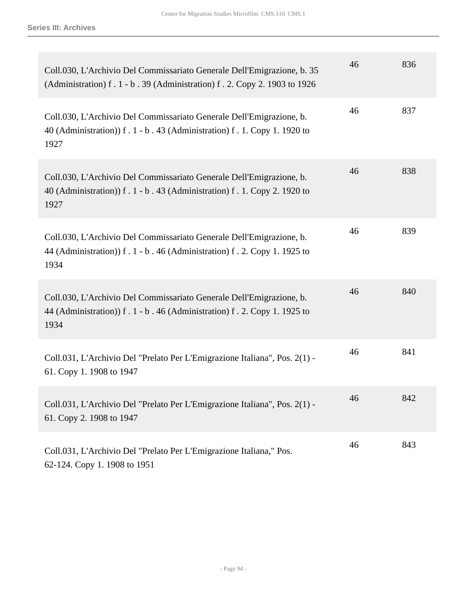| Coll.030, L'Archivio Del Commissariato Generale Dell'Emigrazione, b. 35<br>(Administration) f. 1 - b. 39 (Administration) f. 2. Copy 2. 1903 to 1926       | 46 | 836 |
|------------------------------------------------------------------------------------------------------------------------------------------------------------|----|-----|
| Coll.030, L'Archivio Del Commissariato Generale Dell'Emigrazione, b.<br>40 (Administration) f . 1 - b . 43 (Administration) f . 1. Copy 1. 1920 to<br>1927 | 46 | 837 |
| Coll.030, L'Archivio Del Commissariato Generale Dell'Emigrazione, b.<br>40 (Administration) f. 1 - b. 43 (Administration) f. 1. Copy 2. 1920 to<br>1927    | 46 | 838 |
| Coll.030, L'Archivio Del Commissariato Generale Dell'Emigrazione, b.<br>44 (Administration) f. 1 - b. 46 (Administration) f. 2. Copy 1. 1925 to<br>1934    | 46 | 839 |
| Coll.030, L'Archivio Del Commissariato Generale Dell'Emigrazione, b.<br>44 (Administration) f. 1 - b. 46 (Administration) f. 2. Copy 1. 1925 to<br>1934    | 46 | 840 |
| Coll.031, L'Archivio Del "Prelato Per L'Emigrazione Italiana", Pos. 2(1) -<br>61. Copy 1. 1908 to 1947                                                     | 46 | 841 |
| Coll.031, L'Archivio Del "Prelato Per L'Emigrazione Italiana", Pos. 2(1) -<br>61. Copy 2. 1908 to 1947                                                     | 46 | 842 |
| Coll.031, L'Archivio Del "Prelato Per L'Emigrazione Italiana," Pos.<br>62-124. Copy 1. 1908 to 1951                                                        | 46 | 843 |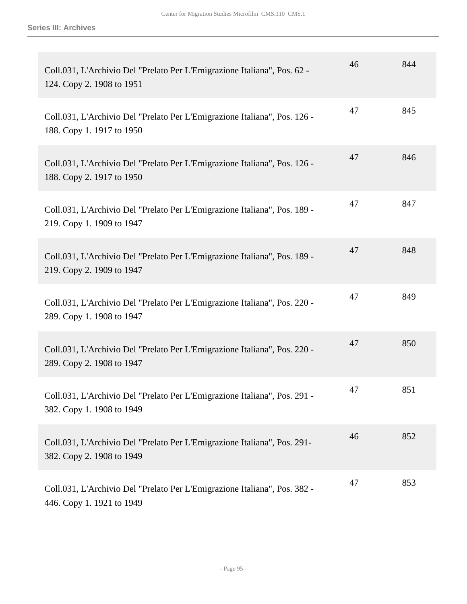| Coll.031, L'Archivio Del "Prelato Per L'Emigrazione Italiana", Pos. 62 -<br>124. Copy 2. 1908 to 1951  | 46 | 844 |
|--------------------------------------------------------------------------------------------------------|----|-----|
| Coll.031, L'Archivio Del "Prelato Per L'Emigrazione Italiana", Pos. 126 -<br>188. Copy 1. 1917 to 1950 | 47 | 845 |
| Coll.031, L'Archivio Del "Prelato Per L'Emigrazione Italiana", Pos. 126 -<br>188. Copy 2. 1917 to 1950 | 47 | 846 |
| Coll.031, L'Archivio Del "Prelato Per L'Emigrazione Italiana", Pos. 189 -<br>219. Copy 1. 1909 to 1947 | 47 | 847 |
| Coll.031, L'Archivio Del "Prelato Per L'Emigrazione Italiana", Pos. 189 -<br>219. Copy 2. 1909 to 1947 | 47 | 848 |
| Coll.031, L'Archivio Del "Prelato Per L'Emigrazione Italiana", Pos. 220 -<br>289. Copy 1. 1908 to 1947 | 47 | 849 |
| Coll.031, L'Archivio Del "Prelato Per L'Emigrazione Italiana", Pos. 220 -<br>289. Copy 2. 1908 to 1947 | 47 | 850 |
| Coll.031, L'Archivio Del "Prelato Per L'Emigrazione Italiana", Pos. 291 -<br>382. Copy 1. 1908 to 1949 | 47 | 851 |
| Coll.031, L'Archivio Del "Prelato Per L'Emigrazione Italiana", Pos. 291-<br>382. Copy 2. 1908 to 1949  | 46 | 852 |
| Coll.031, L'Archivio Del "Prelato Per L'Emigrazione Italiana", Pos. 382 -<br>446. Copy 1. 1921 to 1949 | 47 | 853 |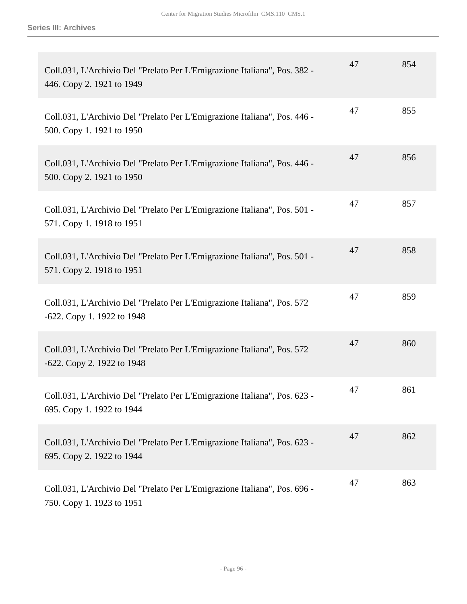| Coll.031, L'Archivio Del "Prelato Per L'Emigrazione Italiana", Pos. 382 -<br>446. Copy 2. 1921 to 1949 | 47 | 854 |
|--------------------------------------------------------------------------------------------------------|----|-----|
| Coll.031, L'Archivio Del "Prelato Per L'Emigrazione Italiana", Pos. 446 -<br>500. Copy 1. 1921 to 1950 | 47 | 855 |
| Coll.031, L'Archivio Del "Prelato Per L'Emigrazione Italiana", Pos. 446 -<br>500. Copy 2. 1921 to 1950 | 47 | 856 |
| Coll.031, L'Archivio Del "Prelato Per L'Emigrazione Italiana", Pos. 501 -<br>571. Copy 1. 1918 to 1951 | 47 | 857 |
| Coll.031, L'Archivio Del "Prelato Per L'Emigrazione Italiana", Pos. 501 -<br>571. Copy 2. 1918 to 1951 | 47 | 858 |
| Coll.031, L'Archivio Del "Prelato Per L'Emigrazione Italiana", Pos. 572<br>-622. Copy 1. 1922 to 1948  | 47 | 859 |
| Coll.031, L'Archivio Del "Prelato Per L'Emigrazione Italiana", Pos. 572<br>-622. Copy 2. 1922 to 1948  | 47 | 860 |
| Coll.031, L'Archivio Del "Prelato Per L'Emigrazione Italiana", Pos. 623 -<br>695. Copy 1. 1922 to 1944 | 47 | 861 |
| Coll.031, L'Archivio Del "Prelato Per L'Emigrazione Italiana", Pos. 623 -<br>695. Copy 2. 1922 to 1944 | 47 | 862 |
| Coll.031, L'Archivio Del "Prelato Per L'Emigrazione Italiana", Pos. 696 -<br>750. Copy 1. 1923 to 1951 | 47 | 863 |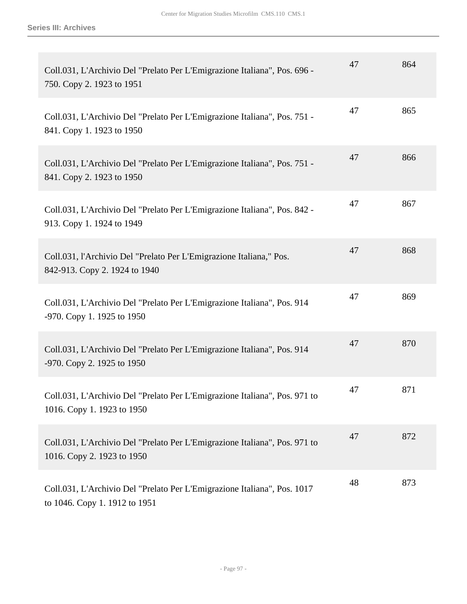| Coll.031, L'Archivio Del "Prelato Per L'Emigrazione Italiana", Pos. 696 -<br>750. Copy 2. 1923 to 1951    | 47 | 864 |
|-----------------------------------------------------------------------------------------------------------|----|-----|
| Coll.031, L'Archivio Del "Prelato Per L'Emigrazione Italiana", Pos. 751 -<br>841. Copy 1. 1923 to 1950    | 47 | 865 |
| Coll.031, L'Archivio Del "Prelato Per L'Emigrazione Italiana", Pos. 751 -<br>841. Copy 2. 1923 to 1950    | 47 | 866 |
| Coll.031, L'Archivio Del "Prelato Per L'Emigrazione Italiana", Pos. 842 -<br>913. Copy 1. 1924 to 1949    | 47 | 867 |
| Coll.031, l'Archivio Del "Prelato Per L'Emigrazione Italiana," Pos.<br>842-913. Copy 2. 1924 to 1940      | 47 | 868 |
| Coll.031, L'Archivio Del "Prelato Per L'Emigrazione Italiana", Pos. 914<br>-970. Copy 1. 1925 to 1950     | 47 | 869 |
| Coll.031, L'Archivio Del "Prelato Per L'Emigrazione Italiana", Pos. 914<br>-970. Copy 2. 1925 to 1950     | 47 | 870 |
| Coll.031, L'Archivio Del "Prelato Per L'Emigrazione Italiana", Pos. 971 to<br>1016. Copy 1. 1923 to 1950  | 47 | 871 |
| Coll.031, L'Archivio Del "Prelato Per L'Emigrazione Italiana", Pos. 971 to<br>1016. Copy 2. 1923 to 1950  | 47 | 872 |
| Coll.031, L'Archivio Del "Prelato Per L'Emigrazione Italiana", Pos. 1017<br>to 1046. Copy 1. 1912 to 1951 | 48 | 873 |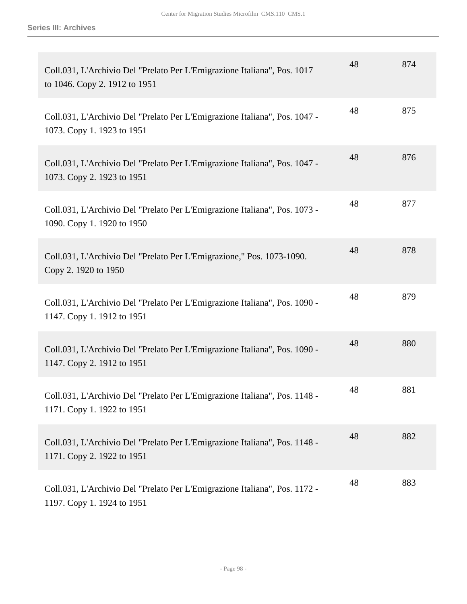| Coll.031, L'Archivio Del "Prelato Per L'Emigrazione Italiana", Pos. 1017<br>to 1046. Copy 2. 1912 to 1951 | 48 | 874 |
|-----------------------------------------------------------------------------------------------------------|----|-----|
| Coll.031, L'Archivio Del "Prelato Per L'Emigrazione Italiana", Pos. 1047 -<br>1073. Copy 1. 1923 to 1951  | 48 | 875 |
| Coll.031, L'Archivio Del "Prelato Per L'Emigrazione Italiana", Pos. 1047 -<br>1073. Copy 2. 1923 to 1951  | 48 | 876 |
| Coll.031, L'Archivio Del "Prelato Per L'Emigrazione Italiana", Pos. 1073 -<br>1090. Copy 1. 1920 to 1950  | 48 | 877 |
| Coll.031, L'Archivio Del "Prelato Per L'Emigrazione," Pos. 1073-1090.<br>Copy 2. 1920 to 1950             | 48 | 878 |
| Coll.031, L'Archivio Del "Prelato Per L'Emigrazione Italiana", Pos. 1090 -<br>1147. Copy 1. 1912 to 1951  | 48 | 879 |
| Coll.031, L'Archivio Del "Prelato Per L'Emigrazione Italiana", Pos. 1090 -<br>1147. Copy 2. 1912 to 1951  | 48 | 880 |
| Coll.031, L'Archivio Del "Prelato Per L'Emigrazione Italiana", Pos. 1148 -<br>1171. Copy 1. 1922 to 1951  | 48 | 881 |
| Coll.031, L'Archivio Del "Prelato Per L'Emigrazione Italiana", Pos. 1148 -<br>1171. Copy 2. 1922 to 1951  | 48 | 882 |
| Coll.031, L'Archivio Del "Prelato Per L'Emigrazione Italiana", Pos. 1172 -<br>1197. Copy 1. 1924 to 1951  | 48 | 883 |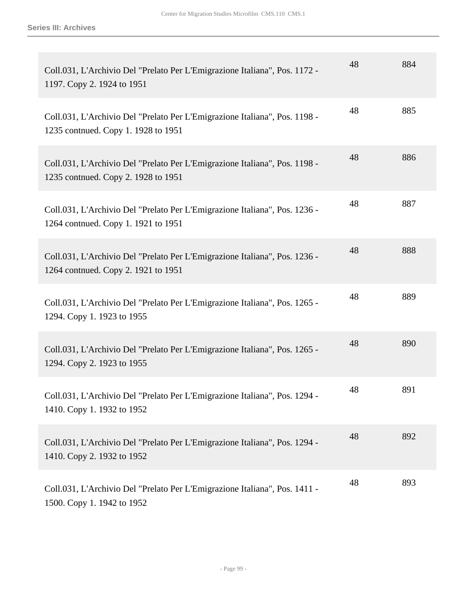| Coll.031, L'Archivio Del "Prelato Per L'Emigrazione Italiana", Pos. 1172 -<br>1197. Copy 2. 1924 to 1951          | 48 | 884 |
|-------------------------------------------------------------------------------------------------------------------|----|-----|
| Coll.031, L'Archivio Del "Prelato Per L'Emigrazione Italiana", Pos. 1198 -<br>1235 contnued. Copy 1. 1928 to 1951 | 48 | 885 |
| Coll.031, L'Archivio Del "Prelato Per L'Emigrazione Italiana", Pos. 1198 -<br>1235 contnued. Copy 2. 1928 to 1951 | 48 | 886 |
| Coll.031, L'Archivio Del "Prelato Per L'Emigrazione Italiana", Pos. 1236 -<br>1264 contnued. Copy 1. 1921 to 1951 | 48 | 887 |
| Coll.031, L'Archivio Del "Prelato Per L'Emigrazione Italiana", Pos. 1236 -<br>1264 contnued. Copy 2. 1921 to 1951 | 48 | 888 |
| Coll.031, L'Archivio Del "Prelato Per L'Emigrazione Italiana", Pos. 1265 -<br>1294. Copy 1. 1923 to 1955          | 48 | 889 |
| Coll.031, L'Archivio Del "Prelato Per L'Emigrazione Italiana", Pos. 1265 -<br>1294. Copy 2. 1923 to 1955          | 48 | 890 |
| Coll.031, L'Archivio Del "Prelato Per L'Emigrazione Italiana", Pos. 1294 -<br>1410. Copy 1. 1932 to 1952          | 48 | 891 |
| Coll.031, L'Archivio Del "Prelato Per L'Emigrazione Italiana", Pos. 1294 -<br>1410. Copy 2. 1932 to 1952          | 48 | 892 |
| Coll.031, L'Archivio Del "Prelato Per L'Emigrazione Italiana", Pos. 1411 -<br>1500. Copy 1. 1942 to 1952          | 48 | 893 |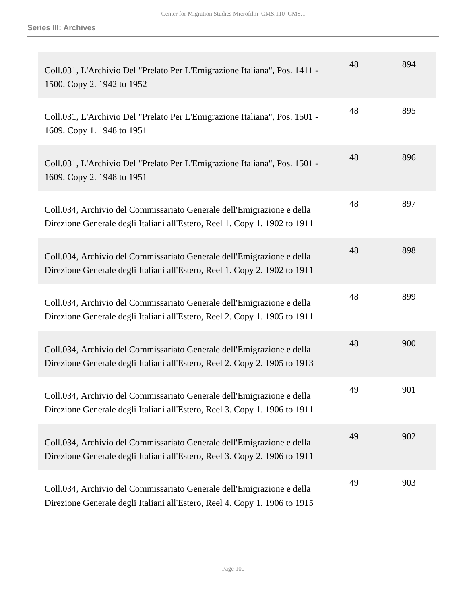| Coll.031, L'Archivio Del "Prelato Per L'Emigrazione Italiana", Pos. 1411 -<br>1500. Copy 2. 1942 to 1952                                             | 48 | 894 |
|------------------------------------------------------------------------------------------------------------------------------------------------------|----|-----|
| Coll.031, L'Archivio Del "Prelato Per L'Emigrazione Italiana", Pos. 1501 -<br>1609. Copy 1. 1948 to 1951                                             | 48 | 895 |
| Coll.031, L'Archivio Del "Prelato Per L'Emigrazione Italiana", Pos. 1501 -<br>1609. Copy 2. 1948 to 1951                                             | 48 | 896 |
| Coll.034, Archivio del Commissariato Generale dell'Emigrazione e della<br>Direzione Generale degli Italiani all'Estero, Reel 1. Copy 1. 1902 to 1911 | 48 | 897 |
| Coll.034, Archivio del Commissariato Generale dell'Emigrazione e della<br>Direzione Generale degli Italiani all'Estero, Reel 1. Copy 2. 1902 to 1911 | 48 | 898 |
| Coll.034, Archivio del Commissariato Generale dell'Emigrazione e della<br>Direzione Generale degli Italiani all'Estero, Reel 2. Copy 1. 1905 to 1911 | 48 | 899 |
| Coll.034, Archivio del Commissariato Generale dell'Emigrazione e della<br>Direzione Generale degli Italiani all'Estero, Reel 2. Copy 2. 1905 to 1913 | 48 | 900 |
| Coll.034, Archivio del Commissariato Generale dell'Emigrazione e della<br>Direzione Generale degli Italiani all'Estero, Reel 3. Copy 1. 1906 to 1911 | 49 | 901 |
| Coll.034, Archivio del Commissariato Generale dell'Emigrazione e della<br>Direzione Generale degli Italiani all'Estero, Reel 3. Copy 2. 1906 to 1911 | 49 | 902 |
| Coll.034, Archivio del Commissariato Generale dell'Emigrazione e della<br>Direzione Generale degli Italiani all'Estero, Reel 4. Copy 1. 1906 to 1915 | 49 | 903 |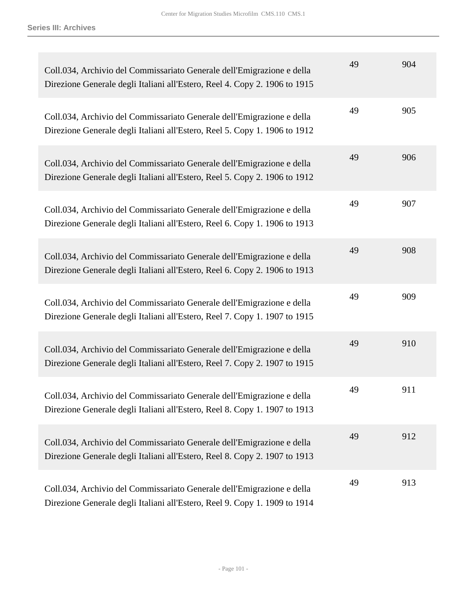| Coll.034, Archivio del Commissariato Generale dell'Emigrazione e della<br>Direzione Generale degli Italiani all'Estero, Reel 4. Copy 2. 1906 to 1915 | 49 | 904 |
|------------------------------------------------------------------------------------------------------------------------------------------------------|----|-----|
| Coll.034, Archivio del Commissariato Generale dell'Emigrazione e della<br>Direzione Generale degli Italiani all'Estero, Reel 5. Copy 1. 1906 to 1912 | 49 | 905 |
| Coll.034, Archivio del Commissariato Generale dell'Emigrazione e della<br>Direzione Generale degli Italiani all'Estero, Reel 5. Copy 2. 1906 to 1912 | 49 | 906 |
| Coll.034, Archivio del Commissariato Generale dell'Emigrazione e della<br>Direzione Generale degli Italiani all'Estero, Reel 6. Copy 1. 1906 to 1913 | 49 | 907 |
| Coll.034, Archivio del Commissariato Generale dell'Emigrazione e della<br>Direzione Generale degli Italiani all'Estero, Reel 6. Copy 2. 1906 to 1913 | 49 | 908 |
| Coll.034, Archivio del Commissariato Generale dell'Emigrazione e della<br>Direzione Generale degli Italiani all'Estero, Reel 7. Copy 1. 1907 to 1915 | 49 | 909 |
| Coll.034, Archivio del Commissariato Generale dell'Emigrazione e della<br>Direzione Generale degli Italiani all'Estero, Reel 7. Copy 2. 1907 to 1915 | 49 | 910 |
| Coll.034, Archivio del Commissariato Generale dell'Emigrazione e della<br>Direzione Generale degli Italiani all'Estero, Reel 8. Copy 1. 1907 to 1913 | 49 | 911 |
| Coll.034, Archivio del Commissariato Generale dell'Emigrazione e della<br>Direzione Generale degli Italiani all'Estero, Reel 8. Copy 2. 1907 to 1913 | 49 | 912 |
| Coll.034, Archivio del Commissariato Generale dell'Emigrazione e della<br>Direzione Generale degli Italiani all'Estero, Reel 9. Copy 1. 1909 to 1914 | 49 | 913 |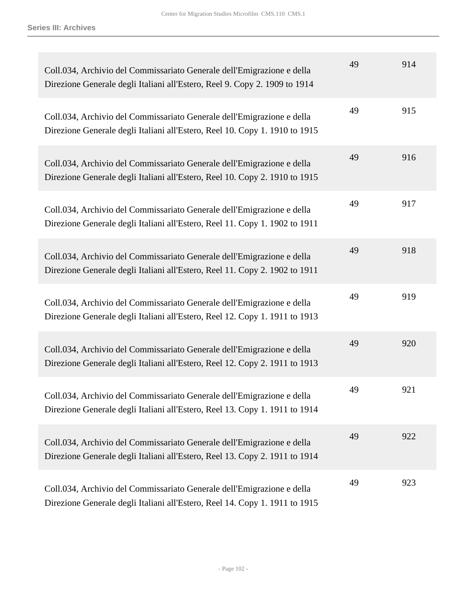| Coll.034, Archivio del Commissariato Generale dell'Emigrazione e della<br>Direzione Generale degli Italiani all'Estero, Reel 9. Copy 2. 1909 to 1914  | 49 | 914 |
|-------------------------------------------------------------------------------------------------------------------------------------------------------|----|-----|
| Coll.034, Archivio del Commissariato Generale dell'Emigrazione e della<br>Direzione Generale degli Italiani all'Estero, Reel 10. Copy 1. 1910 to 1915 | 49 | 915 |
| Coll.034, Archivio del Commissariato Generale dell'Emigrazione e della<br>Direzione Generale degli Italiani all'Estero, Reel 10. Copy 2. 1910 to 1915 | 49 | 916 |
| Coll.034, Archivio del Commissariato Generale dell'Emigrazione e della<br>Direzione Generale degli Italiani all'Estero, Reel 11. Copy 1. 1902 to 1911 | 49 | 917 |
| Coll.034, Archivio del Commissariato Generale dell'Emigrazione e della<br>Direzione Generale degli Italiani all'Estero, Reel 11. Copy 2. 1902 to 1911 | 49 | 918 |
| Coll.034, Archivio del Commissariato Generale dell'Emigrazione e della<br>Direzione Generale degli Italiani all'Estero, Reel 12. Copy 1. 1911 to 1913 | 49 | 919 |
| Coll.034, Archivio del Commissariato Generale dell'Emigrazione e della<br>Direzione Generale degli Italiani all'Estero, Reel 12. Copy 2. 1911 to 1913 | 49 | 920 |
| Coll.034, Archivio del Commissariato Generale dell'Emigrazione e della<br>Direzione Generale degli Italiani all'Estero, Reel 13. Copy 1. 1911 to 1914 | 49 | 921 |
| Coll.034, Archivio del Commissariato Generale dell'Emigrazione e della<br>Direzione Generale degli Italiani all'Estero, Reel 13. Copy 2. 1911 to 1914 | 49 | 922 |
| Coll.034, Archivio del Commissariato Generale dell'Emigrazione e della<br>Direzione Generale degli Italiani all'Estero, Reel 14. Copy 1. 1911 to 1915 | 49 | 923 |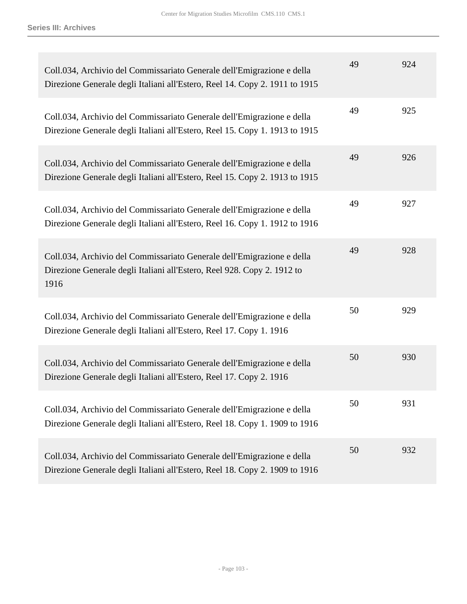| Coll.034, Archivio del Commissariato Generale dell'Emigrazione e della<br>Direzione Generale degli Italiani all'Estero, Reel 14. Copy 2. 1911 to 1915     | 49 | 924 |
|-----------------------------------------------------------------------------------------------------------------------------------------------------------|----|-----|
| Coll.034, Archivio del Commissariato Generale dell'Emigrazione e della<br>Direzione Generale degli Italiani all'Estero, Reel 15. Copy 1. 1913 to 1915     | 49 | 925 |
| Coll.034, Archivio del Commissariato Generale dell'Emigrazione e della<br>Direzione Generale degli Italiani all'Estero, Reel 15. Copy 2. 1913 to 1915     | 49 | 926 |
| Coll.034, Archivio del Commissariato Generale dell'Emigrazione e della<br>Direzione Generale degli Italiani all'Estero, Reel 16. Copy 1. 1912 to 1916     | 49 | 927 |
| Coll.034, Archivio del Commissariato Generale dell'Emigrazione e della<br>Direzione Generale degli Italiani all'Estero, Reel 928. Copy 2. 1912 to<br>1916 | 49 | 928 |
| Coll.034, Archivio del Commissariato Generale dell'Emigrazione e della<br>Direzione Generale degli Italiani all'Estero, Reel 17. Copy 1. 1916             | 50 | 929 |
| Coll.034, Archivio del Commissariato Generale dell'Emigrazione e della<br>Direzione Generale degli Italiani all'Estero, Reel 17. Copy 2. 1916             | 50 | 930 |
| Coll.034, Archivio del Commissariato Generale dell'Emigrazione e della<br>Direzione Generale degli Italiani all'Estero, Reel 18. Copy 1. 1909 to 1916     | 50 | 931 |
| Coll.034, Archivio del Commissariato Generale dell'Emigrazione e della<br>Direzione Generale degli Italiani all'Estero, Reel 18. Copy 2. 1909 to 1916     | 50 | 932 |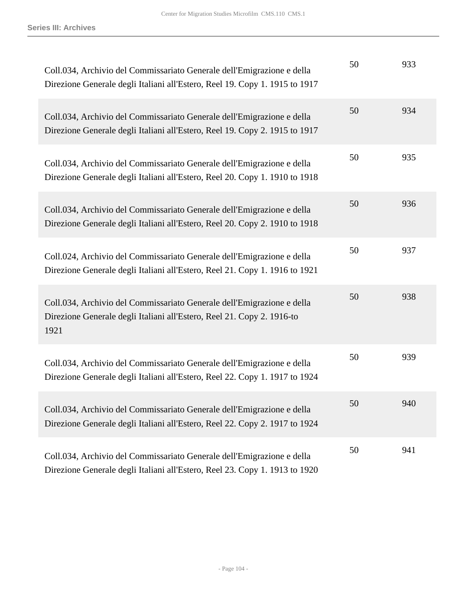| Coll.034, Archivio del Commissariato Generale dell'Emigrazione e della<br>Direzione Generale degli Italiani all'Estero, Reel 19. Copy 1. 1915 to 1917    | 50 | 933 |
|----------------------------------------------------------------------------------------------------------------------------------------------------------|----|-----|
| Coll.034, Archivio del Commissariato Generale dell'Emigrazione e della<br>Direzione Generale degli Italiani all'Estero, Reel 19. Copy 2. 1915 to 1917    | 50 | 934 |
| Coll.034, Archivio del Commissariato Generale dell'Emigrazione e della<br>Direzione Generale degli Italiani all'Estero, Reel 20. Copy 1. 1910 to 1918    | 50 | 935 |
| Coll.034, Archivio del Commissariato Generale dell'Emigrazione e della<br>Direzione Generale degli Italiani all'Estero, Reel 20. Copy 2. 1910 to 1918    | 50 | 936 |
| Coll.024, Archivio del Commissariato Generale dell'Emigrazione e della<br>Direzione Generale degli Italiani all'Estero, Reel 21. Copy 1. 1916 to 1921    | 50 | 937 |
| Coll.034, Archivio del Commissariato Generale dell'Emigrazione e della<br>Direzione Generale degli Italiani all'Estero, Reel 21. Copy 2. 1916-to<br>1921 | 50 | 938 |
| Coll.034, Archivio del Commissariato Generale dell'Emigrazione e della<br>Direzione Generale degli Italiani all'Estero, Reel 22. Copy 1. 1917 to 1924    | 50 | 939 |
| Coll.034, Archivio del Commissariato Generale dell'Emigrazione e della<br>Direzione Generale degli Italiani all'Estero, Reel 22. Copy 2. 1917 to 1924    | 50 | 940 |
| Coll.034, Archivio del Commissariato Generale dell'Emigrazione e della<br>Direzione Generale degli Italiani all'Estero, Reel 23. Copy 1. 1913 to 1920    | 50 | 941 |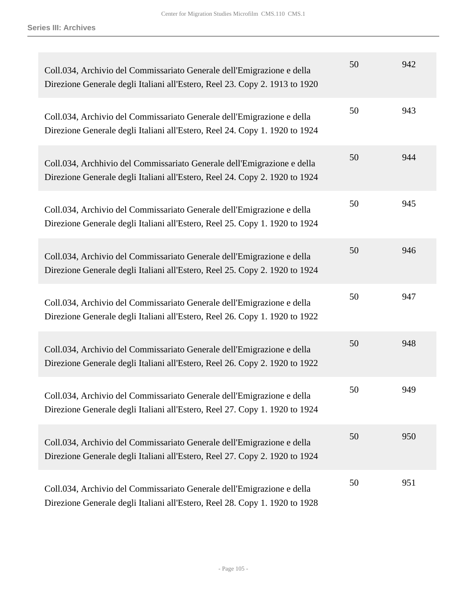| Coll.034, Archivio del Commissariato Generale dell'Emigrazione e della<br>Direzione Generale degli Italiani all'Estero, Reel 23. Copy 2. 1913 to 1920  | 50 | 942 |
|--------------------------------------------------------------------------------------------------------------------------------------------------------|----|-----|
| Coll.034, Archivio del Commissariato Generale dell'Emigrazione e della<br>Direzione Generale degli Italiani all'Estero, Reel 24. Copy 1. 1920 to 1924  | 50 | 943 |
| Coll.034, Archhivio del Commissariato Generale dell'Emigrazione e della<br>Direzione Generale degli Italiani all'Estero, Reel 24. Copy 2. 1920 to 1924 | 50 | 944 |
| Coll.034, Archivio del Commissariato Generale dell'Emigrazione e della<br>Direzione Generale degli Italiani all'Estero, Reel 25. Copy 1. 1920 to 1924  | 50 | 945 |
| Coll.034, Archivio del Commissariato Generale dell'Emigrazione e della<br>Direzione Generale degli Italiani all'Estero, Reel 25. Copy 2. 1920 to 1924  | 50 | 946 |
| Coll.034, Archivio del Commissariato Generale dell'Emigrazione e della<br>Direzione Generale degli Italiani all'Estero, Reel 26. Copy 1. 1920 to 1922  | 50 | 947 |
| Coll.034, Archivio del Commissariato Generale dell'Emigrazione e della<br>Direzione Generale degli Italiani all'Estero, Reel 26. Copy 2. 1920 to 1922  | 50 | 948 |
| Coll.034, Archivio del Commissariato Generale dell'Emigrazione e della<br>Direzione Generale degli Italiani all'Estero, Reel 27. Copy 1. 1920 to 1924  | 50 | 949 |
| Coll.034, Archivio del Commissariato Generale dell'Emigrazione e della<br>Direzione Generale degli Italiani all'Estero, Reel 27. Copy 2. 1920 to 1924  | 50 | 950 |
| Coll.034, Archivio del Commissariato Generale dell'Emigrazione e della<br>Direzione Generale degli Italiani all'Estero, Reel 28. Copy 1. 1920 to 1928  | 50 | 951 |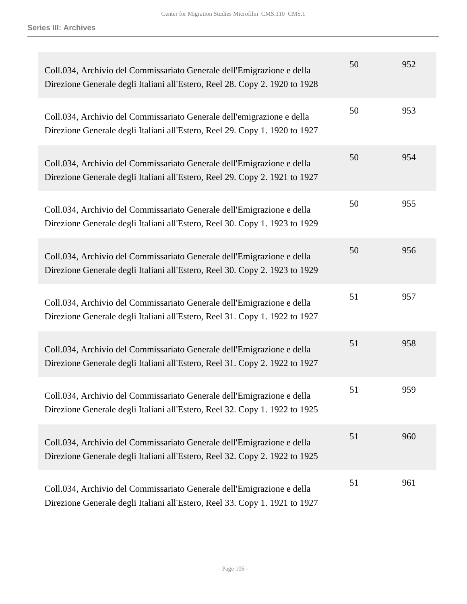| Coll.034, Archivio del Commissariato Generale dell'Emigrazione e della<br>Direzione Generale degli Italiani all'Estero, Reel 28. Copy 2. 1920 to 1928 | 50 | 952 |
|-------------------------------------------------------------------------------------------------------------------------------------------------------|----|-----|
| Coll.034, Archivio del Commissariato Generale dell'emigrazione e della<br>Direzione Generale degli Italiani all'Estero, Reel 29. Copy 1. 1920 to 1927 | 50 | 953 |
| Coll.034, Archivio del Commissariato Generale dell'Emigrazione e della<br>Direzione Generale degli Italiani all'Estero, Reel 29. Copy 2. 1921 to 1927 | 50 | 954 |
| Coll.034, Archivio del Commissariato Generale dell'Emigrazione e della<br>Direzione Generale degli Italiani all'Estero, Reel 30. Copy 1. 1923 to 1929 | 50 | 955 |
| Coll.034, Archivio del Commissariato Generale dell'Emigrazione e della<br>Direzione Generale degli Italiani all'Estero, Reel 30. Copy 2. 1923 to 1929 | 50 | 956 |
| Coll.034, Archivio del Commissariato Generale dell'Emigrazione e della<br>Direzione Generale degli Italiani all'Estero, Reel 31. Copy 1. 1922 to 1927 | 51 | 957 |
| Coll.034, Archivio del Commissariato Generale dell'Emigrazione e della<br>Direzione Generale degli Italiani all'Estero, Reel 31. Copy 2. 1922 to 1927 | 51 | 958 |
| Coll.034, Archivio del Commissariato Generale dell'Emigrazione e della<br>Direzione Generale degli Italiani all'Estero, Reel 32. Copy 1. 1922 to 1925 | 51 | 959 |
| Coll.034, Archivio del Commissariato Generale dell'Emigrazione e della<br>Direzione Generale degli Italiani all'Estero, Reel 32. Copy 2. 1922 to 1925 | 51 | 960 |
| Coll.034, Archivio del Commissariato Generale dell'Emigrazione e della<br>Direzione Generale degli Italiani all'Estero, Reel 33. Copy 1. 1921 to 1927 | 51 | 961 |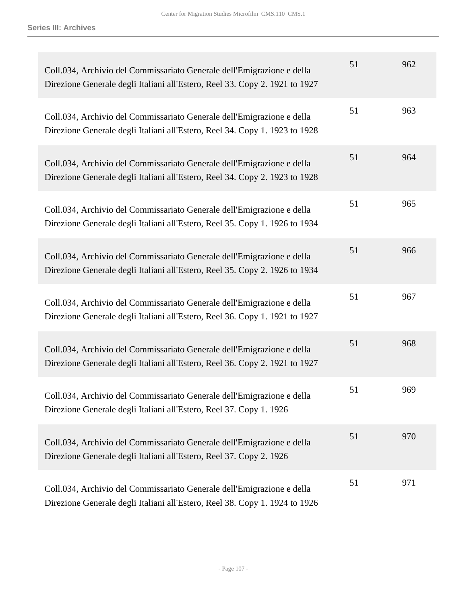| Coll.034, Archivio del Commissariato Generale dell'Emigrazione e della<br>Direzione Generale degli Italiani all'Estero, Reel 33. Copy 2. 1921 to 1927 | 51 | 962 |
|-------------------------------------------------------------------------------------------------------------------------------------------------------|----|-----|
| Coll.034, Archivio del Commissariato Generale dell'Emigrazione e della<br>Direzione Generale degli Italiani all'Estero, Reel 34. Copy 1. 1923 to 1928 | 51 | 963 |
| Coll.034, Archivio del Commissariato Generale dell'Emigrazione e della<br>Direzione Generale degli Italiani all'Estero, Reel 34. Copy 2. 1923 to 1928 | 51 | 964 |
| Coll.034, Archivio del Commissariato Generale dell'Emigrazione e della<br>Direzione Generale degli Italiani all'Estero, Reel 35. Copy 1. 1926 to 1934 | 51 | 965 |
| Coll.034, Archivio del Commissariato Generale dell'Emigrazione e della<br>Direzione Generale degli Italiani all'Estero, Reel 35. Copy 2. 1926 to 1934 | 51 | 966 |
| Coll.034, Archivio del Commissariato Generale dell'Emigrazione e della<br>Direzione Generale degli Italiani all'Estero, Reel 36. Copy 1. 1921 to 1927 | 51 | 967 |
| Coll.034, Archivio del Commissariato Generale dell'Emigrazione e della<br>Direzione Generale degli Italiani all'Estero, Reel 36. Copy 2. 1921 to 1927 | 51 | 968 |
| Coll.034, Archivio del Commissariato Generale dell'Emigrazione e della<br>Direzione Generale degli Italiani all'Estero, Reel 37. Copy 1. 1926         | 51 | 969 |
| Coll.034, Archivio del Commissariato Generale dell'Emigrazione e della<br>Direzione Generale degli Italiani all'Estero, Reel 37. Copy 2. 1926         | 51 | 970 |
| Coll.034, Archivio del Commissariato Generale dell'Emigrazione e della<br>Direzione Generale degli Italiani all'Estero, Reel 38. Copy 1. 1924 to 1926 | 51 | 971 |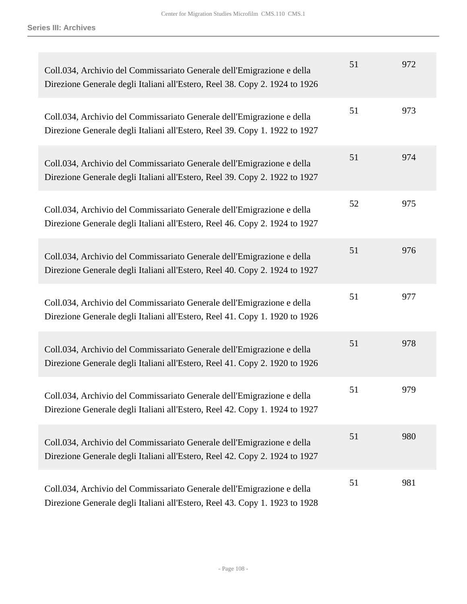| Coll.034, Archivio del Commissariato Generale dell'Emigrazione e della<br>Direzione Generale degli Italiani all'Estero, Reel 38. Copy 2. 1924 to 1926 | 51 | 972 |
|-------------------------------------------------------------------------------------------------------------------------------------------------------|----|-----|
| Coll.034, Archivio del Commissariato Generale dell'Emigrazione e della<br>Direzione Generale degli Italiani all'Estero, Reel 39. Copy 1. 1922 to 1927 | 51 | 973 |
| Coll.034, Archivio del Commissariato Generale dell'Emigrazione e della<br>Direzione Generale degli Italiani all'Estero, Reel 39. Copy 2. 1922 to 1927 | 51 | 974 |
| Coll.034, Archivio del Commissariato Generale dell'Emigrazione e della<br>Direzione Generale degli Italiani all'Estero, Reel 46. Copy 2. 1924 to 1927 | 52 | 975 |
| Coll.034, Archivio del Commissariato Generale dell'Emigrazione e della<br>Direzione Generale degli Italiani all'Estero, Reel 40. Copy 2. 1924 to 1927 | 51 | 976 |
| Coll.034, Archivio del Commissariato Generale dell'Emigrazione e della<br>Direzione Generale degli Italiani all'Estero, Reel 41. Copy 1. 1920 to 1926 | 51 | 977 |
| Coll.034, Archivio del Commissariato Generale dell'Emigrazione e della<br>Direzione Generale degli Italiani all'Estero, Reel 41. Copy 2. 1920 to 1926 | 51 | 978 |
| Coll.034, Archivio del Commissariato Generale dell'Emigrazione e della<br>Direzione Generale degli Italiani all'Estero, Reel 42. Copy 1. 1924 to 1927 | 51 | 979 |
| Coll.034, Archivio del Commissariato Generale dell'Emigrazione e della<br>Direzione Generale degli Italiani all'Estero, Reel 42. Copy 2. 1924 to 1927 | 51 | 980 |
| Coll.034, Archivio del Commissariato Generale dell'Emigrazione e della<br>Direzione Generale degli Italiani all'Estero, Reel 43. Copy 1. 1923 to 1928 | 51 | 981 |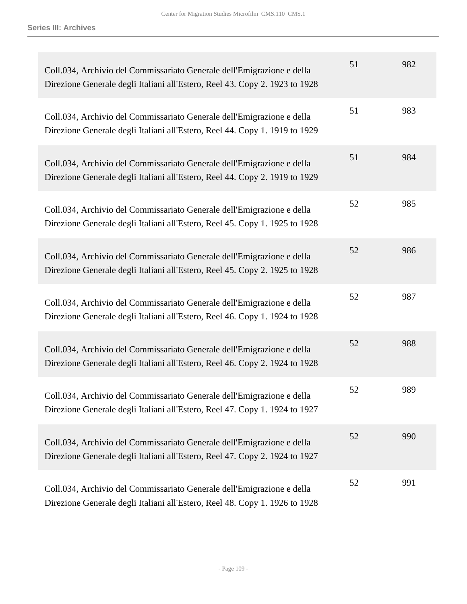| Coll.034, Archivio del Commissariato Generale dell'Emigrazione e della<br>Direzione Generale degli Italiani all'Estero, Reel 43. Copy 2. 1923 to 1928 | 51 | 982 |
|-------------------------------------------------------------------------------------------------------------------------------------------------------|----|-----|
| Coll.034, Archivio del Commissariato Generale dell'Emigrazione e della<br>Direzione Generale degli Italiani all'Estero, Reel 44. Copy 1. 1919 to 1929 | 51 | 983 |
| Coll.034, Archivio del Commissariato Generale dell'Emigrazione e della<br>Direzione Generale degli Italiani all'Estero, Reel 44. Copy 2. 1919 to 1929 | 51 | 984 |
| Coll.034, Archivio del Commissariato Generale dell'Emigrazione e della<br>Direzione Generale degli Italiani all'Estero, Reel 45. Copy 1. 1925 to 1928 | 52 | 985 |
| Coll.034, Archivio del Commissariato Generale dell'Emigrazione e della<br>Direzione Generale degli Italiani all'Estero, Reel 45. Copy 2. 1925 to 1928 | 52 | 986 |
| Coll.034, Archivio del Commissariato Generale dell'Emigrazione e della<br>Direzione Generale degli Italiani all'Estero, Reel 46. Copy 1. 1924 to 1928 | 52 | 987 |
| Coll.034, Archivio del Commissariato Generale dell'Emigrazione e della<br>Direzione Generale degli Italiani all'Estero, Reel 46. Copy 2. 1924 to 1928 | 52 | 988 |
| Coll.034, Archivio del Commissariato Generale dell'Emigrazione e della<br>Direzione Generale degli Italiani all'Estero, Reel 47. Copy 1. 1924 to 1927 | 52 | 989 |
| Coll.034, Archivio del Commissariato Generale dell'Emigrazione e della<br>Direzione Generale degli Italiani all'Estero, Reel 47. Copy 2. 1924 to 1927 | 52 | 990 |
| Coll.034, Archivio del Commissariato Generale dell'Emigrazione e della<br>Direzione Generale degli Italiani all'Estero, Reel 48. Copy 1. 1926 to 1928 | 52 | 991 |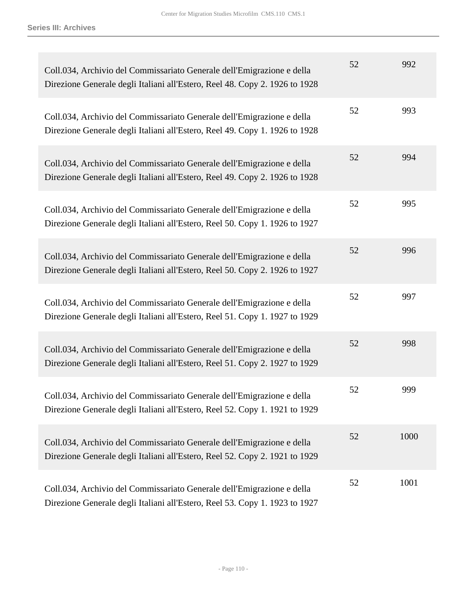| Coll.034, Archivio del Commissariato Generale dell'Emigrazione e della<br>Direzione Generale degli Italiani all'Estero, Reel 48. Copy 2. 1926 to 1928 | 52 | 992  |
|-------------------------------------------------------------------------------------------------------------------------------------------------------|----|------|
| Coll.034, Archivio del Commissariato Generale dell'Emigrazione e della<br>Direzione Generale degli Italiani all'Estero, Reel 49. Copy 1. 1926 to 1928 | 52 | 993  |
| Coll.034, Archivio del Commissariato Generale dell'Emigrazione e della<br>Direzione Generale degli Italiani all'Estero, Reel 49. Copy 2. 1926 to 1928 | 52 | 994  |
| Coll.034, Archivio del Commissariato Generale dell'Emigrazione e della<br>Direzione Generale degli Italiani all'Estero, Reel 50. Copy 1. 1926 to 1927 | 52 | 995  |
| Coll.034, Archivio del Commissariato Generale dell'Emigrazione e della<br>Direzione Generale degli Italiani all'Estero, Reel 50. Copy 2. 1926 to 1927 | 52 | 996  |
| Coll.034, Archivio del Commissariato Generale dell'Emigrazione e della<br>Direzione Generale degli Italiani all'Estero, Reel 51. Copy 1. 1927 to 1929 | 52 | 997  |
| Coll.034, Archivio del Commissariato Generale dell'Emigrazione e della<br>Direzione Generale degli Italiani all'Estero, Reel 51. Copy 2. 1927 to 1929 | 52 | 998  |
| Coll.034, Archivio del Commissariato Generale dell'Emigrazione e della<br>Direzione Generale degli Italiani all'Estero, Reel 52. Copy 1. 1921 to 1929 | 52 | 999  |
| Coll.034, Archivio del Commissariato Generale dell'Emigrazione e della<br>Direzione Generale degli Italiani all'Estero, Reel 52. Copy 2. 1921 to 1929 | 52 | 1000 |
| Coll.034, Archivio del Commissariato Generale dell'Emigrazione e della<br>Direzione Generale degli Italiani all'Estero, Reel 53. Copy 1. 1923 to 1927 | 52 | 1001 |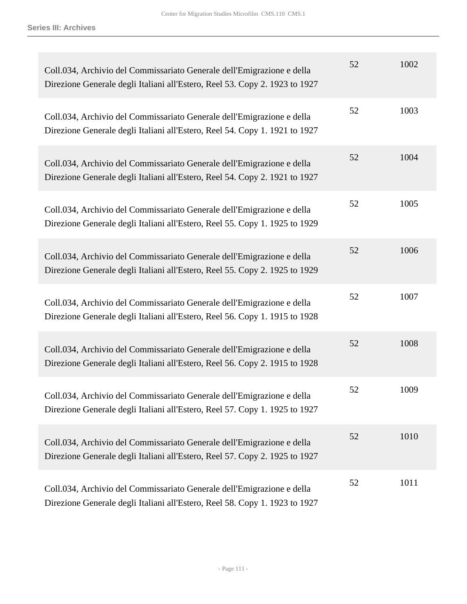| Coll.034, Archivio del Commissariato Generale dell'Emigrazione e della<br>Direzione Generale degli Italiani all'Estero, Reel 53. Copy 2. 1923 to 1927 | 52 | 1002 |
|-------------------------------------------------------------------------------------------------------------------------------------------------------|----|------|
| Coll.034, Archivio del Commissariato Generale dell'Emigrazione e della<br>Direzione Generale degli Italiani all'Estero, Reel 54. Copy 1. 1921 to 1927 | 52 | 1003 |
| Coll.034, Archivio del Commissariato Generale dell'Emigrazione e della<br>Direzione Generale degli Italiani all'Estero, Reel 54. Copy 2. 1921 to 1927 | 52 | 1004 |
| Coll.034, Archivio del Commissariato Generale dell'Emigrazione e della<br>Direzione Generale degli Italiani all'Estero, Reel 55. Copy 1. 1925 to 1929 | 52 | 1005 |
| Coll.034, Archivio del Commissariato Generale dell'Emigrazione e della<br>Direzione Generale degli Italiani all'Estero, Reel 55. Copy 2. 1925 to 1929 | 52 | 1006 |
| Coll.034, Archivio del Commissariato Generale dell'Emigrazione e della<br>Direzione Generale degli Italiani all'Estero, Reel 56. Copy 1. 1915 to 1928 | 52 | 1007 |
| Coll.034, Archivio del Commissariato Generale dell'Emigrazione e della<br>Direzione Generale degli Italiani all'Estero, Reel 56. Copy 2. 1915 to 1928 | 52 | 1008 |
| Coll.034, Archivio del Commissariato Generale dell'Emigrazione e della<br>Direzione Generale degli Italiani all'Estero, Reel 57. Copy 1. 1925 to 1927 | 52 | 1009 |
| Coll.034, Archivio del Commissariato Generale dell'Emigrazione e della<br>Direzione Generale degli Italiani all'Estero, Reel 57. Copy 2. 1925 to 1927 | 52 | 1010 |
| Coll.034, Archivio del Commissariato Generale dell'Emigrazione e della<br>Direzione Generale degli Italiani all'Estero, Reel 58. Copy 1. 1923 to 1927 | 52 | 1011 |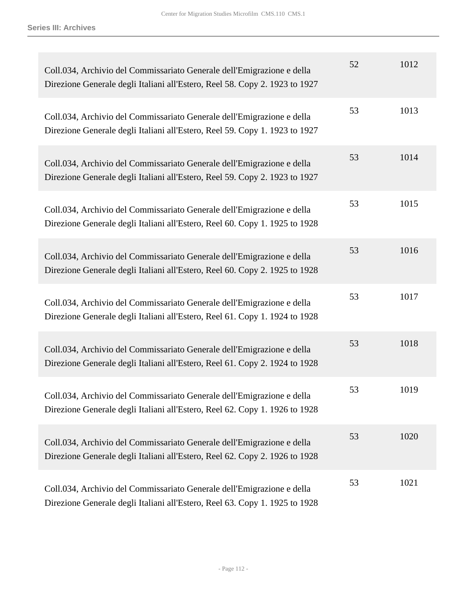| Coll.034, Archivio del Commissariato Generale dell'Emigrazione e della<br>Direzione Generale degli Italiani all'Estero, Reel 58. Copy 2. 1923 to 1927 | 52 | 1012 |
|-------------------------------------------------------------------------------------------------------------------------------------------------------|----|------|
| Coll.034, Archivio del Commissariato Generale dell'Emigrazione e della<br>Direzione Generale degli Italiani all'Estero, Reel 59. Copy 1. 1923 to 1927 | 53 | 1013 |
| Coll.034, Archivio del Commissariato Generale dell'Emigrazione e della<br>Direzione Generale degli Italiani all'Estero, Reel 59. Copy 2. 1923 to 1927 | 53 | 1014 |
| Coll.034, Archivio del Commissariato Generale dell'Emigrazione e della<br>Direzione Generale degli Italiani all'Estero, Reel 60. Copy 1. 1925 to 1928 | 53 | 1015 |
| Coll.034, Archivio del Commissariato Generale dell'Emigrazione e della<br>Direzione Generale degli Italiani all'Estero, Reel 60. Copy 2. 1925 to 1928 | 53 | 1016 |
| Coll.034, Archivio del Commissariato Generale dell'Emigrazione e della<br>Direzione Generale degli Italiani all'Estero, Reel 61. Copy 1. 1924 to 1928 | 53 | 1017 |
| Coll.034, Archivio del Commissariato Generale dell'Emigrazione e della<br>Direzione Generale degli Italiani all'Estero, Reel 61. Copy 2. 1924 to 1928 | 53 | 1018 |
| Coll.034, Archivio del Commissariato Generale dell'Emigrazione e della<br>Direzione Generale degli Italiani all'Estero, Reel 62. Copy 1. 1926 to 1928 | 53 | 1019 |
| Coll.034, Archivio del Commissariato Generale dell'Emigrazione e della<br>Direzione Generale degli Italiani all'Estero, Reel 62. Copy 2. 1926 to 1928 | 53 | 1020 |
| Coll.034, Archivio del Commissariato Generale dell'Emigrazione e della<br>Direzione Generale degli Italiani all'Estero, Reel 63. Copy 1. 1925 to 1928 | 53 | 1021 |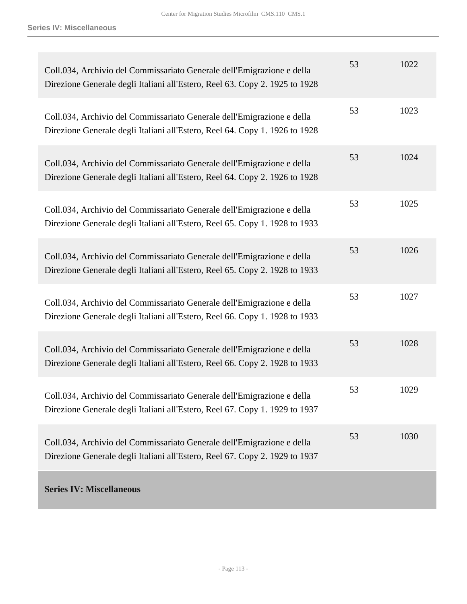| Coll.034, Archivio del Commissariato Generale dell'Emigrazione e della<br>Direzione Generale degli Italiani all'Estero, Reel 63. Copy 2. 1925 to 1928 | 53 | 1022 |
|-------------------------------------------------------------------------------------------------------------------------------------------------------|----|------|
| Coll.034, Archivio del Commissariato Generale dell'Emigrazione e della<br>Direzione Generale degli Italiani all'Estero, Reel 64. Copy 1. 1926 to 1928 | 53 | 1023 |
| Coll.034, Archivio del Commissariato Generale dell'Emigrazione e della<br>Direzione Generale degli Italiani all'Estero, Reel 64. Copy 2. 1926 to 1928 | 53 | 1024 |
| Coll.034, Archivio del Commissariato Generale dell'Emigrazione e della<br>Direzione Generale degli Italiani all'Estero, Reel 65. Copy 1. 1928 to 1933 | 53 | 1025 |
| Coll.034, Archivio del Commissariato Generale dell'Emigrazione e della<br>Direzione Generale degli Italiani all'Estero, Reel 65. Copy 2. 1928 to 1933 | 53 | 1026 |
| Coll.034, Archivio del Commissariato Generale dell'Emigrazione e della<br>Direzione Generale degli Italiani all'Estero, Reel 66. Copy 1. 1928 to 1933 | 53 | 1027 |
| Coll.034, Archivio del Commissariato Generale dell'Emigrazione e della<br>Direzione Generale degli Italiani all'Estero, Reel 66. Copy 2. 1928 to 1933 | 53 | 1028 |
| Coll.034, Archivio del Commissariato Generale dell'Emigrazione e della<br>Direzione Generale degli Italiani all'Estero, Reel 67. Copy 1. 1929 to 1937 | 53 | 1029 |
| Coll.034, Archivio del Commissariato Generale dell'Emigrazione e della<br>Direzione Generale degli Italiani all'Estero, Reel 67. Copy 2. 1929 to 1937 | 53 | 1030 |
| <b>Series IV: Miscellaneous</b>                                                                                                                       |    |      |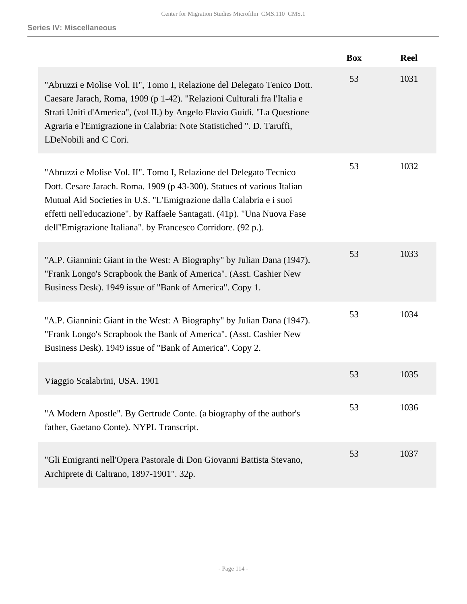|                                                                                                                                                                                                                                                                                                                                                                 | <b>Box</b> | <b>Reel</b> |
|-----------------------------------------------------------------------------------------------------------------------------------------------------------------------------------------------------------------------------------------------------------------------------------------------------------------------------------------------------------------|------------|-------------|
| "Abruzzi e Molise Vol. II", Tomo I, Relazione del Delegato Tenico Dott.<br>Caesare Jarach, Roma, 1909 (p 1-42). "Relazioni Culturali fra l'Italia e<br>Strati Uniti d'America", (vol II.) by Angelo Flavio Guidi. "La Questione<br>Agraria e l'Emigrazione in Calabria: Note Statistiched ". D. Taruffi,<br>LDeNobili and C Cori.                               | 53         | 1031        |
| "Abruzzi e Molise Vol. II". Tomo I, Relazione del Delegato Tecnico<br>Dott. Cesare Jarach. Roma. 1909 (p 43-300). Statues of various Italian<br>Mutual Aid Societies in U.S. "L'Emigrazione dalla Calabria e i suoi<br>effetti nell'educazione". by Raffaele Santagati. (41p). "Una Nuova Fase<br>dell''Emigrazione Italiana". by Francesco Corridore. (92 p.). | 53         | 1032        |
| "A.P. Giannini: Giant in the West: A Biography" by Julian Dana (1947).<br>"Frank Longo's Scrapbook the Bank of America". (Asst. Cashier New<br>Business Desk). 1949 issue of "Bank of America". Copy 1.                                                                                                                                                         | 53         | 1033        |
| "A.P. Giannini: Giant in the West: A Biography" by Julian Dana (1947).<br>"Frank Longo's Scrapbook the Bank of America". (Asst. Cashier New<br>Business Desk). 1949 issue of "Bank of America". Copy 2.                                                                                                                                                         | 53         | 1034        |
| Viaggio Scalabrini, USA. 1901                                                                                                                                                                                                                                                                                                                                   | 53         | 1035        |
| "A Modern Apostle". By Gertrude Conte. (a biography of the author's<br>father, Gaetano Conte). NYPL Transcript.                                                                                                                                                                                                                                                 | 53         | 1036        |
| "Gli Emigranti nell'Opera Pastorale di Don Giovanni Battista Stevano,<br>Archiprete di Caltrano, 1897-1901". 32p.                                                                                                                                                                                                                                               | 53         | 1037        |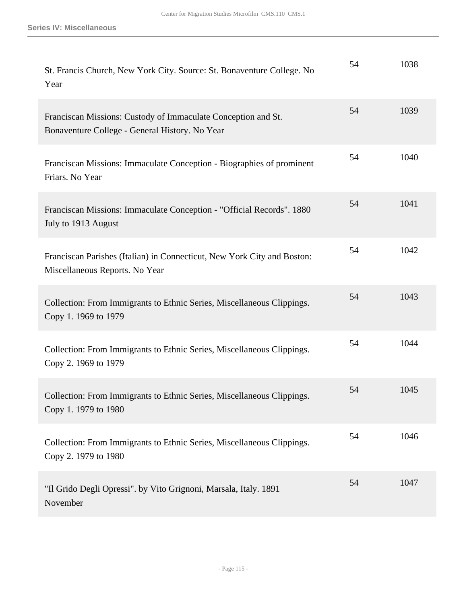| St. Francis Church, New York City. Source: St. Bonaventure College. No<br>Year                                  | 54 | 1038 |
|-----------------------------------------------------------------------------------------------------------------|----|------|
| Franciscan Missions: Custody of Immaculate Conception and St.<br>Bonaventure College - General History. No Year | 54 | 1039 |
| Franciscan Missions: Immaculate Conception - Biographies of prominent<br>Friars. No Year                        | 54 | 1040 |
| Franciscan Missions: Immaculate Conception - "Official Records". 1880<br>July to 1913 August                    | 54 | 1041 |
| Franciscan Parishes (Italian) in Connecticut, New York City and Boston:<br>Miscellaneous Reports. No Year       | 54 | 1042 |
| Collection: From Immigrants to Ethnic Series, Miscellaneous Clippings.<br>Copy 1. 1969 to 1979                  | 54 | 1043 |
| Collection: From Immigrants to Ethnic Series, Miscellaneous Clippings.<br>Copy 2. 1969 to 1979                  | 54 | 1044 |
| Collection: From Immigrants to Ethnic Series, Miscellaneous Clippings.<br>Copy 1. 1979 to 1980                  | 54 | 1045 |
| Collection: From Immigrants to Ethnic Series, Miscellaneous Clippings.<br>Copy 2. 1979 to 1980                  | 54 | 1046 |
| "Il Grido Degli Opressi". by Vito Grignoni, Marsala, Italy. 1891<br>November                                    | 54 | 1047 |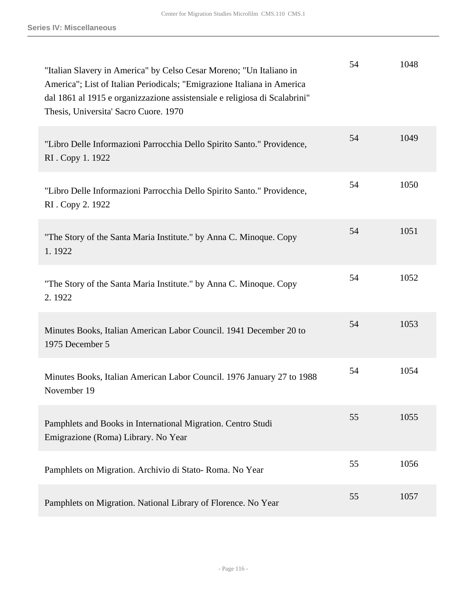| "Italian Slavery in America" by Celso Cesar Moreno; "Un Italiano in<br>America"; List of Italian Periodicals; "Emigrazione Italiana in America"<br>dal 1861 al 1915 e organizzazione assistensiale e religiosa di Scalabrini"<br>Thesis, Universita' Sacro Cuore. 1970 | 54 | 1048 |
|------------------------------------------------------------------------------------------------------------------------------------------------------------------------------------------------------------------------------------------------------------------------|----|------|
| "Libro Delle Informazioni Parrocchia Dello Spirito Santo." Providence,<br>RI. Copy 1. 1922                                                                                                                                                                             | 54 | 1049 |
| "Libro Delle Informazioni Parrocchia Dello Spirito Santo." Providence,<br>RI. Copy 2. 1922                                                                                                                                                                             | 54 | 1050 |
| "The Story of the Santa Maria Institute." by Anna C. Minoque. Copy<br>1.1922                                                                                                                                                                                           | 54 | 1051 |
| "The Story of the Santa Maria Institute." by Anna C. Minoque. Copy<br>2.1922                                                                                                                                                                                           | 54 | 1052 |
| Minutes Books, Italian American Labor Council. 1941 December 20 to<br>1975 December 5                                                                                                                                                                                  | 54 | 1053 |
| Minutes Books, Italian American Labor Council. 1976 January 27 to 1988<br>November 19                                                                                                                                                                                  | 54 | 1054 |
| Pamphlets and Books in International Migration. Centro Studi<br>Emigrazione (Roma) Library. No Year                                                                                                                                                                    | 55 | 1055 |
| Pamphlets on Migration. Archivio di Stato-Roma. No Year                                                                                                                                                                                                                | 55 | 1056 |
| Pamphlets on Migration. National Library of Florence. No Year                                                                                                                                                                                                          | 55 | 1057 |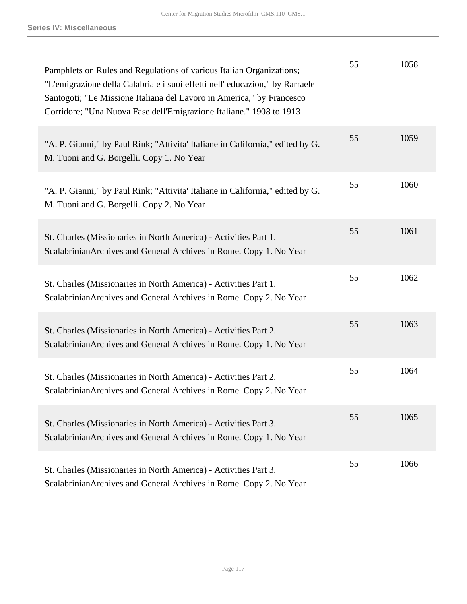| Pamphlets on Rules and Regulations of various Italian Organizations;<br>"L'emigrazione della Calabria e i suoi effetti nell'educazion," by Rarraele<br>Santogoti; "Le Missione Italiana del Lavoro in America," by Francesco<br>Corridore; "Una Nuova Fase dell'Emigrazione Italiane." 1908 to 1913 | 55 | 1058 |
|-----------------------------------------------------------------------------------------------------------------------------------------------------------------------------------------------------------------------------------------------------------------------------------------------------|----|------|
| "A. P. Gianni," by Paul Rink; "Attivita' Italiane in California," edited by G.<br>M. Tuoni and G. Borgelli. Copy 1. No Year                                                                                                                                                                         | 55 | 1059 |
| "A. P. Gianni," by Paul Rink; "Attivita' Italiane in California," edited by G.<br>M. Tuoni and G. Borgelli. Copy 2. No Year                                                                                                                                                                         | 55 | 1060 |
| St. Charles (Missionaries in North America) - Activities Part 1.<br>Scalabrinian Archives and General Archives in Rome. Copy 1. No Year                                                                                                                                                             | 55 | 1061 |
| St. Charles (Missionaries in North America) - Activities Part 1.<br>Scalabrinian Archives and General Archives in Rome. Copy 2. No Year                                                                                                                                                             | 55 | 1062 |
| St. Charles (Missionaries in North America) - Activities Part 2.<br>Scalabrinian Archives and General Archives in Rome. Copy 1. No Year                                                                                                                                                             | 55 | 1063 |
| St. Charles (Missionaries in North America) - Activities Part 2.<br>Scalabrinian Archives and General Archives in Rome. Copy 2. No Year                                                                                                                                                             | 55 | 1064 |
| St. Charles (Missionaries in North America) - Activities Part 3.<br>Scalabrinian Archives and General Archives in Rome. Copy 1. No Year                                                                                                                                                             | 55 | 1065 |
| St. Charles (Missionaries in North America) - Activities Part 3.<br>Scalabrinian Archives and General Archives in Rome. Copy 2. No Year                                                                                                                                                             | 55 | 1066 |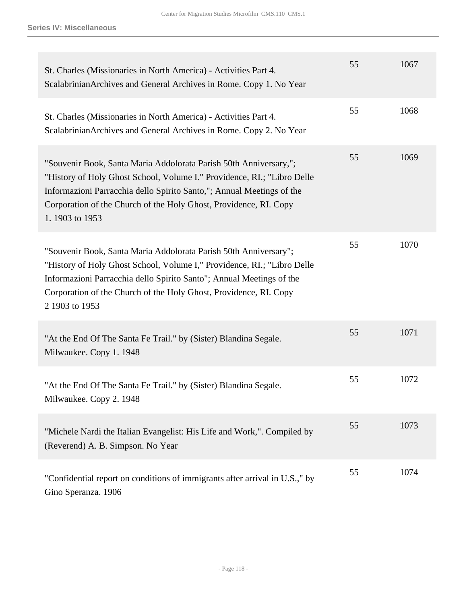| St. Charles (Missionaries in North America) - Activities Part 4.<br>Scalabrinian Archives and General Archives in Rome. Copy 1. No Year                                                                                                                                                                      | 55 | 1067 |
|--------------------------------------------------------------------------------------------------------------------------------------------------------------------------------------------------------------------------------------------------------------------------------------------------------------|----|------|
| St. Charles (Missionaries in North America) - Activities Part 4.<br>Scalabrinian Archives and General Archives in Rome. Copy 2. No Year                                                                                                                                                                      | 55 | 1068 |
| "Souvenir Book, Santa Maria Addolorata Parish 50th Anniversary,";<br>"History of Holy Ghost School, Volume I." Providence, RI.; "Libro Delle<br>Informazioni Parracchia dello Spirito Santo,"; Annual Meetings of the<br>Corporation of the Church of the Holy Ghost, Providence, RI. Copy<br>1.1903 to 1953 | 55 | 1069 |
| "Souvenir Book, Santa Maria Addolorata Parish 50th Anniversary";<br>"History of Holy Ghost School, Volume I," Providence, RI.; "Libro Delle<br>Informazioni Parracchia dello Spirito Santo"; Annual Meetings of the<br>Corporation of the Church of the Holy Ghost, Providence, RI. Copy<br>2 1903 to 1953   | 55 | 1070 |
| "At the End Of The Santa Fe Trail." by (Sister) Blandina Segale.<br>Milwaukee. Copy 1. 1948                                                                                                                                                                                                                  | 55 | 1071 |
| "At the End Of The Santa Fe Trail." by (Sister) Blandina Segale.<br>Milwaukee. Copy 2. 1948                                                                                                                                                                                                                  | 55 | 1072 |
| "Michele Nardi the Italian Evangelist: His Life and Work,". Compiled by<br>(Reverend) A. B. Simpson. No Year                                                                                                                                                                                                 | 55 | 1073 |
| "Confidential report on conditions of immigrants after arrival in U.S.," by<br>Gino Speranza. 1906                                                                                                                                                                                                           | 55 | 1074 |